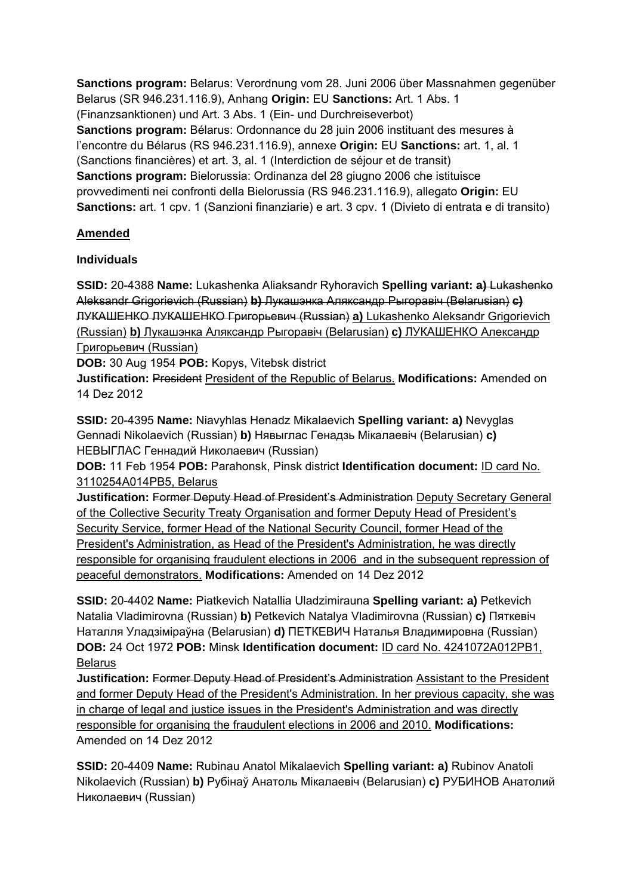**Sanctions program:** Belarus: Verordnung vom 28. Juni 2006 über Massnahmen gegenüber Belarus (SR 946.231.116.9), Anhang **Origin:** EU **Sanctions:** Art. 1 Abs. 1 (Finanzsanktionen) und Art. 3 Abs. 1 (Ein- und Durchreiseverbot) **Sanctions program:** Bélarus: Ordonnance du 28 juin 2006 instituant des mesures à l'encontre du Bélarus (RS 946.231.116.9), annexe **Origin:** EU **Sanctions:** art. 1, al. 1 (Sanctions financières) et art. 3, al. 1 (Interdiction de séjour et de transit) **Sanctions program:** Bielorussia: Ordinanza del 28 giugno 2006 che istituisce provvedimenti nei confronti della Bielorussia (RS 946.231.116.9), allegato **Origin:** EU **Sanctions:** art. 1 cpv. 1 (Sanzioni finanziarie) e art. 3 cpv. 1 (Divieto di entrata e di transito)

# **Amended**

### **Individuals**

**SSID:** 20-4388 **Name:** Lukashenka Aliaksandr Ryhoravich **Spelling variant: a)** Lukashenko Aleksandr Grigorievich (Russian) **b)** Лукашэнка Аляксандр Рыгоравіч (Belarusian) **c)**  ЛУКАШЕНКО ЛУКАШЕНКО Григорьевич (Russian) **a)** Lukashenko Aleksandr Grigorievich (Russian) **b)** Лукашэнка Аляксандр Рыгоравіч (Belarusian) **c)** ЛУКАШЕНКО Александр Григорьевич (Russian)

**DOB:** 30 Aug 1954 **POB:** Kopys, Vitebsk district

**Justification:** President President of the Republic of Belarus. **Modifications:** Amended on 14 Dez 2012

**SSID:** 20-4395 **Name:** Niavyhlas Henadz Mikalaevich **Spelling variant: a)** Nevyglas Gennadi Nikolaevich (Russian) **b)** Нявыглас Генадзь Мiкалаевіч (Belarusian) **c)**  НЕВЫГЛАС Геннадий Николаевич (Russian)

**DOB:** 11 Feb 1954 **POB:** Parahonsk, Pinsk district **Identification document:** ID card No. 3110254A014PB5, Belarus

**Justification:** Former Deputy Head of President's Administration Deputy Secretary General of the Collective Security Treaty Organisation and former Deputy Head of President's Security Service, former Head of the National Security Council, former Head of the President's Administration, as Head of the President's Administration, he was directly responsible for organising fraudulent elections in 2006 and in the subsequent repression of peaceful demonstrators. **Modifications:** Amended on 14 Dez 2012

**SSID:** 20-4402 **Name:** Piatkevich Natallia Uladzimirauna **Spelling variant: a)** Petkevich Natalia Vladimirovna (Russian) **b)** Petkevich Natalya Vladimirovna (Russian) **c)** Пяткевіч Наталля Уладзіміраўна (Belarusian) **d)** ПЕТКЕВИЧ Наталья Владимировна (Russian) **DOB:** 24 Oct 1972 **POB:** Minsk **Identification document:** ID card No. 4241072A012PB1, Belarus

**Justification:** Former Deputy Head of President's Administration Assistant to the President and former Deputy Head of the President's Administration. In her previous capacity, she was in charge of legal and justice issues in the President's Administration and was directly responsible for organising the fraudulent elections in 2006 and 2010. **Modifications:**  Amended on 14 Dez 2012

**SSID:** 20-4409 **Name:** Rubinau Anatol Mikalaevich **Spelling variant: a)** Rubinov Anatoli Nikolaevich (Russian) **b)** Рубінаў Анатоль Мікалаевіч (Belarusian) **c)** РУБИНОВ Анатолий Николаевич (Russian)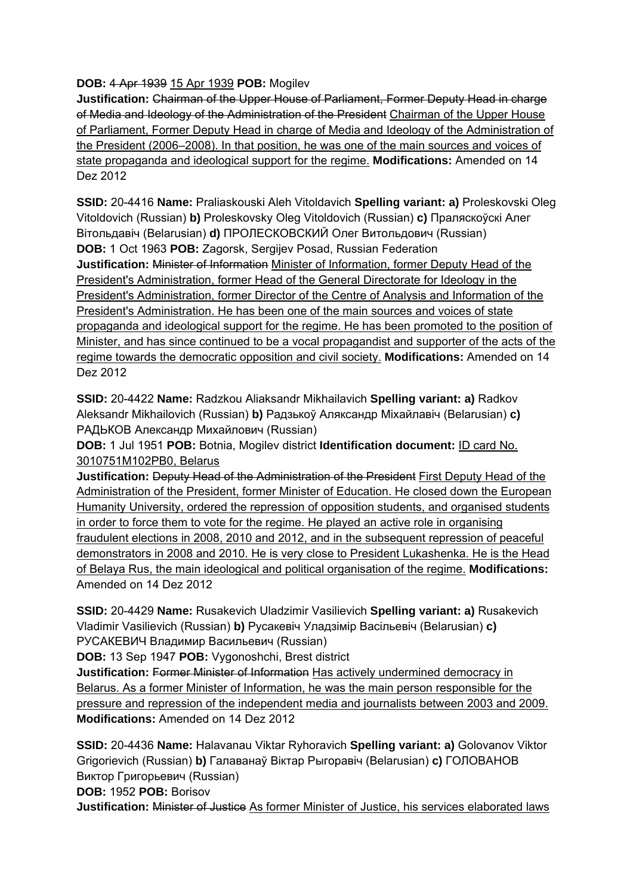**DOB:** 4 Apr 1939 15 Apr 1939 **POB:** Mogilev

**Justification:** Chairman of the Upper House of Parliament, Former Deputy Head in charge of Media and Ideology of the Administration of the President Chairman of the Upper House of Parliament, Former Deputy Head in charge of Media and Ideology of the Administration of the President (2006–2008). In that position, he was one of the main sources and voices of state propaganda and ideological support for the regime. **Modifications:** Amended on 14 Dez 2012

**SSID:** 20-4416 **Name:** Praliaskouski Aleh Vitoldavich **Spelling variant: a)** Proleskovski Oleg Vitoldovich (Russian) **b)** Proleskovsky Oleg Vitoldovich (Russian) **c)** Праляскоўскі Алег Вітольдавіч (Belarusian) **d)** ПРОЛЕСКОВСКИЙ Олег Витольдович (Russian) **DOB:** 1 Oct 1963 **POB:** Zagorsk, Sergijev Posad, Russian Federation **Justification:** Minister of Information Minister of Information, former Deputy Head of the President's Administration, former Head of the General Directorate for Ideology in the President's Administration, former Director of the Centre of Analysis and Information of the President's Administration. He has been one of the main sources and voices of state propaganda and ideological support for the regime. He has been promoted to the position of Minister, and has since continued to be a vocal propagandist and supporter of the acts of the regime towards the democratic opposition and civil society. **Modifications:** Amended on 14 Dez 2012

**SSID:** 20-4422 **Name:** Radzkou Aliaksandr Mikhailavich **Spelling variant: a)** Radkov Aleksandr Mikhailovich (Russian) **b)** Радзькоў Аляксандр Міхайлавіч (Belarusian) **c)**  РАДЬКОВ Александр Михайлович (Russian)

**DOB:** 1 Jul 1951 **POB:** Botnia, Mogilev district **Identification document:** ID card No. 3010751M102PB0, Belarus

**Justification:** Deputy Head of the Administration of the President First Deputy Head of the Administration of the President, former Minister of Education. He closed down the European Humanity University, ordered the repression of opposition students, and organised students in order to force them to vote for the regime. He played an active role in organising fraudulent elections in 2008, 2010 and 2012, and in the subsequent repression of peaceful demonstrators in 2008 and 2010. He is very close to President Lukashenka. He is the Head of Belaya Rus, the main ideological and political organisation of the regime. **Modifications:**  Amended on 14 Dez 2012

**SSID:** 20-4429 **Name:** Rusakevich Uladzimir Vasilievich **Spelling variant: a)** Rusakevich Vladimir Vasilievich (Russian) **b)** Русакевіч Уладзімір Васільевіч (Belarusian) **c)**  РУСАКЕВИЧ Владимир Васильевич (Russian)

**DOB:** 13 Sep 1947 **POB:** Vygonoshchi, Brest district

**Justification:** Former Minister of Information Has actively undermined democracy in Belarus. As a former Minister of Information, he was the main person responsible for the pressure and repression of the independent media and journalists between 2003 and 2009. **Modifications:** Amended on 14 Dez 2012

**SSID:** 20-4436 **Name:** Halavanau Viktar Ryhoravich **Spelling variant: a)** Golovanov Viktor Grigorievich (Russian) **b)** Галаванаў Віктар Рыгоравіч (Belarusian) **c)** ГОЛОВАНОВ Виктор Григорьевич (Russian)

**DOB:** 1952 **POB:** Borisov

**Justification:** Minister of Justice As former Minister of Justice, his services elaborated laws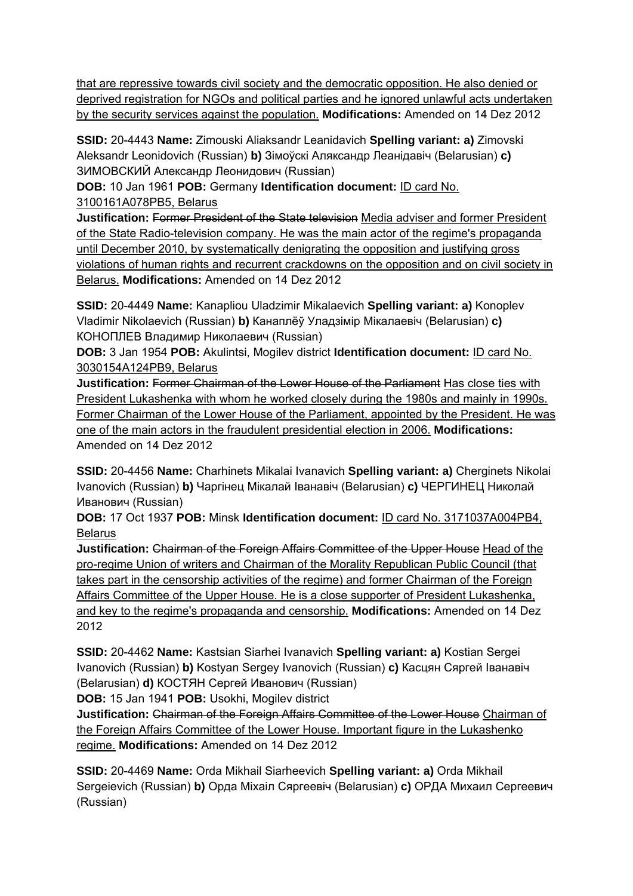that are repressive towards civil society and the democratic opposition. He also denied or deprived registration for NGOs and political parties and he ignored unlawful acts undertaken by the security services against the population. **Modifications:** Amended on 14 Dez 2012

**SSID:** 20-4443 **Name:** Zimouski Aliaksandr Leanidavich **Spelling variant: a)** Zimovski Aleksandr Leonidovich (Russian) **b)** Зімоўскі Аляксандр Леанідавіч (Belarusian) **c)**  ЗИМОВСКИЙ Александр Леонидович (Russian)

**DOB:** 10 Jan 1961 **POB:** Germany **Identification document:** ID card No. 3100161A078PB5, Belarus

**Justification:** Former President of the State television Media adviser and former President of the State Radio-television company. He was the main actor of the regime's propaganda until December 2010, by systematically denigrating the opposition and justifying gross violations of human rights and recurrent crackdowns on the opposition and on civil society in Belarus. **Modifications:** Amended on 14 Dez 2012

**SSID:** 20-4449 **Name:** Kanapliou Uladzimir Mikalaevich **Spelling variant: a)** Konoplev Vladimir Nikolaevich (Russian) **b)** Канаплёў Уладзімір Мікалаевіч (Belarusian) **c)**  КОНОПЛЕВ Владимир Николаевич (Russian)

**DOB:** 3 Jan 1954 **POB:** Akulintsi, Mogilev district **Identification document:** ID card No. 3030154A124PB9, Belarus

**Justification:** Former Chairman of the Lower House of the Parliament Has close ties with President Lukashenka with whom he worked closely during the 1980s and mainly in 1990s. Former Chairman of the Lower House of the Parliament, appointed by the President. He was one of the main actors in the fraudulent presidential election in 2006. **Modifications:**  Amended on 14 Dez 2012

**SSID:** 20-4456 **Name:** Charhinets Mikalai Ivanavich **Spelling variant: a)** Cherginets Nikolai Ivanovich (Russian) **b)** Чаргінец Мікалай Іванавіч (Belarusian) **c)** ЧЕРГИНЕЦ Николай Иванович (Russian)

**DOB:** 17 Oct 1937 **POB:** Minsk **Identification document:** ID card No. 3171037A004PB4, **Belarus** 

**Justification:** Chairman of the Foreign Affairs Committee of the Upper House Head of the pro-regime Union of writers and Chairman of the Morality Republican Public Council (that takes part in the censorship activities of the regime) and former Chairman of the Foreign Affairs Committee of the Upper House. He is a close supporter of President Lukashenka, and key to the regime's propaganda and censorship. **Modifications:** Amended on 14 Dez 2012

**SSID:** 20-4462 **Name:** Kastsian Siarhei Ivanavich **Spelling variant: a)** Kostian Sergei Ivanovich (Russian) **b)** Kostyan Sergey Ivanovich (Russian) **c)** Касцян Сяргей Іванавіч (Belarusian) **d)** КОСТЯН Сергей Иванович (Russian)

**DOB:** 15 Jan 1941 **POB:** Usokhi, Mogilev district

**Justification:** Chairman of the Foreign Affairs Committee of the Lower House Chairman of the Foreign Affairs Committee of the Lower House. Important figure in the Lukashenko regime. **Modifications:** Amended on 14 Dez 2012

**SSID:** 20-4469 **Name:** Orda Mikhail Siarheevich **Spelling variant: a)** Orda Mikhail Sergeievich (Russian) **b)** Орда Міхаіл Сяргеевіч (Belarusian) **c)** ОРДА Михаил Сергеевич (Russian)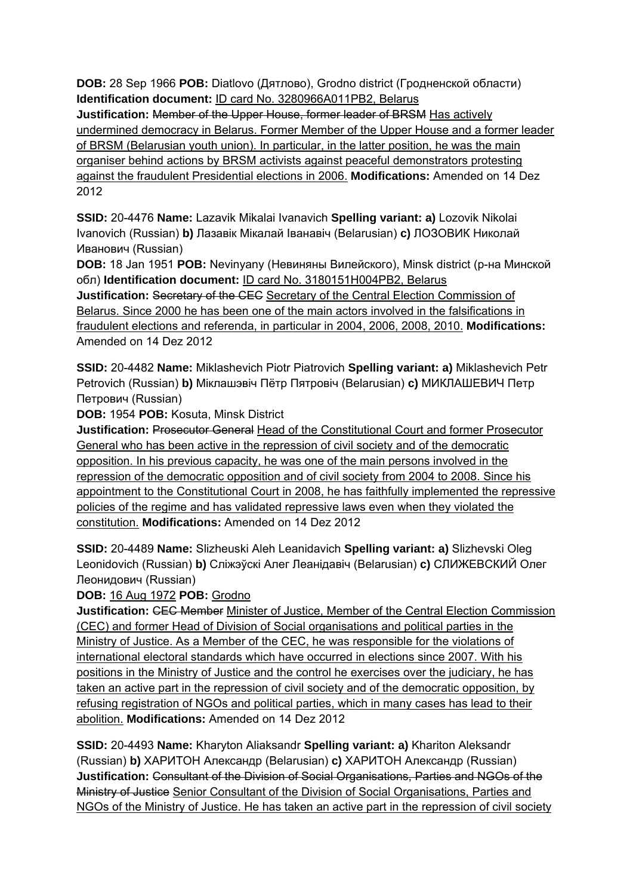**DOB:** 28 Sep 1966 **POB:** Diatlovo (Дятлово), Grodno district (Гродненской области) **Identification document:** ID card No. 3280966A011PB2, Belarus **Justification:** Member of the Upper House, former leader of BRSM Has actively undermined democracy in Belarus. Former Member of the Upper House and a former leader of BRSM (Belarusian youth union). In particular, in the latter position, he was the main organiser behind actions by BRSM activists against peaceful demonstrators protesting against the fraudulent Presidential elections in 2006. **Modifications:** Amended on 14 Dez 2012

**SSID:** 20-4476 **Name:** Lazavik Mikalai Ivanavich **Spelling variant: a)** Lozovik Nikolai Ivanovich (Russian) **b)** Лазавік Мікалай Іванавіч (Belarusian) **c)** ЛОЗОВИК Николай Иванович (Russian)

**DOB:** 18 Jan 1951 **POB:** Nevinyany (Невиняны Вилейского), Minsk district (р-на Минской обл) **Identification document:** ID card No. 3180151H004PB2, Belarus **Justification:** Secretary of the CEC Secretary of the Central Election Commission of Belarus. Since 2000 he has been one of the main actors involved in the falsifications in fraudulent elections and referenda, in particular in 2004, 2006, 2008, 2010. **Modifications:**  Amended on 14 Dez 2012

**SSID:** 20-4482 **Name:** Miklashevich Piotr Piatrovich **Spelling variant: a)** Miklashevich Petr Petrovich (Russian) **b)** Міклашэвіч Пётр Пятровіч (Belarusian) **c)** МИКЛАШЕВИЧ Петр Петрович (Russian)

**DOB:** 1954 **POB:** Kosuta, Minsk District

**Justification: Prosecutor General Head of the Constitutional Court and former Prosecutor** General who has been active in the repression of civil society and of the democratic opposition. In his previous capacity, he was one of the main persons involved in the repression of the democratic opposition and of civil society from 2004 to 2008. Since his appointment to the Constitutional Court in 2008, he has faithfully implemented the repressive policies of the regime and has validated repressive laws even when they violated the constitution. **Modifications:** Amended on 14 Dez 2012

**SSID:** 20-4489 **Name:** Slizheuski Aleh Leanidavich **Spelling variant: a)** Slizhevski Oleg Leonidovich (Russian) **b)** Слiжэўскi Алег Леанідавіч (Belarusian) **c)** СЛИЖЕВСКИЙ Олег Леонидович (Russian)

### **DOB:** 16 Aug 1972 **POB:** Grodno

**Justification:** CEC Member Minister of Justice, Member of the Central Election Commission (CEC) and former Head of Division of Social organisations and political parties in the Ministry of Justice. As a Member of the CEC, he was responsible for the violations of international electoral standards which have occurred in elections since 2007. With his positions in the Ministry of Justice and the control he exercises over the judiciary, he has taken an active part in the repression of civil society and of the democratic opposition, by refusing registration of NGOs and political parties, which in many cases has lead to their abolition. **Modifications:** Amended on 14 Dez 2012

**SSID:** 20-4493 **Name:** Kharyton Aliaksandr **Spelling variant: a)** Khariton Aleksandr (Russian) **b)** ХАРИТОН Александр (Belarusian) **c)** ХАРИТОН Александр (Russian) **Justification:** Consultant of the Division of Social Organisations, Parties and NGOs of the Ministry of Justice Senior Consultant of the Division of Social Organisations, Parties and NGOs of the Ministry of Justice. He has taken an active part in the repression of civil society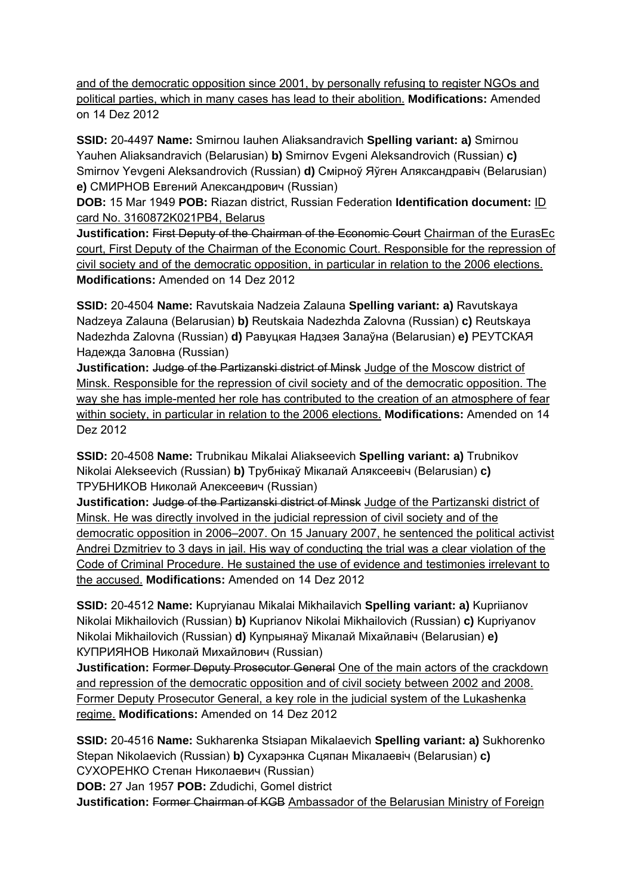and of the democratic opposition since 2001, by personally refusing to register NGOs and political parties, which in many cases has lead to their abolition. **Modifications:** Amended on 14 Dez 2012

**SSID:** 20-4497 **Name:** Smirnou Iauhen Aliaksandravich **Spelling variant: a)** Smirnou Yauhen Aliaksandravich (Belarusian) **b)** Smirnov Evgeni Aleksandrovich (Russian) **c)**  Smirnov Yevgeni Aleksandrovich (Russian) **d)** Смірноў Яўген Аляксандравіч (Belarusian) **e)** СМИРНОВ Евгений Александрович (Russian)

**DOB:** 15 Mar 1949 **POB:** Riazan district, Russian Federation **Identification document:** ID card No. 3160872K021PB4, Belarus

**Justification:** First Deputy of the Chairman of the Economic Court Chairman of the EurasEc court, First Deputy of the Chairman of the Economic Court. Responsible for the repression of civil society and of the democratic opposition, in particular in relation to the 2006 elections. **Modifications:** Amended on 14 Dez 2012

**SSID:** 20-4504 **Name:** Ravutskaia Nadzeia Zalauna **Spelling variant: a)** Ravutskaya Nadzeya Zalauna (Belarusian) **b)** Reutskaia Nadezhda Zalovna (Russian) **c)** Reutskaya Nadezhda Zalovna (Russian) **d)** Равуцкая Надзея Залаўна (Belarusian) **e)** РЕУТСКАЯ Надежда Заловна (Russian)

**Justification:** Judge of the Partizanski district of Minsk Judge of the Moscow district of Minsk. Responsible for the repression of civil society and of the democratic opposition. The way she has imple-mented her role has contributed to the creation of an atmosphere of fear within society, in particular in relation to the 2006 elections. **Modifications:** Amended on 14 Dez 2012

**SSID:** 20-4508 **Name:** Trubnikau Mikalai Aliakseevich **Spelling variant: a)** Trubnikov Nikolai Alekseevich (Russian) **b)** Трубнікаў Мікалай Аляксеевіч (Belarusian) **c)**  ТРУБНИКОВ Николай Алексеевич (Russian)

**Justification:** Judge of the Partizanski district of Minsk Judge of the Partizanski district of Minsk. He was directly involved in the judicial repression of civil society and of the democratic opposition in 2006–2007. On 15 January 2007, he sentenced the political activist Andrei Dzmitriev to 3 days in jail. His way of conducting the trial was a clear violation of the Code of Criminal Procedure. He sustained the use of evidence and testimonies irrelevant to the accused. **Modifications:** Amended on 14 Dez 2012

**SSID:** 20-4512 **Name:** Kupryianau Mikalai Mikhailavich **Spelling variant: a)** Kupriianov Nikolai Mikhailovich (Russian) **b)** Kuprianov Nikolai Mikhailovich (Russian) **c)** Kupriyanov Nikolai Mikhailovich (Russian) **d)** Купрыянаў Мікалай Міхайлавіч (Belarusian) **e)**  КУПРИЯНОВ Николай Михайлович (Russian)

**Justification: Former Deputy Prosecutor General One of the main actors of the crackdown** and repression of the democratic opposition and of civil society between 2002 and 2008. Former Deputy Prosecutor General, a key role in the judicial system of the Lukashenka regime. **Modifications:** Amended on 14 Dez 2012

**SSID:** 20-4516 **Name:** Sukharenka Stsiapan Mikalaevich **Spelling variant: a)** Sukhorenko Stepan Nikolaevich (Russian) **b)** Сухарэнка Сцяпан Мікалаевіч (Belarusian) **c)**  СУХОРЕНКО Степан Николаевич (Russian)

**DOB:** 27 Jan 1957 **POB:** Zdudichi, Gomel district

**Justification:** Former Chairman of KGB Ambassador of the Belarusian Ministry of Foreign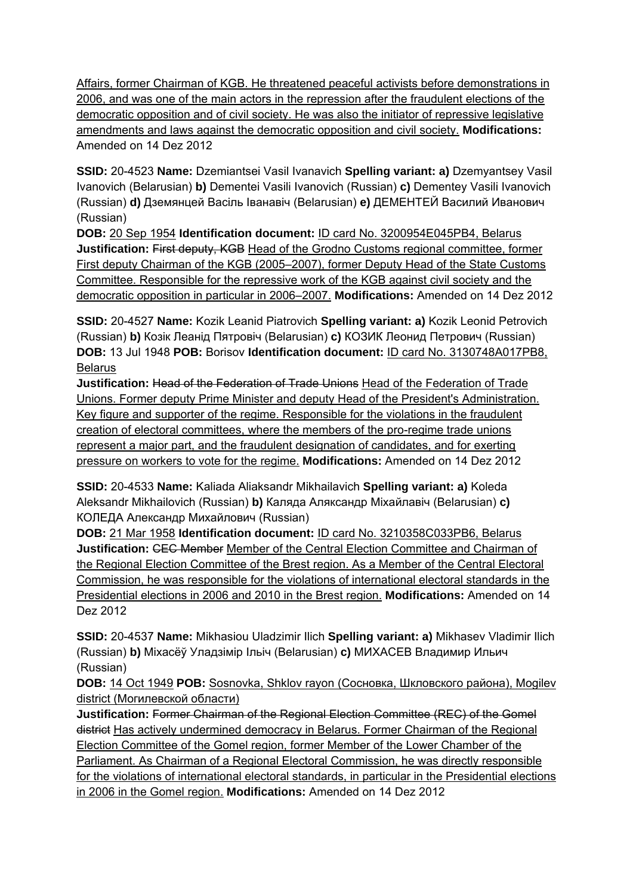Affairs, former Chairman of KGB. He threatened peaceful activists before demonstrations in 2006, and was one of the main actors in the repression after the fraudulent elections of the democratic opposition and of civil society. He was also the initiator of repressive legislative amendments and laws against the democratic opposition and civil society. **Modifications:**  Amended on 14 Dez 2012

**SSID:** 20-4523 **Name:** Dzemiantsei Vasil Ivanavich **Spelling variant: a)** Dzemyantsey Vasil Ivanovich (Belarusian) **b)** Dementei Vasili Ivanovich (Russian) **c)** Dementey Vasili Ivanovich (Russian) **d)** Дземянцей Васіль Iванавіч (Belarusian) **e)** ДЕМЕНТЕЙ Василий Иванович (Russian)

**DOB:** 20 Sep 1954 **Identification document:** ID card No. 3200954E045PB4, Belarus **Justification: First deputy, KGB Head of the Grodno Customs regional committee, former** First deputy Chairman of the KGB (2005–2007), former Deputy Head of the State Customs Committee. Responsible for the repressive work of the KGB against civil society and the democratic opposition in particular in 2006–2007. **Modifications:** Amended on 14 Dez 2012

**SSID:** 20-4527 **Name:** Kozik Leanid Piatrovich **Spelling variant: a)** Kozik Leonid Petrovich (Russian) **b)** Козік Леанід Пятровіч (Belarusian) **c)** КОЗИК Леонид Петрович (Russian) **DOB:** 13 Jul 1948 **POB:** Borisov **Identification document:** ID card No. 3130748A017PB8, **Belarus** 

**Justification:** Head of the Federation of Trade Unions Head of the Federation of Trade Unions. Former deputy Prime Minister and deputy Head of the President's Administration. Key figure and supporter of the regime. Responsible for the violations in the fraudulent creation of electoral committees, where the members of the pro-regime trade unions represent a major part, and the fraudulent designation of candidates, and for exerting pressure on workers to vote for the regime. **Modifications:** Amended on 14 Dez 2012

**SSID:** 20-4533 **Name:** Kaliada Aliaksandr Mikhailavich **Spelling variant: a)** Koleda Aleksandr Mikhailovich (Russian) **b)** Каляда Аляксандр Міхайлавіч (Belarusian) **c)**  КОЛЕДА Александр Михайлович (Russian)

**DOB:** 21 Mar 1958 **Identification document:** ID card No. 3210358C033PB6, Belarus **Justification:** CEC Member Member of the Central Election Committee and Chairman of the Regional Election Committee of the Brest region. As a Member of the Central Electoral Commission, he was responsible for the violations of international electoral standards in the Presidential elections in 2006 and 2010 in the Brest region. **Modifications:** Amended on 14 Dez 2012

**SSID:** 20-4537 **Name:** Mikhasiou Uladzimir Ilich **Spelling variant: a)** Mikhasev Vladimir Ilich (Russian) **b)** Міхасёў Уладзімір Ільіч (Belarusian) **c)** МИХАСЕВ Владимир Ильич (Russian)

**DOB:** 14 Oct 1949 **POB:** Sosnovka, Shklov rayon (Сосновка, Шкловского района), Mogilev district (Могилевской области)

**Justification:** Former Сhairman of the Regional Election Committee (REC) of the Gomel district Has actively undermined democracy in Belarus. Former Сhairman of the Regional Election Committee of the Gomel region, former Member of the Lower Chamber of the Parliament. As Chairman of a Regional Electoral Commission, he was directly responsible for the violations of international electoral standards, in particular in the Presidential elections in 2006 in the Gomel region. **Modifications:** Amended on 14 Dez 2012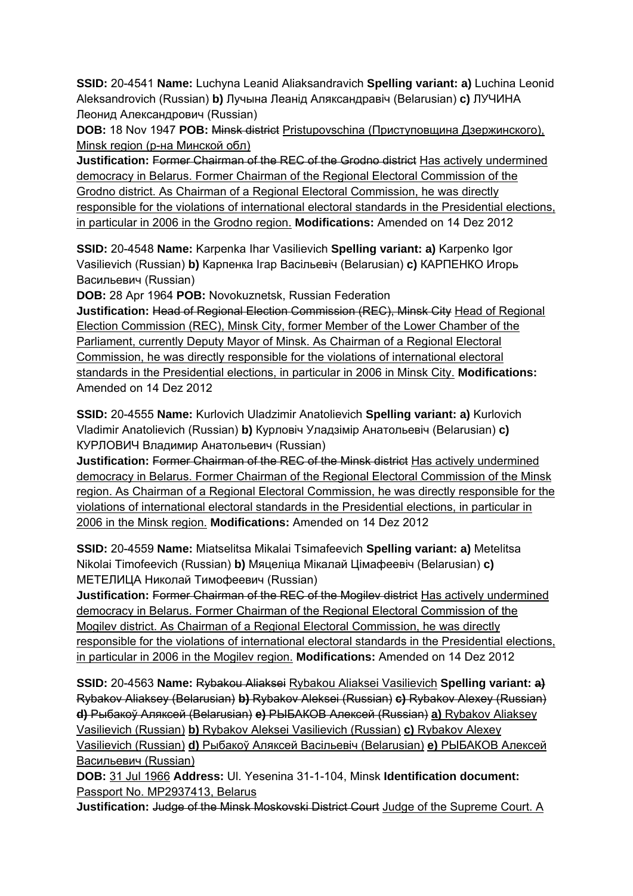**SSID:** 20-4541 **Name:** Luchyna Leanid Aliaksandravich **Spelling variant: a)** Luchina Leonid Aleksandrovich (Russian) **b)** Лучына Леанід Аляксандравіч (Belarusian) **c)** ЛУЧИНА Леонид Александрович (Russian)

**DOB:** 18 Nov 1947 **POB:** Minsk district Pristupovschina (Приступовщина Дзержинского), Minsk region (р-на Минской обл)

**Justification:** Former Chairman of the REC of the Grodno district Has actively undermined democracy in Belarus. Former Сhairman of the Regional Electoral Commission of the Grodno district. As Chairman of a Regional Electoral Commission, he was directly responsible for the violations of international electoral standards in the Presidential elections, in particular in 2006 in the Grodno region. **Modifications:** Amended on 14 Dez 2012

**SSID:** 20-4548 **Name:** Karpenka Ihar Vasilievich **Spelling variant: a)** Karpenko Igor Vasilievich (Russian) **b)** Карпенка Ігар Васільевіч (Belarusian) **c)** КАРПЕНКО Игорь Васильевич (Russian)

**DOB:** 28 Apr 1964 **POB:** Novokuznetsk, Russian Federation

**Justification:** Head of Regional Election Commission (REC), Minsk City Head of Regional Election Commission (REC), Minsk City, former Member of the Lower Chamber of the Parliament, currently Deputy Mayor of Minsk. As Chairman of a Regional Electoral Commission, he was directly responsible for the violations of international electoral standards in the Presidential elections, in particular in 2006 in Minsk City. **Modifications:**  Amended on 14 Dez 2012

**SSID:** 20-4555 **Name:** Kurlovich Uladzimir Anatolievich **Spelling variant: a)** Kurlovich Vladimir Anatolievich (Russian) **b)** Курловіч Уладзімір Анатольевіч (Belarusian) **c)**  КУРЛОВИЧ Владимир Анатольевич (Russian)

**Justification:** Former Chairman of the REC of the Minsk district Has actively undermined democracy in Belarus. Former Сhairman of the Regional Electoral Commission of the Minsk region. As Chairman of a Regional Electoral Commission, he was directly responsible for the violations of international electoral standards in the Presidential elections, in particular in 2006 in the Minsk region. **Modifications:** Amended on 14 Dez 2012

**SSID:** 20-4559 **Name:** Miatselitsa Mikalai Tsimafeevich **Spelling variant: a)** Metelitsa Nikolai Timofeevich (Russian) **b)** Мяцеліца Мікалай Цімафеевіч (Belarusian) **c)**  МЕТЕЛИЦА Николай Тимофеевич (Russian)

**Justification: Former Chairman of the REC of the Mogilev district Has actively undermined** democracy in Belarus. Former Сhairman of the Regional Electoral Commission of the Mogilev district. As Chairman of a Regional Electoral Commission, he was directly responsible for the violations of international electoral standards in the Presidential elections, in particular in 2006 in the Mogilev region. **Modifications:** Amended on 14 Dez 2012

**SSID:** 20-4563 **Name:** Rybakou Aliaksei Rybakou Aliaksei Vasilievich **Spelling variant: a)**  Rybakov Aliaksey (Belarusian) **b)** Rybakov Aleksei (Russian) **c)** Rybakov Alexey (Russian) **d)** Рыбакоў Аляксей (Belarusian) **e)** РЫБАКОВ Алексей (Russian) **a)** Rybakov Aliaksey Vasilievich (Russian) **b)** Rybakov Aleksei Vasilievich (Russian) **c)** Rybakov Alexey Vasilievich (Russian) **d)** Рыбакоў Аляксей Васiльевiч (Belarusian) **e)** РЫБАКОВ Алексей Васильевич (Russian)

**DOB:** 31 Jul 1966 **Address:** Ul. Yesenina 31-1-104, Minsk **Identification document:** Passport No. MP2937413, Belarus

**Justification:** Judge of the Minsk Moskovski District Court Judge of the Supreme Court. A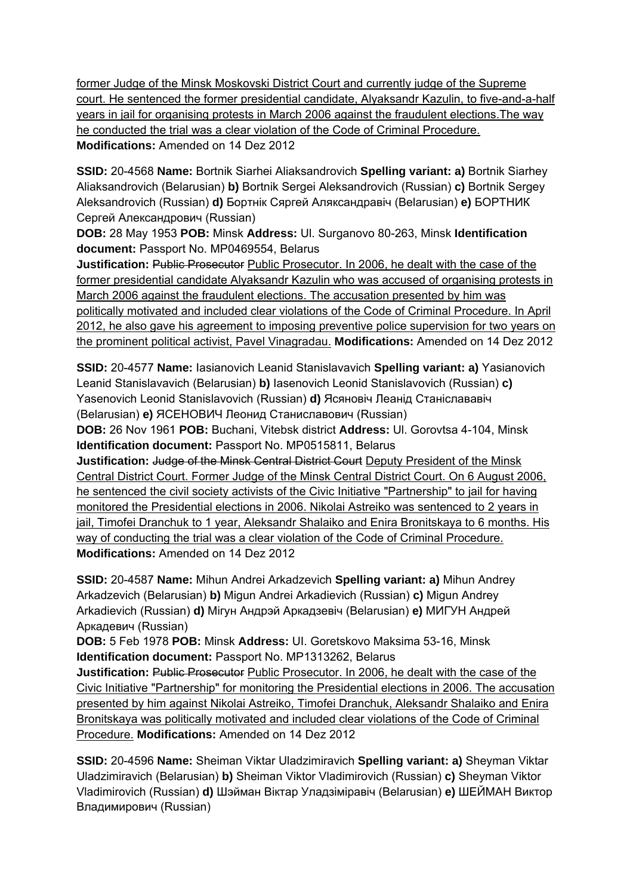former Judge of the Minsk Moskovski District Court and currently judge of the Supreme court. He sentenced the former presidential candidate, Alyaksandr Kazulin, to five-and-a-half years in jail for organising protests in March 2006 against the fraudulent elections.The way he conducted the trial was a clear violation of the Code of Criminal Procedure. **Modifications:** Amended on 14 Dez 2012

**SSID:** 20-4568 **Name:** Bortnik Siarhei Aliaksandrovich **Spelling variant: a)** Bortnik Siarhey Aliaksandrovich (Belarusian) **b)** Bortnik Sergei Aleksandrovich (Russian) **c)** Bortnik Sergey Aleksandrovich (Russian) **d)** Бортнік Сяргей Аляксандравіч (Belarusian) **e)** БОРТНИК Сергей Александрович (Russian)

**DOB:** 28 May 1953 **POB:** Minsk **Address:** Ul. Surganovo 80-263, Minsk **Identification document:** Passport No. MP0469554, Belarus

**Justification: Public Prosecutor Public Prosecutor. In 2006, he dealt with the case of the** former presidential candidate Alyaksandr Kazulin who was accused of organising protests in March 2006 against the fraudulent elections. The accusation presented by him was politically motivated and included clear violations of the Code of Criminal Procedure. In April 2012, he also gave his agreement to imposing preventive police supervision for two years on the prominent political activist, Pavel Vinagradau. **Modifications:** Amended on 14 Dez 2012

**SSID:** 20-4577 **Name:** Iasianovich Leanid Stanislavavich **Spelling variant: a)** Yasianovich Leanid Stanislavavich (Belarusian) **b)** Iasenovich Leonid Stanislavovich (Russian) **c)**  Yasenovich Leonid Stanislavovich (Russian) **d)** Ясяновіч Леанід Станіслававіч (Belarusian) **e)** ЯСЕНОВИЧ Леонид Станиславович (Russian)

**DOB:** 26 Nov 1961 **POB:** Buchani, Vitebsk district **Address:** Ul. Gorovtsa 4-104, Minsk **Identification document:** Passport No. MP0515811, Belarus

**Justification:** Judge of the Minsk Central District Court Deputy President of the Minsk Central District Court. Former Judge of the Minsk Central District Court. On 6 August 2006, he sentenced the civil society activists of the Civic Initiative "Partnership" to jail for having monitored the Presidential elections in 2006. Nikolai Astreiko was sentenced to 2 years in jail, Timofei Dranchuk to 1 year, Aleksandr Shalaiko and Enira Bronitskaya to 6 months. His way of conducting the trial was a clear violation of the Code of Criminal Procedure. **Modifications:** Amended on 14 Dez 2012

**SSID:** 20-4587 **Name:** Mihun Andrei Arkadzevich **Spelling variant: a)** Mihun Andrey Arkadzevich (Belarusian) **b)** Migun Andrei Arkadievich (Russian) **c)** Migun Andrey Arkadievich (Russian) **d)** Мігун Андрэй Аркадзевіч (Belarusian) **e)** МИГУН Андрей Аркадевич (Russian)

**DOB:** 5 Feb 1978 **POB:** Minsk **Address:** UI. Goretskovo Maksima 53-16, Minsk **Identification document:** Passport No. MP1313262, Belarus

**Justification:** Public Prosecutor Public Prosecutor. In 2006, he dealt with the case of the Civic Initiative "Partnership" for monitoring the Presidential elections in 2006. The accusation presented by him against Nikolai Astreiko, Timofei Dranchuk, Aleksandr Shalaiko and Enira Bronitskaya was politically motivated and included clear violations of the Code of Criminal Procedure. **Modifications:** Amended on 14 Dez 2012

**SSID:** 20-4596 **Name:** Sheiman Viktar Uladzimiravich **Spelling variant: a)** Sheyman Viktar Uladzimiravich (Belarusian) **b)** Sheiman Viktor Vladimirovich (Russian) **c)** Sheyman Viktor Vladimirovich (Russian) **d)** Шэйман Віктар Уладзіміравіч (Belarusian) **e)** ШЕЙМАН Виктор Владимирович (Russian)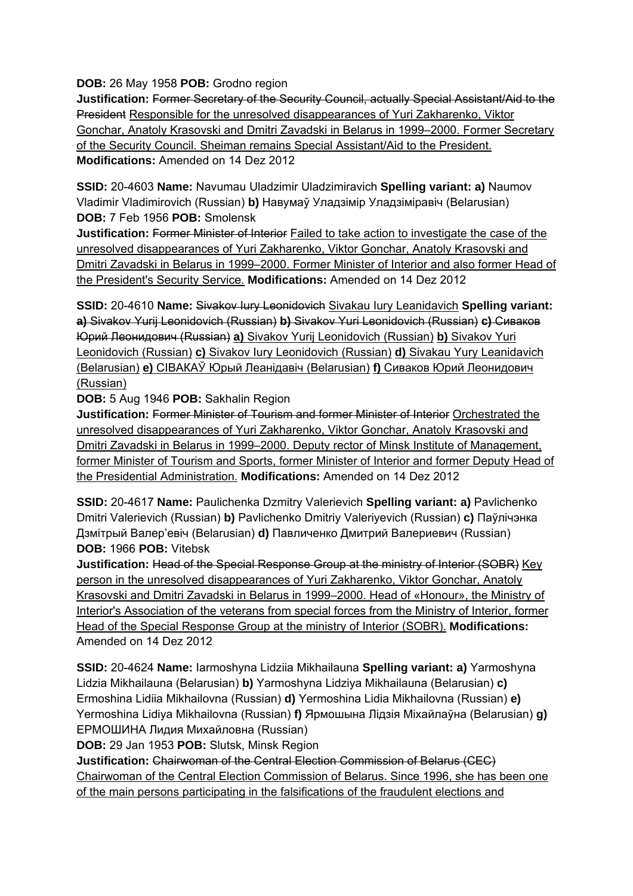**DOB:** 26 May 1958 **POB:** Grodno region

**Justification:** Former Secretary of the Security Council, actually Special Assistant/Aid to the President Responsible for the unresolved disappearances of Yuri Zakharenko, Viktor Gonchar, Anatoly Krasovski and Dmitri Zavadski in Belarus in 1999–2000. Former Secretary of the Security Council. Sheiman remains Special Assistant/Aid to the President. **Modifications:** Amended on 14 Dez 2012

**SSID:** 20-4603 **Name:** Navumau Uladzimir Uladzimiravich **Spelling variant: a)** Naumov Vladimir Vladimirovich (Russian) **b)** Навумаў Уладзімір Уладзіміравіч (Belarusian) **DOB:** 7 Feb 1956 **POB:** Smolensk

**Justification:** Former Minister of Interior Failed to take action to investigate the case of the unresolved disappearances of Yuri Zakharenko, Viktor Gonchar, Anatoly Krasovski and Dmitri Zavadski in Belarus in 1999–2000. Former Minister of Interior and also former Head of the President's Security Service. **Modifications:** Amended on 14 Dez 2012

**SSID:** 20-4610 **Name:** Sivakov Iury Leonidovich Sivakau Iury Leanidavich **Spelling variant: a)** Sivakov Yurij Leonidovich (Russian) **b)** Sivakov Yuri Leonidovich (Russian) **c)** Сиваков Юрий Леонидович (Russian) **a)** Sivakov Yurij Leonidovich (Russian) **b)** Sivakov Yuri Leonidovich (Russian) **c)** Sivakov Iury Leonidovich (Russian) **d)** Sivakau Yury Leanidavich (Belarusian) **e)** СIВАКАЎ Юрый Леанiдавiч (Belarusian) **f)** Сиваков Юрий Леонидович (Russian)

**DOB:** 5 Aug 1946 **POB:** Sakhalin Region

**Justification:** Former Minister of Tourism and former Minister of Interior Orchestrated the unresolved disappearances of Yuri Zakharenko, Viktor Gonchar, Anatoly Krasovski and Dmitri Zavadski in Belarus in 1999–2000. Deputy rector of Minsk Institute of Management, former Minister of Tourism and Sports, former Minister of Interior and former Deputy Head of the Presidential Administration. **Modifications:** Amended on 14 Dez 2012

**SSID:** 20-4617 **Name:** Paulichenka Dzmitry Valerievich **Spelling variant: a)** Pavlichenko Dmitri Valerievich (Russian) **b)** Pavlichenko Dmitriy Valeriyevich (Russian) **c)** Паўлічэнка Дзмiтрый Валер'евіч (Belarusian) **d)** Павличенко Дмитрий Валериевич (Russian) **DOB:** 1966 **POB:** Vitebsk

**Justification:** Head of the Special Response Group at the ministry of Interior (SOBR) Key person in the unresolved disappearances of Yuri Zakharenko, Viktor Gonchar, Anatoly Krasovski and Dmitri Zavadski in Belarus in 1999–2000. Head of «Honour», the Ministry of Interior's Association of the veterans from special forces from the Ministry of Interior, former Head of the Special Response Group at the ministry of Interior (SOBR). **Modifications:**  Amended on 14 Dez 2012

**SSID:** 20-4624 **Name:** Iarmoshyna Lidziia Mikhailauna **Spelling variant: a)** Yarmoshyna Lidzia Mikhailauna (Belarusian) **b)** Yarmoshyna Lidziya Mikhailauna (Belarusian) **c)**  Ermoshina Lidiia Mikhailovna (Russian) **d)** Yermoshina Lidia Mikhailovna (Russian) **e)**  Yermoshina Lidiya Mikhailovna (Russian) **f)** Ярмошына Лідзія Міхайлаўна (Belarusian) **g)**  ЕРМОШИНА Лидия Михайловна (Russian)

**DOB:** 29 Jan 1953 **POB:** Slutsk, Minsk Region

**Justification:** Chairwoman of the Central Election Commission of Belarus (CEC) Chairwoman of the Central Election Commission of Belarus. Since 1996, she has been one of the main persons participating in the falsifications of the fraudulent elections and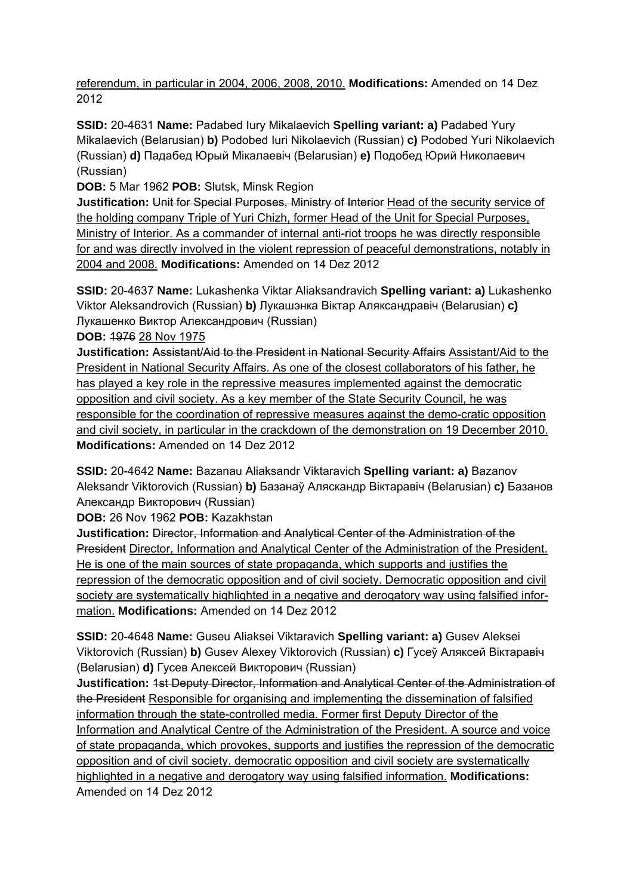referendum, in particular in 2004, 2006, 2008, 2010. **Modifications:** Amended on 14 Dez 2012

**SSID:** 20-4631 **Name:** Padabed Iury Mikalaevich **Spelling variant: a)** Padabed Yury Mikalaevich (Belarusian) **b)** Podobed Iuri Nikolaevich (Russian) **c)** Podobed Yuri Nikolaevich (Russian) **d)** Падабед Юрый Мікалаевіч (Belarusian) **e)** Подобед Юрий Николаевич (Russian)

**DOB:** 5 Mar 1962 **POB:** Slutsk, Minsk Region

**Justification:** Unit for Special Purposes, Ministry of Interior Head of the security service of the holding company Triple of Yuri Chizh, former Head of the Unit for Special Purposes, Ministry of Interior. As a commander of internal anti-riot troops he was directly responsible for and was directly involved in the violent repression of peaceful demonstrations, notably in 2004 and 2008. **Modifications:** Amended on 14 Dez 2012

**SSID:** 20-4637 **Name:** Lukashenka Viktar Aliaksandravich **Spelling variant: a)** Lukashenko Viktor Aleksandrovich (Russian) **b)** Лукашэнка Віктар Аляксандравіч (Belarusian) **c)**  Лукашенко Виктор Александрович (Russian)

**DOB:** 1976 28 Nov 1975

**Justification:** Assistant/Aid to the President in National Security Affairs Assistant/Aid to the President in National Security Affairs. As one of the closest collaborators of his father, he has played a key role in the repressive measures implemented against the democratic opposition and civil society. As a key member of the State Security Council, he was responsible for the coordination of repressive measures against the demo-cratic opposition and civil society, in particular in the crackdown of the demonstration on 19 December 2010. **Modifications:** Amended on 14 Dez 2012

**SSID:** 20-4642 **Name:** Bazanau Aliaksandr Viktaravich **Spelling variant: a)** Bazanov Aleksandr Viktorovich (Russian) **b)** Базанаў Аляскандр Віктаравіч (Belarusian) **c)** Базанов Александр Викторович (Russian)

**DOB:** 26 Nov 1962 **POB:** Kazakhstan

**Justification:** Director, Information and Analytical Center of the Administration of the President Director, Information and Analytical Center of the Administration of the President. He is one of the main sources of state propaganda, which supports and justifies the repression of the democratic opposition and of civil society. Democratic opposition and civil society are systematically highlighted in a negative and derogatory way using falsified information. **Modifications:** Amended on 14 Dez 2012

**SSID:** 20-4648 **Name:** Guseu Aliaksei Viktaravich **Spelling variant: a)** Gusev Aleksei Viktorovich (Russian) **b)** Gusev Alexey Viktorovich (Russian) **c)** Гусеў Аляксей Вiктаравіч (Belarusian) **d)** Гусев Алексей Викторович (Russian)

**Justification:** 1st Deputy Director, Information and Analytical Center of the Administration of the President Responsible for organising and implementing the dissemination of falsified information through the state-controlled media. Former first Deputy Director of the Information and Analytical Centre of the Administration of the President. A source and voice of state propaganda, which provokes, supports and justifies the repression of the democratic opposition and of civil society. democratic opposition and civil society are systematically highlighted in a negative and derogatory way using falsified information. **Modifications:**  Amended on 14 Dez 2012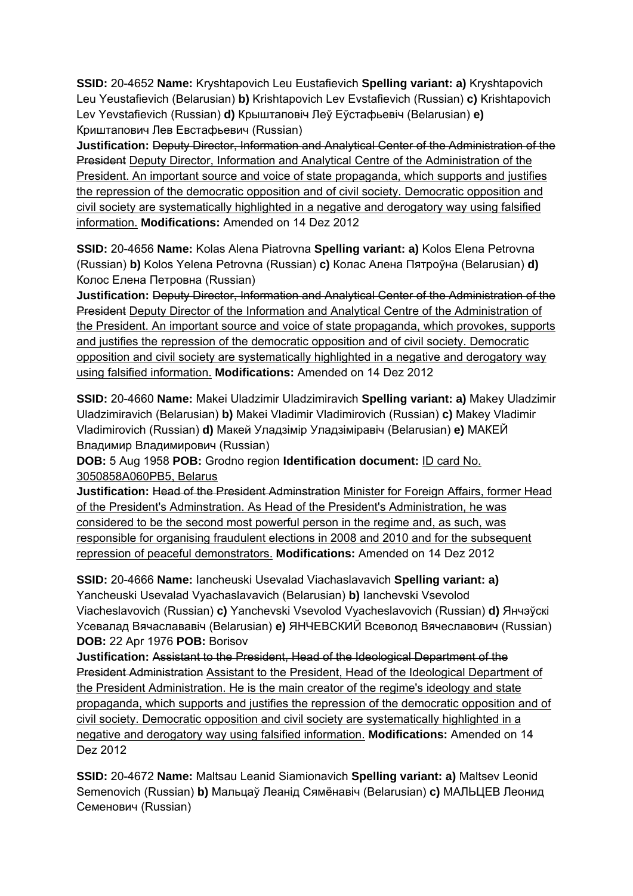**SSID:** 20-4652 **Name:** Kryshtapovich Leu Eustafievich **Spelling variant: a)** Kryshtapovich Leu Yeustafievich (Belarusian) **b)** Krishtapovich Lev Evstafievich (Russian) **c)** Krishtapovich Lev Yevstafievich (Russian) **d)** Крыштаповіч Леў Еўстафьевіч (Belarusian) **e)**  Криштапович Лев Евстафьевич (Russian)

**Justification:** Deputy Director, Information and Analytical Center of the Administration of the President Deputy Director, Information and Analytical Centre of the Administration of the President. An important source and voice of state propaganda, which supports and justifies the repression of the democratic opposition and of civil society. Democratic opposition and civil society are systematically highlighted in a negative and derogatory way using falsified information. **Modifications:** Amended on 14 Dez 2012

**SSID:** 20-4656 **Name:** Kolas Alena Piatrovna **Spelling variant: a)** Kolos Elena Petrovna (Russian) **b)** Kolos Yelena Petrovna (Russian) **c)** Колас Алена Пятроўна (Belarusian) **d)**  Колос Елена Петровна (Russian)

**Justification:** Deputy Director, Information and Analytical Center of the Administration of the President Deputy Director of the Information and Analytical Centre of the Administration of the President. An important source and voice of state propaganda, which provokes, supports and justifies the repression of the democratic opposition and of civil society. Democratic opposition and civil society are systematically highlighted in a negative and derogatory way using falsified information. **Modifications:** Amended on 14 Dez 2012

**SSID:** 20-4660 **Name:** Makei Uladzimir Uladzimiravich **Spelling variant: a)** Makey Uladzimir Uladzimiravich (Belarusian) **b)** Makei Vladimir Vladimirovich (Russian) **c)** Makey Vladimir Vladimirovich (Russian) **d)** Макей Уладзімір Уладзіміравіч (Belarusian) **e)** МАКЕЙ Владимир Владимирович (Russian)

**DOB:** 5 Aug 1958 **POB:** Grodno region **Identification document:** ID card No. 3050858A060PB5, Belarus

**Justification:** Head of the President Adminstration Minister for Foreign Affairs, former Head of the President's Adminstration. As Head of the President's Administration, he was considered to be the second most powerful person in the regime and, as such, was responsible for organising fraudulent elections in 2008 and 2010 and for the subsequent repression of peaceful demonstrators. **Modifications:** Amended on 14 Dez 2012

**SSID:** 20-4666 **Name:** Iancheuski Usevalad Viachaslavavich **Spelling variant: a)**  Yancheuski Usevalad Vyachaslavavich (Belarusian) **b)** Ianchevski Vsevolod Viacheslavovich (Russian) **c)** Yanchevski Vsevolod Vyacheslavovich (Russian) **d)** Янчэўскі Усевалад Вячаслававіч (Belarusian) **e)** ЯНЧЕВСКИЙ Всеволод Вячеславович (Russian) **DOB:** 22 Apr 1976 **POB:** Borisov

**Justification:** Assistant to the President, Head of the Ideological Department of the President Administration Assistant to the President, Head of the Ideological Department of the President Administration. He is the main creator of the regime's ideology and state propaganda, which supports and justifies the repression of the democratic opposition and of civil society. Democratic opposition and civil society are systematically highlighted in a negative and derogatory way using falsified information. **Modifications:** Amended on 14 Dez 2012

**SSID:** 20-4672 **Name:** Maltsau Leanid Siamionavich **Spelling variant: a)** Maltsev Leonid Semenovich (Russian) **b)** Мальцаў Леанід Сямёнавіч (Belarusian) **c)** МАЛЬЦЕВ Леонид Семенович (Russian)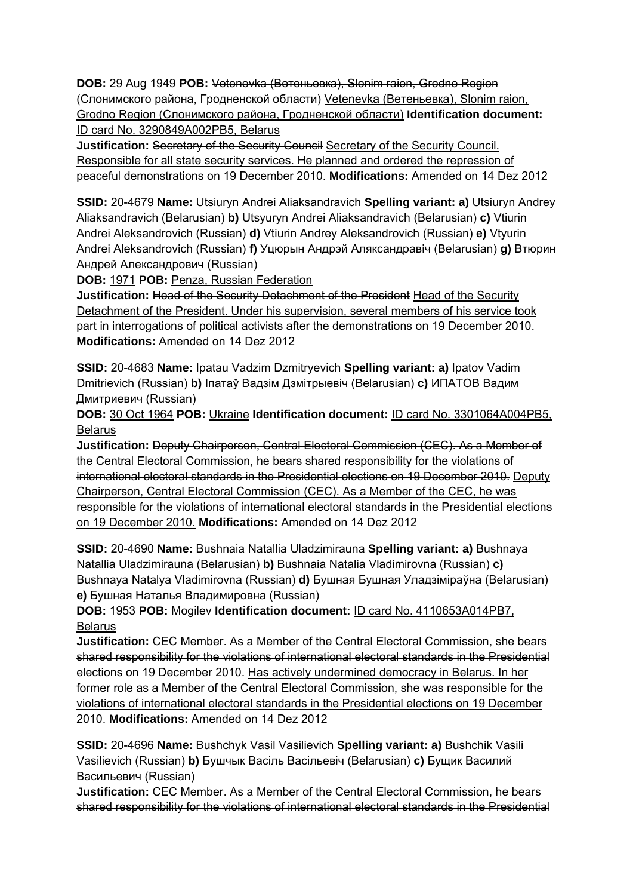**DOB:** 29 Aug 1949 **POB:** Vetenevka (Ветеньевка), Slonim raion, Grodno Region (Слонимского района, Гродненской области) Vetenevka (Ветеньевка), Slonim raion, Grodno Region (Слонимского района, Гродненской области) **Identification document:** ID card No. 3290849A002PB5, Belarus

**Justification: Secretary of the Security Council Secretary of the Security Council.** Responsible for all state security services. He planned and ordered the repression of peaceful demonstrations on 19 December 2010. **Modifications:** Amended on 14 Dez 2012

**SSID:** 20-4679 **Name:** Utsiuryn Andrei Aliaksandravich **Spelling variant: a)** Utsiuryn Andrey Aliaksandravich (Belarusian) **b)** Utsyuryn Andrei Aliaksandravich (Belarusian) **c)** Vtiurin Andrei Aleksandrovich (Russian) **d)** Vtiurin Andrey Aleksandrovich (Russian) **e)** Vtyurin Andrei Aleksandrovich (Russian) **f)** Уцюрын Андрэй Аляксандравіч (Belarusian) **g)** Втюрин Андрей Александрович (Russian)

**DOB:** 1971 **POB:** Penza, Russian Federation

**Justification:** Head of the Security Detachment of the President Head of the Security Detachment of the President. Under his supervision, several members of his service took part in interrogations of political activists after the demonstrations on 19 December 2010. **Modifications:** Amended on 14 Dez 2012

**SSID:** 20-4683 **Name:** Ipatau Vadzim Dzmitryevich **Spelling variant: a)** Ipatov Vadim Dmitrievich (Russian) **b)** Іпатаў Вадзім Дзмітрыевіч (Belarusian) **c)** ИПАТОВ Вадим Дмитриевич (Russian)

**DOB:** 30 Oct 1964 **POB:** Ukraine **Identification document:** ID card No. 3301064A004PB5, Belarus

**Justification:** Deputy Chairperson, Central Electoral Commission (CEC). As a Member of the Central Electoral Commission, he bears shared responsibility for the violations of international electoral standards in the Presidential elections on 19 December 2010. Deputy Chairperson, Central Electoral Commission (CEC). As a Member of the CEC, he was responsible for the violations of international electoral standards in the Presidential elections on 19 December 2010. **Modifications:** Amended on 14 Dez 2012

**SSID:** 20-4690 **Name:** Bushnaia Natallia Uladzimirauna **Spelling variant: a)** Bushnaya Natallia Uladzimirauna (Belarusian) **b)** Bushnaia Natalia Vladimirovna (Russian) **c)**  Bushnaya Natalya Vladimirovna (Russian) **d)** Бушная Бушная Уладзіміраўна (Belarusian) **e)** Бушная Наталья Владимировна (Russian)

**DOB:** 1953 **POB:** Mogilev **Identification document:** ID card No. 4110653A014PB7, Belarus

**Justification:** CEC Member. As a Member of the Central Electoral Commission, she bears shared responsibility for the violations of international electoral standards in the Presidential elections on 19 December 2010. Has actively undermined democracy in Belarus. In her former role as a Member of the Central Electoral Commission, she was responsible for the violations of international electoral standards in the Presidential elections on 19 December 2010. **Modifications:** Amended on 14 Dez 2012

**SSID:** 20-4696 **Name:** Bushchyk Vasil Vasilievich **Spelling variant: a)** Bushchik Vasili Vasilievich (Russian) **b)** Бушчык Васіль Васільевіч (Belarusian) **c)** Бущик Василий Васильевич (Russian)

**Justification:** CEC Member. As a Member of the Central Electoral Commission, he bears shared responsibility for the violations of international electoral standards in the Presidential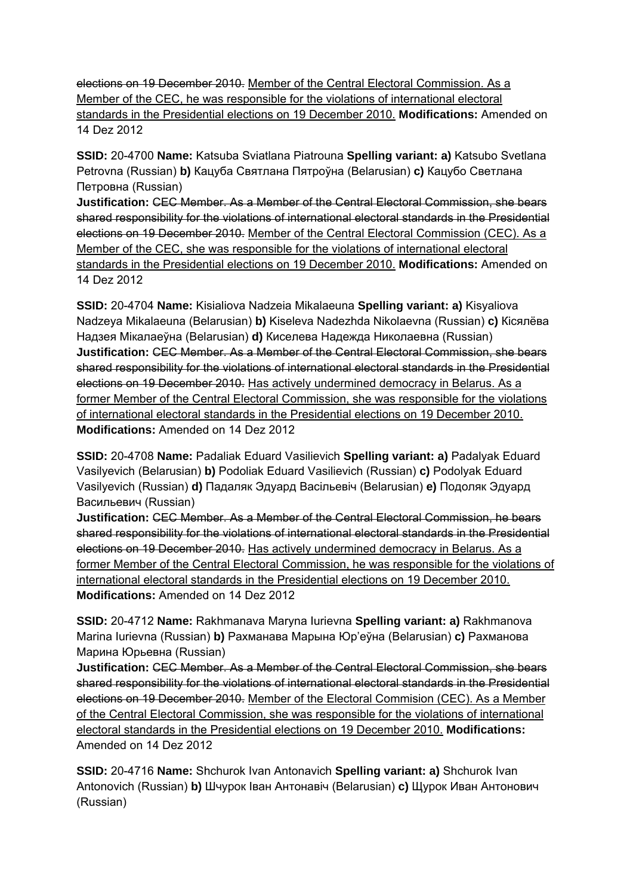elections on 19 December 2010. Member of the Central Electoral Commission. As a Member of the CEC, he was responsible for the violations of international electoral standards in the Presidential elections on 19 December 2010. **Modifications:** Amended on 14 Dez 2012

**SSID:** 20-4700 **Name:** Katsuba Sviatlana Piatrouna **Spelling variant: a)** Katsubo Svetlana Petrovna (Russian) **b)** Кацуба Святлана Пятроўна (Belarusian) **c)** Кацубо Светлана Петровна (Russian)

**Justification:** CEC Member. As a Member of the Central Electoral Commission, she bears shared responsibility for the violations of international electoral standards in the Presidential elections on 19 December 2010. Member of the Central Electoral Commission (CEC). As a Member of the CEC, she was responsible for the violations of international electoral standards in the Presidential elections on 19 December 2010. **Modifications:** Amended on 14 Dez 2012

**SSID:** 20-4704 **Name:** Kisialiova Nadzeia Mikalaeuna **Spelling variant: a)** Kisyaliova Nadzeya Mikalaeuna (Belarusian) **b)** Kiseleva Nadezhda Nikolaevna (Russian) **c)** Кiсялёва Надзея Мiкалаеўна (Belarusian) **d)** Киселева Надежда Николаевна (Russian) **Justification:** CEC Member. As a Member of the Central Electoral Commission, she bears shared responsibility for the violations of international electoral standards in the Presidential elections on 19 December 2010. Has actively undermined democracy in Belarus. As a former Member of the Central Electoral Commission, she was responsible for the violations of international electoral standards in the Presidential elections on 19 December 2010. **Modifications:** Amended on 14 Dez 2012

**SSID:** 20-4708 **Name:** Padaliak Eduard Vasilievich **Spelling variant: a)** Padalyak Eduard Vasilyevich (Belarusian) **b)** Podoliak Eduard Vasilievich (Russian) **c)** Podolyak Eduard Vasilyevich (Russian) **d)** Падаляк Эдуард Васільевіч (Belarusian) **e)** Подоляк Эдуард Васильевич (Russian)

**Justification:** CEC Member. As a Member of the Central Electoral Commission, he bears shared responsibility for the violations of international electoral standards in the Presidential elections on 19 December 2010. Has actively undermined democracy in Belarus. As a former Member of the Central Electoral Commission, he was responsible for the violations of international electoral standards in the Presidential elections on 19 December 2010. **Modifications:** Amended on 14 Dez 2012

**SSID:** 20-4712 **Name:** Rakhmanava Maryna Iurievna **Spelling variant: a)** Rakhmanova Marina Iurievna (Russian) **b)** Рахманава Марына Юр'еўна (Belarusian) **c)** Рахманова Марина Юрьевна (Russian)

**Justification:** CEC Member. As a Member of the Central Electoral Commission, she bears shared responsibility for the violations of international electoral standards in the Presidential elections on 19 December 2010. Member of the Electoral Commision (CEC). As a Member of the Central Electoral Commission, she was responsible for the violations of international electoral standards in the Presidential elections on 19 December 2010. **Modifications:**  Amended on 14 Dez 2012

**SSID:** 20-4716 **Name:** Shchurok Ivan Antonavich **Spelling variant: a)** Shchurok Ivan Antonovich (Russian) **b)** Шчурок Іван Антонавіч (Belarusian) **c)** Щурок Иван Антонович (Russian)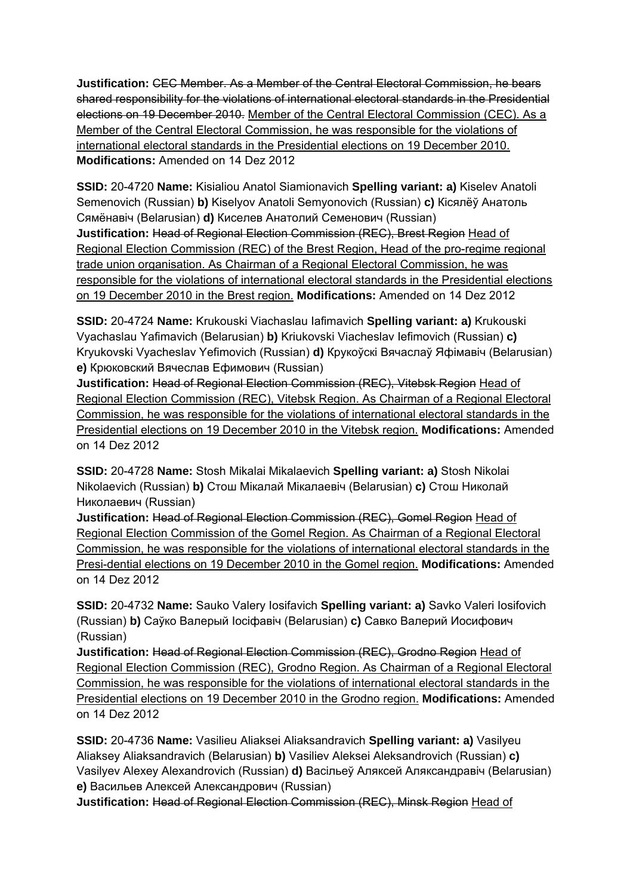**Justification:** CEC Member. As a Member of the Central Electoral Commission, he bears shared responsibility for the violations of international electoral standards in the Presidential elections on 19 December 2010. Member of the Central Electoral Commission (CEC). As a Member of the Central Electoral Commission, he was responsible for the violations of international electoral standards in the Presidential elections on 19 December 2010. **Modifications:** Amended on 14 Dez 2012

**SSID:** 20-4720 **Name:** Kisialiou Anatol Siamionavich **Spelling variant: a)** Kiselev Anatoli Semenovich (Russian) **b)** Kiselyov Anatoli Semyonovich (Russian) **c)** Кісялёў Анатоль Сямёнавіч (Belarusian) **d)** Киселев Анатолий Семенович (Russian) **Justification:** Head of Regional Election Commission (REC), Brest Region Head of Regional Election Commission (REC) of the Brest Region, Head of the pro-regime regional trade union organisation. As Chairman of a Regional Electoral Commission, he was responsible for the violations of international electoral standards in the Presidential elections on 19 December 2010 in the Brest region. **Modifications:** Amended on 14 Dez 2012

**SSID:** 20-4724 **Name:** Krukouski Viachaslau Iafimavich **Spelling variant: a)** Krukouski Vyachaslau Yafimavich (Belarusian) **b)** Kriukovski Viacheslav Iefimovich (Russian) **c)**  Kryukovski Vyacheslav Yefimovich (Russian) **d)** Крукоўскі Вячаслаў Яфімавіч (Belarusian) **e)** Крюковский Вячеслав Ефимович (Russian)

**Justification:** Head of Regional Election Commission (REC), Vitebsk Region Head of Regional Election Commission (REC), Vitebsk Region. As Chairman of a Regional Electoral Commission, he was responsible for the violations of international electoral standards in the Presidential elections on 19 December 2010 in the Vitebsk region. **Modifications:** Amended on 14 Dez 2012

**SSID:** 20-4728 **Name:** Stosh Mikalai Mikalaevich **Spelling variant: a)** Stosh Nikolai Nikolaevich (Russian) **b)** Стош Мікалай Мікалаевіч (Belarusian) **c)** Стош Николай Николаевич (Russian)

**Justification:** Head of Regional Election Commission (REC), Gomel Region Head of Regional Election Commission of the Gomel Region. As Chairman of a Regional Electoral Commission, he was responsible for the violations of international electoral standards in the Presi-dential elections on 19 December 2010 in the Gomel region. **Modifications:** Amended on 14 Dez 2012

**SSID:** 20-4732 **Name:** Sauko Valery Iosifavich **Spelling variant: a)** Savko Valeri Iosifovich (Russian) **b)** Саўко Валерый Іосіфавіч (Belarusian) **c)** Савко Валерий Иосифович (Russian)

**Justification:** Head of Regional Election Commission (REC), Grodno Region Head of Regional Election Commission (REC), Grodno Region. As Chairman of a Regional Electoral Commission, he was responsible for the violations of international electoral standards in the Presidential elections on 19 December 2010 in the Grodno region. **Modifications:** Amended on 14 Dez 2012

**SSID:** 20-4736 **Name:** Vasilieu Aliaksei Aliaksandravich **Spelling variant: a)** Vasilyeu Aliaksey Aliaksandravich (Belarusian) **b)** Vasiliev Aleksei Aleksandrovich (Russian) **c)**  Vasilyev Alexey Alexandrovich (Russian) **d)** Васільеў Аляксей Аляксандравіч (Belarusian) **e)** Васильев Алексей Александрович (Russian)

**Justification:** Head of Regional Election Commission (REC), Minsk Region Head of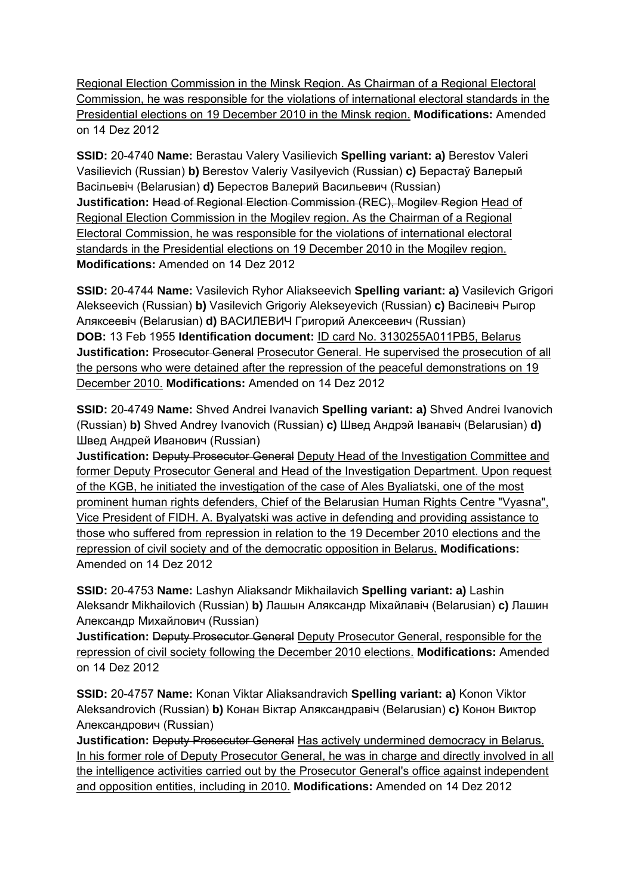Regional Election Commission in the Minsk Region. As Chairman of a Regional Electoral Commission, he was responsible for the violations of international electoral standards in the Presidential elections on 19 December 2010 in the Minsk region. **Modifications:** Amended on 14 Dez 2012

**SSID:** 20-4740 **Name:** Berastau Valery Vasilievich **Spelling variant: a)** Berestov Valeri Vasilievich (Russian) **b)** Berestov Valeriy Vasilyevich (Russian) **c)** Берастаў Валерый Васільевіч (Belarusian) **d)** Берестов Валерий Васильевич (Russian) **Justification:** Head of Regional Election Commission (REC), Mogilev Region Head of Regional Election Commission in the Mogilev region. As the Chairman of a Regional Electoral Commission, he was responsible for the violations of international electoral standards in the Presidential elections on 19 December 2010 in the Mogilev region. **Modifications:** Amended on 14 Dez 2012

**SSID:** 20-4744 **Name:** Vasilevich Ryhor Aliakseevich **Spelling variant: a)** Vasilevich Grigori Alekseevich (Russian) **b)** Vasilevich Grigoriy Alekseyevich (Russian) **c)** Васілевіч Рыгор Аляксеевіч (Belarusian) **d)** ВАСИЛЕВИЧ Григорий Алексеевич (Russian) **DOB:** 13 Feb 1955 **Identification document:** ID card No. 3130255A011PB5, Belarus **Justification:** Prosecutor General Prosecutor General. He supervised the prosecution of all the persons who were detained after the repression of the peaceful demonstrations on 19 December 2010. **Modifications:** Amended on 14 Dez 2012

**SSID:** 20-4749 **Name:** Shved Andrei Ivanavich **Spelling variant: a)** Shved Andrei Ivanovich (Russian) **b)** Shved Andrey Ivanovich (Russian) **c)** Швед Андрэй Іванавіч (Belarusian) **d)**  Швед Андрей Иванович (Russian)

**Justification: Deputy Prosecutor General Deputy Head of the Investigation Committee and** former Deputy Prosecutor General and Head of the Investigation Department. Upon request of the KGB, he initiated the investigation of the case of Ales Byaliatski, one of the most prominent human rights defenders, Chief of the Belarusian Human Rights Centre "Vyasna", Vice President of FIDH. A. Byalyatski was active in defending and providing assistance to those who suffered from repression in relation to the 19 December 2010 elections and the repression of civil society and of the democratic opposition in Belarus. **Modifications:**  Amended on 14 Dez 2012

**SSID:** 20-4753 **Name:** Lashyn Aliaksandr Mikhailavich **Spelling variant: a)** Lashin Aleksandr Mikhailovich (Russian) **b)** Лашын Аляксандр Міхайлавіч (Belarusian) **c)** Лашин Александр Михайлович (Russian)

**Justification:** Deputy Prosecutor General Deputy Prosecutor General, responsible for the repression of civil society following the December 2010 elections. **Modifications:** Amended on 14 Dez 2012

**SSID:** 20-4757 **Name:** Konan Viktar Aliaksandravich **Spelling variant: a)** Konon Viktor Aleksandrovich (Russian) **b)** Конан Віктар Аляксандравіч (Belarusian) **c)** Конон Виктор Александрович (Russian)

**Justification:** Deputy Prosecutor General Has actively undermined democracy in Belarus. In his former role of Deputy Prosecutor General, he was in charge and directly involved in all the intelligence activities carried out by the Prosecutor General's office against independent and opposition entities, including in 2010. **Modifications:** Amended on 14 Dez 2012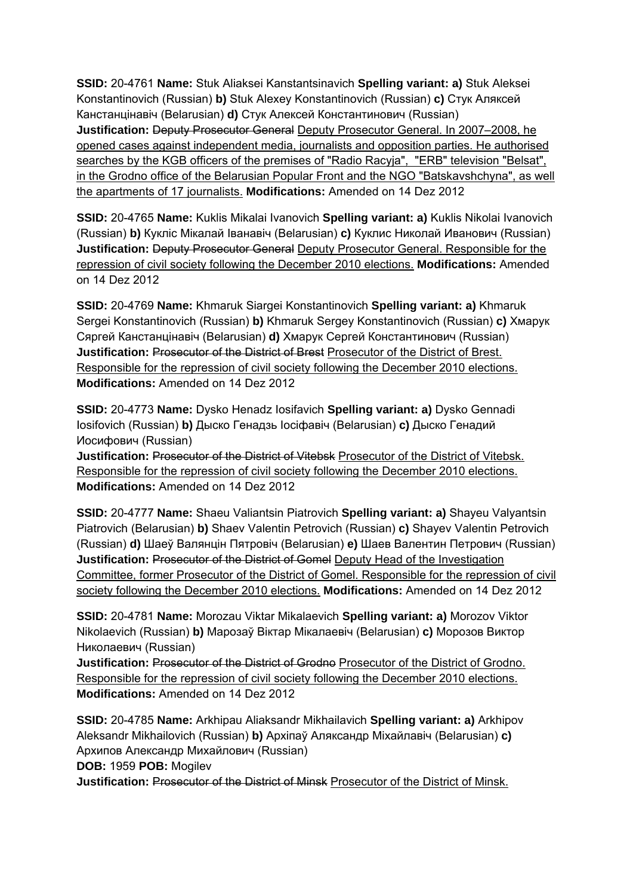**SSID:** 20-4761 **Name:** Stuk Aliaksei Kanstantsinavich **Spelling variant: a)** Stuk Aleksei Konstantinovich (Russian) **b)** Stuk Alexey Konstantinovich (Russian) **c)** Стук Аляксей Канстанцінавіч (Belarusian) **d)** Стук Алексей Константинович (Russian) **Justification:** Deputy Prosecutor General Deputy Prosecutor General. In 2007–2008, he opened cases against independent media, journalists and opposition parties. He authorised searches by the KGB officers of the premises of "Radio Racyja", "ERB" television "Belsat", in the Grodno office of the Belarusian Popular Front and the NGO "Batskavshchyna", as well the apartments of 17 journalists. **Modifications:** Amended on 14 Dez 2012

**SSID:** 20-4765 **Name:** Kuklis Mikalai Ivanovich **Spelling variant: a)** Kuklis Nikolai Ivanovich (Russian) **b)** Кукліс Мікалай Іванавіч (Belarusian) **c)** Куклис Николай Иванович (Russian) **Justification:** Deputy Prosecutor General Deputy Prosecutor General. Responsible for the repression of civil society following the December 2010 elections. **Modifications:** Amended on 14 Dez 2012

**SSID:** 20-4769 **Name:** Khmaruk Siargei Konstantinovich **Spelling variant: a)** Khmaruk Sergei Konstantinovich (Russian) **b)** Khmaruk Sergey Konstantinovich (Russian) **c)** Хмарук Сяргей Канстанцінавіч (Belarusian) **d)** Хмарук Сергей Константинович (Russian) **Justification:** Prosecutor of the District of Brest Prosecutor of the District of Brest. Responsible for the repression of civil society following the December 2010 elections. **Modifications:** Amended on 14 Dez 2012

**SSID:** 20-4773 **Name:** Dysko Henadz Iosifavich **Spelling variant: a)** Dysko Gennadi Iosifovich (Russian) **b)** Дыско Генадзь Іосіфавіч (Belarusian) **c)** Дыско Генадий Иосифович (Russian)

**Justification:** Prosecutor of the District of Vitebsk Prosecutor of the District of Vitebsk. Responsible for the repression of civil society following the December 2010 elections. **Modifications:** Amended on 14 Dez 2012

**SSID:** 20-4777 **Name:** Shaeu Valiantsin Piatrovich **Spelling variant: a)** Shayeu Valyantsin Piatrovich (Belarusian) **b)** Shaev Valentin Petrovich (Russian) **c)** Shayev Valentin Petrovich (Russian) **d)** Шаеў Валянцін Пятровіч (Belarusian) **e)** Шаев Валентин Петрович (Russian) **Justification: Prosecutor of the District of Gomel Deputy Head of the Investigation** Committee, former Prosecutor of the District of Gomel. Responsible for the repression of civil society following the December 2010 elections. **Modifications:** Amended on 14 Dez 2012

**SSID:** 20-4781 **Name:** Morozau Viktar Mikalaevich **Spelling variant: a)** Morozov Viktor Nikolaevich (Russian) **b)** Марозаў Віктар Мікалаевіч (Belarusian) **c)** Морозов Виктор Николаевич (Russian)

**Justification:** Prosecutor of the District of Grodno Prosecutor of the District of Grodno. Responsible for the repression of civil society following the December 2010 elections. **Modifications:** Amended on 14 Dez 2012

**SSID:** 20-4785 **Name:** Arkhipau Aliaksandr Mikhailavich **Spelling variant: a)** Arkhipov Aleksandr Mikhailovich (Russian) **b)** Архіпаў Аляксандр Міхайлавіч (Belarusian) **c)**  Архипов Александр Михайлович (Russian)

**DOB:** 1959 **POB:** Mogilev

**Justification:** Prosecutor of the District of Minsk Prosecutor of the District of Minsk.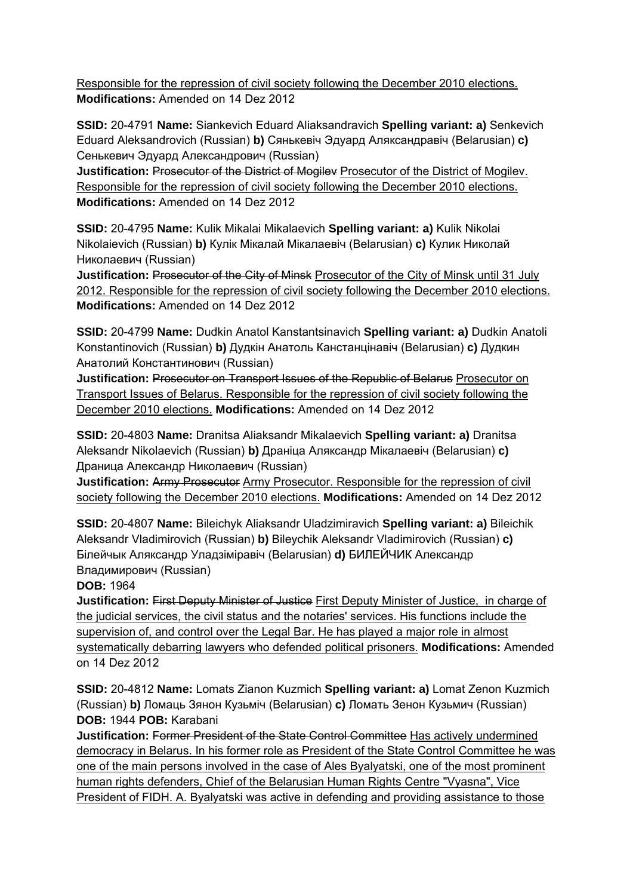Responsible for the repression of civil society following the December 2010 elections. **Modifications:** Amended on 14 Dez 2012

**SSID:** 20-4791 **Name:** Siankevich Eduard Aliaksandravich **Spelling variant: a)** Senkevich Eduard Aleksandrovich (Russian) **b)** Сянькевіч Эдуард Аляксандравіч (Belarusian) **c)**  Сенькевич Эдуард Александрович (Russian)

**Justification:** Prosecutor of the District of Mogiley Prosecutor of the District of Mogiley. Responsible for the repression of civil society following the December 2010 elections. **Modifications:** Amended on 14 Dez 2012

**SSID:** 20-4795 **Name:** Kulik Mikalai Mikalaevich **Spelling variant: a)** Kulik Nikolai Nikolaievich (Russian) **b)** Кулік Мікалай Мікалаевіч (Belarusian) **c)** Кулик Николай Николаевич (Russian)

**Justification: Prosecutor of the City of Minsk Prosecutor of the City of Minsk until 31 July** 2012. Responsible for the repression of civil society following the December 2010 elections. **Modifications:** Amended on 14 Dez 2012

**SSID:** 20-4799 **Name:** Dudkin Anatol Kanstantsinavich **Spelling variant: a)** Dudkin Anatoli Konstantinovich (Russian) **b)** Дудкін Анатоль Канстанцінавіч (Belarusian) **c)** Дудкин Анатолий Константинович (Russian)

**Justification: Prosecutor on Transport Issues of the Republic of Belarus Prosecutor on** Transport Issues of Belarus. Responsible for the repression of civil society following the December 2010 elections. **Modifications:** Amended on 14 Dez 2012

**SSID:** 20-4803 **Name:** Dranitsa Aliaksandr Mikalaevich **Spelling variant: a)** Dranitsa Aleksandr Nikolaevich (Russian) **b)** Драніца Аляксандр Мікалаевіч (Belarusian) **c)**  Драница Александр Николаевич (Russian)

**Justification:** Army Prosecutor Army Prosecutor. Responsible for the repression of civil society following the December 2010 elections. **Modifications:** Amended on 14 Dez 2012

**SSID:** 20-4807 **Name:** Bileichyk Aliaksandr Uladzimiravich **Spelling variant: a)** Bileichik Aleksandr Vladimirovich (Russian) **b)** Bileychik Aleksandr Vladimirovich (Russian) **c)**  Білейчык Аляксандр Уладзіміравіч (Belarusian) **d)** БИЛЕЙЧИК Александр Владимирович (Russian)

**DOB:** 1964

**Justification:** First Deputy Minister of Justice First Deputy Minister of Justice, in charge of the judicial services, the civil status and the notaries' services. His functions include the supervision of, and control over the Legal Bar. He has played a major role in almost systematically debarring lawyers who defended political prisoners. **Modifications:** Amended on 14 Dez 2012

**SSID:** 20-4812 **Name:** Lomats Zianon Kuzmich **Spelling variant: a)** Lomat Zenon Kuzmich (Russian) **b)** Ломаць Зянон Кузьміч (Belarusian) **c)** Ломать Зенон Кузьмич (Russian) **DOB:** 1944 **POB:** Karabani

**Justification:** Former President of the State Control Committee Has actively undermined democracy in Belarus. In his former role as President of the State Control Committee he was one of the main persons involved in the case of Ales Byalyatski, one of the most prominent human rights defenders, Chief of the Belarusian Human Rights Centre "Vyasna", Vice President of FIDH. A. Byalyatski was active in defending and providing assistance to those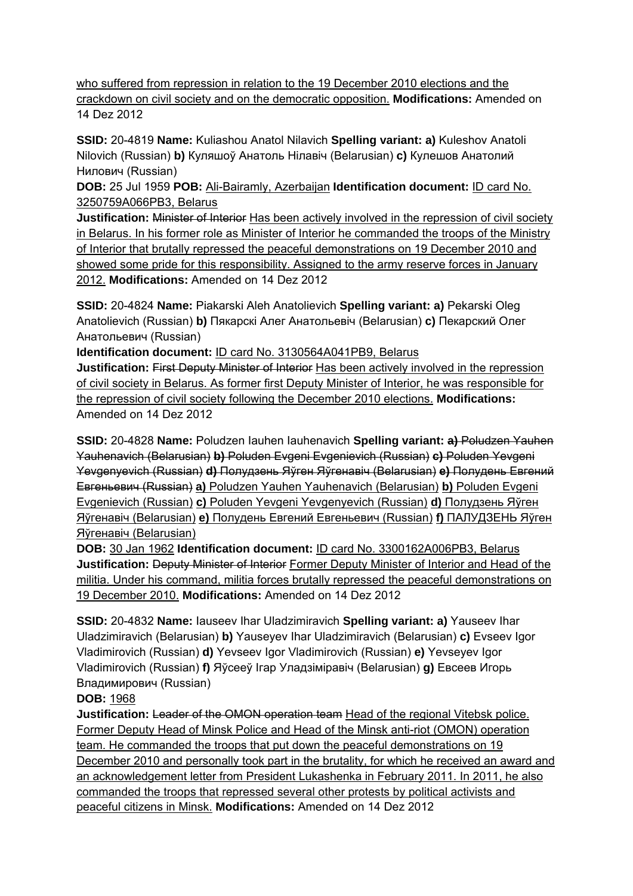who suffered from repression in relation to the 19 December 2010 elections and the crackdown on civil society and on the democratic opposition. **Modifications:** Amended on 14 Dez 2012

**SSID:** 20-4819 **Name:** Kuliashou Anatol Nilavich **Spelling variant: a)** Kuleshov Anatoli Nilovich (Russian) **b)** Куляшоў Анатоль Нілавіч (Belarusian) **c)** Кулешов Анатолий Нилович (Russian)

**DOB:** 25 Jul 1959 **POB:** Ali-Bairamly, Azerbaijan **Identification document:** ID card No. 3250759A066PB3, Belarus

**Justification:** Minister of Interior Has been actively involved in the repression of civil society in Belarus. In his former role as Minister of Interior he commanded the troops of the Ministry of Interior that brutally repressed the peaceful demonstrations on 19 December 2010 and showed some pride for this responsibility. Assigned to the army reserve forces in January 2012. **Modifications:** Amended on 14 Dez 2012

**SSID:** 20-4824 **Name:** Piakarski Aleh Anatolievich **Spelling variant: a)** Pekarski Oleg Anatolievich (Russian) **b)** Пякарскі Алег Анатольевіч (Belarusian) **c)** Пекарский Олег Анатольевич (Russian)

**Identification document:** ID card No. 3130564A041PB9, Belarus

**Justification:** First Deputy Minister of Interior Has been actively involved in the repression of civil society in Belarus. As former first Deputy Minister of Interior, he was responsible for the repression of civil society following the December 2010 elections. **Modifications:**  Amended on 14 Dez 2012

**SSID:** 20-4828 **Name:** Poludzen Iauhen Iauhenavich **Spelling variant: a)** Poludzen Yauhen Yauhenavich (Belarusian) **b)** Poluden Evgeni Evgenievich (Russian) **c)** Poluden Yevgeni Yevgenyevich (Russian) **d)** Полудзень Яўген Яўгенавіч (Belarusian) **e)** Полудень Евгений Евгеньевич (Russian) **a)** Poludzen Yauhen Yauhenavich (Belarusian) **b)** Poluden Evgeni Evgenievich (Russian) **c)** Poluden Yevgeni Yevgenyevich (Russian) **d)** Полудзень Яўген Яўгенавіч (Belarusian) **e)** Полудень Евгений Евгеньевич (Russian) **f)** ПАЛУДЗЕНЬ Яўген Яўгенавiч (Belarusian)

**DOB:** 30 Jan 1962 **Identification document:** ID card No. 3300162A006PB3, Belarus **Justification:** Deputy Minister of Interior Former Deputy Minister of Interior and Head of the militia. Under his command, militia forces brutally repressed the peaceful demonstrations on 19 December 2010. **Modifications:** Amended on 14 Dez 2012

**SSID:** 20-4832 **Name:** Iauseev Ihar Uladzimiravich **Spelling variant: a)** Yauseev Ihar Uladzimiravich (Belarusian) **b)** Yauseyev Ihar Uladzimiravich (Belarusian) **c)** Evseev Igor Vladimirovich (Russian) **d)** Yevseev Igor Vladimirovich (Russian) **e)** Yevseyev Igor Vladimirovich (Russian) **f)** Яўсееў Ігар Уладзіміравіч (Belarusian) **g)** Евсеев Игорь Владимирович (Russian)

# **DOB:** 1968

**Justification: Leader of the OMON operation team Head of the regional Vitebsk police.** Former Deputy Head of Minsk Police and Head of the Minsk anti-riot (OMON) operation team. He commanded the troops that put down the peaceful demonstrations on 19 December 2010 and personally took part in the brutality, for which he received an award and an acknowledgement letter from President Lukashenka in February 2011. In 2011, he also commanded the troops that repressed several other protests by political activists and peaceful citizens in Minsk. **Modifications:** Amended on 14 Dez 2012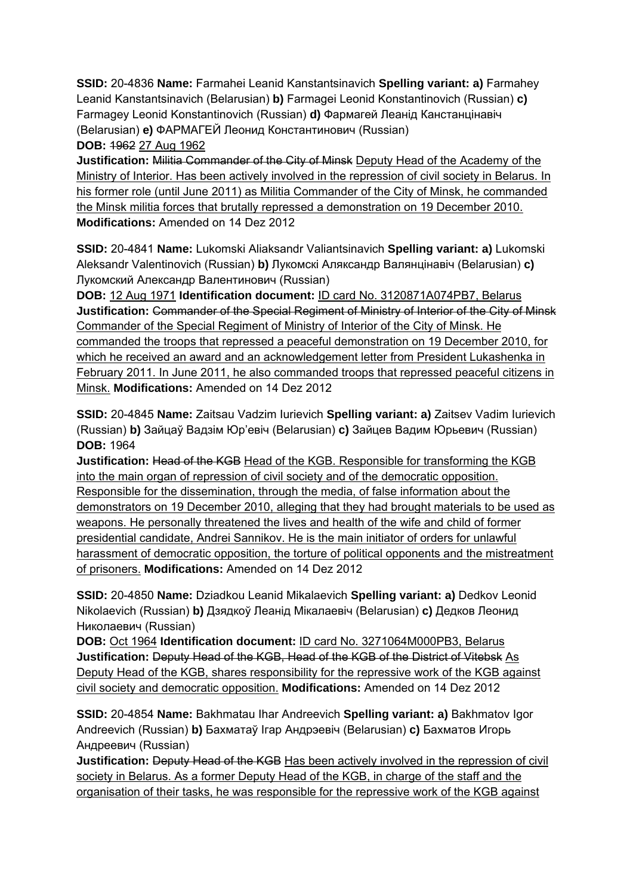**SSID:** 20-4836 **Name:** Farmahei Leanid Kanstantsinavich **Spelling variant: a)** Farmahey Leanid Kanstantsinavich (Belarusian) **b)** Farmagei Leonid Konstantinovich (Russian) **c)**  Farmagey Leonid Konstantinovich (Russian) **d)** Фармагей Леанід Канстанцінавіч (Belarusian) **e)** ФАРМАГЕЙ Леонид Константинович (Russian) **DOB:** 1962 27 Aug 1962

**Justification:** Militia Commander of the City of Minsk Deputy Head of the Academy of the Ministry of Interior. Has been actively involved in the repression of civil society in Belarus. In his former role (until June 2011) as Militia Commander of the City of Minsk, he commanded the Minsk militia forces that brutally repressed a demonstration on 19 December 2010. **Modifications:** Amended on 14 Dez 2012

**SSID:** 20-4841 **Name:** Lukomski Aliaksandr Valiantsinavich **Spelling variant: a)** Lukomski Aleksandr Valentinovich (Russian) **b)** Лукомскі Аляксандр Валянцінавіч (Belarusian) **c)**  Лукомский Александр Валентинович (Russian)

**DOB:** 12 Aug 1971 **Identification document:** ID card No. 3120871A074PB7, Belarus **Justification:** Commander of the Special Regiment of Ministry of Interior of the City of Minsk Commander of the Special Regiment of Ministry of Interior of the City of Minsk. He commanded the troops that repressed a peaceful demonstration on 19 December 2010, for which he received an award and an acknowledgement letter from President Lukashenka in February 2011. In June 2011, he also commanded troops that repressed peaceful citizens in Minsk. **Modifications:** Amended on 14 Dez 2012

**SSID:** 20-4845 **Name:** Zaitsau Vadzim Iurievich **Spelling variant: a)** Zaitsev Vadim Iurievich (Russian) **b)** Зайцаў Вадзім Юр'евіч (Belarusian) **c)** Зайцев Вадим Юрьевич (Russian) **DOB:** 1964

**Justification:** Head of the KGB Head of the KGB. Responsible for transforming the KGB into the main organ of repression of civil society and of the democratic opposition. Responsible for the dissemination, through the media, of false information about the demonstrators on 19 December 2010, alleging that they had brought materials to be used as weapons. He personally threatened the lives and health of the wife and child of former presidential candidate, Andrei Sannikov. He is the main initiator of orders for unlawful harassment of democratic opposition, the torture of political opponents and the mistreatment of prisoners. **Modifications:** Amended on 14 Dez 2012

**SSID:** 20-4850 **Name:** Dziadkou Leanid Mikalaevich **Spelling variant: a)** Dedkov Leonid Nikolaevich (Russian) **b)** Дзядкоў Леанід Мікалаевіч (Belarusian) **c)** Дедков Леонид Николаевич (Russian)

**DOB:** Oct 1964 **Identification document:** ID card No. 3271064M000PB3, Belarus **Justification:** Deputy Head of the KGB, Head of the KGB of the District of Vitebsk As Deputy Head of the KGB, shares responsibility for the repressive work of the KGB against civil society and democratic opposition. **Modifications:** Amended on 14 Dez 2012

**SSID:** 20-4854 **Name:** Bakhmatau Ihar Andreevich **Spelling variant: a)** Bakhmatov Igor Andreevich (Russian) **b)** Бахматаў Ігар Андрэевіч (Belarusian) **c)** Бахматов Игорь Андреевич (Russian)

**Justification:** Deputy Head of the KGB Has been actively involved in the repression of civil society in Belarus. As a former Deputy Head of the KGB, in charge of the staff and the organisation of their tasks, he was responsible for the repressive work of the KGB against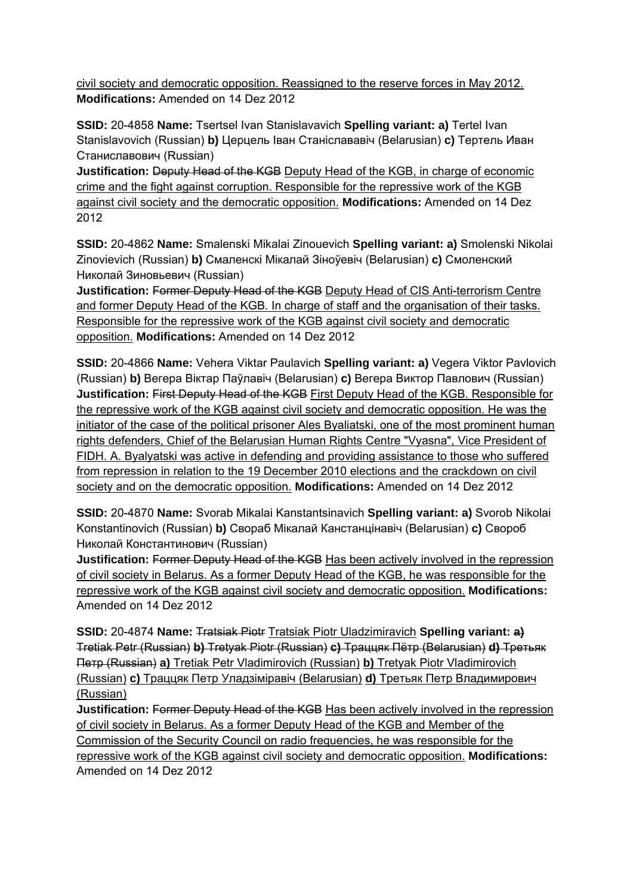civil society and democratic opposition. Reassigned to the reserve forces in May 2012. **Modifications:** Amended on 14 Dez 2012

**SSID:** 20-4858 **Name:** Tsertsel Ivan Stanislavavich **Spelling variant: a)** Tertel Ivan Stanislavovich (Russian) **b)** Церцель Іван Станіслававіч (Belarusian) **c)** Тертель Иван Станиславович (Russian)

**Justification:** Deputy Head of the KGB Deputy Head of the KGB, in charge of economic crime and the fight against corruption. Responsible for the repressive work of the KGB against civil society and the democratic opposition. **Modifications:** Amended on 14 Dez 2012

**SSID:** 20-4862 **Name:** Smalenski Mikalai Zinouevich **Spelling variant: a)** Smolenski Nikolai Zinovievich (Russian) **b)** Смаленскі Мікалай Зіноўевіч (Belarusian) **c)** Смоленский Николай Зиновьевич (Russian)

**Justification:** Former Deputy Head of the KGB Deputy Head of CIS Anti-terrorism Centre and former Deputy Head of the KGB. In charge of staff and the organisation of their tasks. Responsible for the repressive work of the KGB against civil society and democratic opposition. **Modifications:** Amended on 14 Dez 2012

**SSID:** 20-4866 **Name:** Vehera Viktar Paulavich **Spelling variant: a)** Vegera Viktor Pavlovich (Russian) **b)** Вегера Віктар Паўлавіч (Belarusian) **c)** Вегера Виктор Павлович (Russian) **Justification:** First Deputy Head of the KGB First Deputy Head of the KGB. Responsible for the repressive work of the KGB against civil society and democratic opposition. He was the initiator of the case of the political prisoner Ales Byaliatski, one of the most prominent human rights defenders, Chief of the Belarusian Human Rights Centre "Vyasna", Vice President of FIDH. A. Byalyatski was active in defending and providing assistance to those who suffered from repression in relation to the 19 December 2010 elections and the crackdown on civil society and on the democratic opposition. **Modifications:** Amended on 14 Dez 2012

**SSID:** 20-4870 **Name:** Svorab Mikalai Kanstantsinavich **Spelling variant: a)** Svorob Nikolai Konstantinovich (Russian) **b)** Свораб Мікалай Канстанцінавіч (Belarusian) **c)** Свороб Николай Константинович (Russian)

**Justification:** Former Deputy Head of the KGB Has been actively involved in the repression of civil society in Belarus. As a former Deputy Head of the KGB, he was responsible for the repressive work of the KGB against civil society and democratic opposition. **Modifications:**  Amended on 14 Dez 2012

**SSID:** 20-4874 **Name:** Tratsiak Piotr Tratsiak Piotr Uladzimiravich **Spelling variant: a**) Tretiak Petr (Russian) **b)** Tretyak Piotr (Russian) **c)** Траццяк Пётр (Belarusian) **d)** Третьяк Петр (Russian) **a)** Tretiak Petr Vladimirovich (Russian) **b)** Tretyak Piotr Vladimirovich (Russian) **c)** Траццяк Петр Уладзiмiравiч (Belarusian) **d)** Третьяк Петр Владимирович (Russian)

**Justification:** Former Deputy Head of the KGB Has been actively involved in the repression of civil society in Belarus. As a former Deputy Head of the KGB and Member of the Commission of the Security Council on radio frequencies, he was responsible for the repressive work of the KGB against civil society and democratic opposition. **Modifications:**  Amended on 14 Dez 2012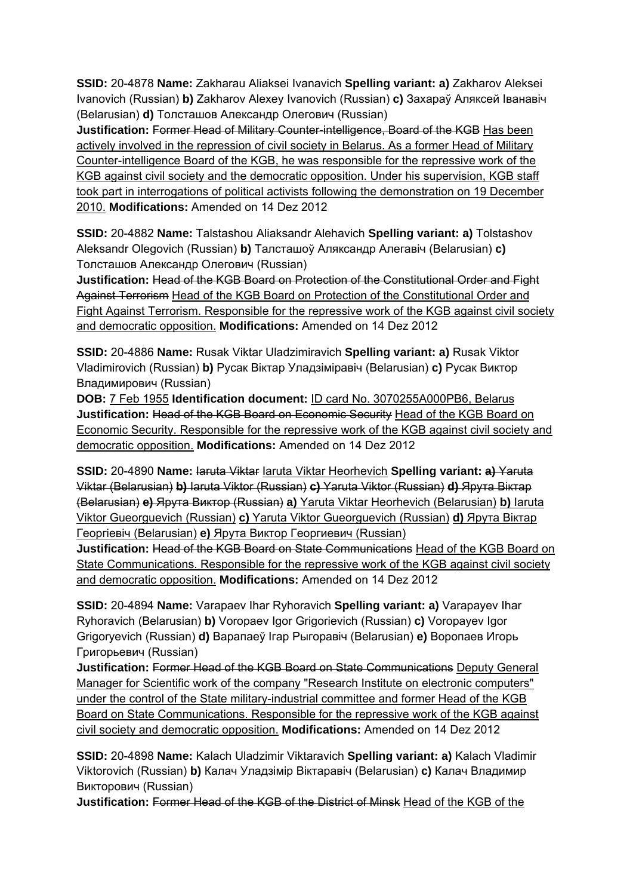**SSID:** 20-4878 **Name:** Zakharau Aliaksei Ivanavich **Spelling variant: a)** Zakharov Aleksei Ivanovich (Russian) **b)** Zakharov Alexey Ivanovich (Russian) **c)** Захараў Аляксей Іванавіч (Belarusian) **d)** Толсташов Александр Олегович (Russian)

**Justification:** Former Head of Military Counter-intelligence, Board of the KGB Has been actively involved in the repression of civil society in Belarus. As a former Head of Military Counter-intelligence Board of the KGB, he was responsible for the repressive work of the KGB against civil society and the democratic opposition. Under his supervision, KGB staff took part in interrogations of political activists following the demonstration on 19 December 2010. **Modifications:** Amended on 14 Dez 2012

**SSID:** 20-4882 **Name:** Talstashou Aliaksandr Alehavich **Spelling variant: a)** Tolstashov Aleksandr Olegovich (Russian) **b)** Талсташоў Аляксандр Алегавіч (Belarusian) **c)**  Толсташов Александр Олегович (Russian)

**Justification:** Head of the KGB Board on Protection of the Constitutional Order and Fight Against Terrorism Head of the KGB Board on Protection of the Constitutional Order and Fight Against Terrorism. Responsible for the repressive work of the KGB against civil society and democratic opposition. **Modifications:** Amended on 14 Dez 2012

**SSID:** 20-4886 **Name:** Rusak Viktar Uladzimiravich **Spelling variant: a)** Rusak Viktor Vladimirovich (Russian) **b)** Русак Віктар Уладзіміравіч (Belarusian) **c)** Русак Виктор Владимирович (Russian)

**DOB:** 7 Feb 1955 **Identification document:** ID card No. 3070255A000PB6, Belarus **Justification:** Head of the KGB Board on Economic Security Head of the KGB Board on Economic Security. Responsible for the repressive work of the KGB against civil society and democratic opposition. **Modifications:** Amended on 14 Dez 2012

**SSID:** 20-4890 Name: Iaruta Viktar Iaruta Viktar Heorhevich Spelling variant: a) Yaruta Viktar (Belarusian) **b)** Iaruta Viktor (Russian) **c)** Yaruta Viktor (Russian) **d)** Ярута Віктар (Belarusian) **e)** Ярута Виктор (Russian) **a)** Yaruta Viktar Heorhevich (Belarusian) **b)** Iaruta Viktor Gueorguevich (Russian) **c)** Yaruta Viktor Gueorguevich (Russian) **d)** Ярута Віктар Георгiевiч (Belarusian) **e)** Ярута Виктор Георгиевич (Russian)

**Justification:** Head of the KGB Board on State Communications Head of the KGB Board on State Communications. Responsible for the repressive work of the KGB against civil society and democratic opposition. **Modifications:** Amended on 14 Dez 2012

**SSID:** 20-4894 **Name:** Varapaev Ihar Ryhoravich **Spelling variant: a)** Varapayev Ihar Ryhoravich (Belarusian) **b)** Voropaev Igor Grigorievich (Russian) **c)** Voropayev Igor Grigoryevich (Russian) **d)** Варапаеў Ігар Рыгоравiч (Belarusian) **e)** Воропаев Игорь Григорьевич (Russian)

**Justification:** Former Head of the KGB Board on State Communications Deputy General Manager for Scientific work of the company "Research Institute on electronic computers" under the control of the State military-industrial committee and former Head of the KGB Board on State Communications. Responsible for the repressive work of the KGB against civil society and democratic opposition. **Modifications:** Amended on 14 Dez 2012

**SSID:** 20-4898 **Name:** Kalach Uladzimir Viktaravich **Spelling variant: a)** Kalach Vladimir Viktorovich (Russian) **b)** Калач Уладзімір Віктаравіч (Belarusian) **c)** Калач Владимир Викторович (Russian)

**Justification:** Former Head of the KGB of the District of Minsk Head of the KGB of the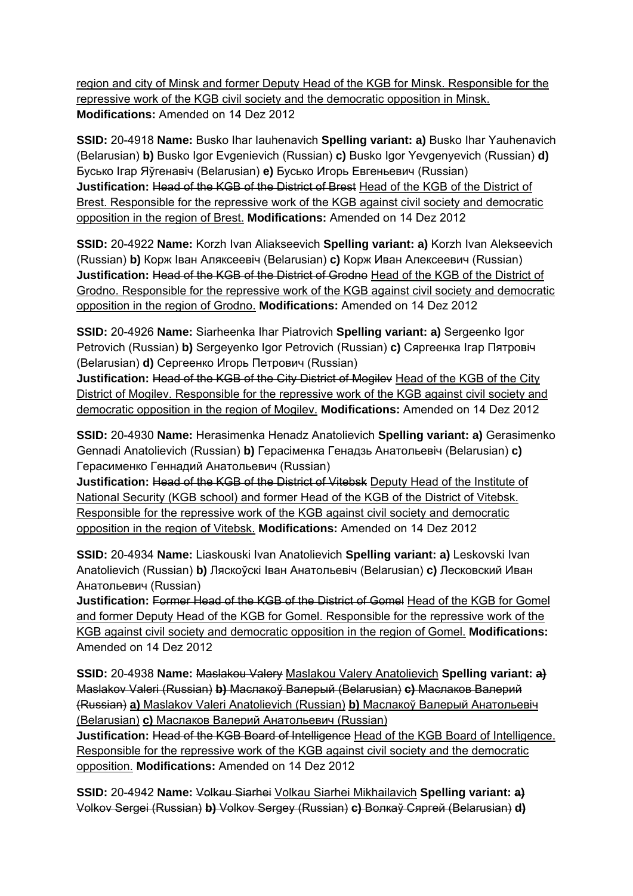region and city of Minsk and former Deputy Head of the KGB for Minsk. Responsible for the repressive work of the KGB civil society and the democratic opposition in Minsk. **Modifications:** Amended on 14 Dez 2012

**SSID:** 20-4918 **Name:** Busko Ihar Iauhenavich **Spelling variant: a)** Busko Ihar Yauhenavich (Belarusian) **b)** Busko Igor Evgenievich (Russian) **c)** Busko Igor Yevgenyevich (Russian) **d)**  Бусько Ігар Яўгенавіч (Belarusian) **e)** Бусько Игорь Евгеньевич (Russian) **Justification:** Head of the KGB of the District of Brest Head of the KGB of the District of Brest. Responsible for the repressive work of the KGB against civil society and democratic opposition in the region of Brest. **Modifications:** Amended on 14 Dez 2012

**SSID:** 20-4922 **Name:** Korzh Ivan Aliakseevich **Spelling variant: a)** Korzh Ivan Alekseevich (Russian) **b)** Корж Іван Аляксеевіч (Belarusian) **c)** Корж Иван Алексеевич (Russian) **Justification:** Head of the KGB of the District of Grodno Head of the KGB of the District of Grodno. Responsible for the repressive work of the KGB against civil society and democratic opposition in the region of Grodno. **Modifications:** Amended on 14 Dez 2012

**SSID:** 20-4926 **Name:** Siarheenka Ihar Piatrovich **Spelling variant: a)** Sergeenko Igor Petrovich (Russian) **b)** Sergeyenko Igor Petrovich (Russian) **c)** Сяргеенка Ігар Пятровіч (Belarusian) **d)** Сергеенко Игорь Петрович (Russian)

**Justification:** Head of the KGB of the City District of Mogilev Head of the KGB of the City District of Mogilev. Responsible for the repressive work of the KGB against civil society and democratic opposition in the region of Mogilev. **Modifications:** Amended on 14 Dez 2012

**SSID:** 20-4930 **Name:** Herasimenka Henadz Anatolievich **Spelling variant: a)** Gerasimenko Gennadi Anatolievich (Russian) **b)** Герасіменка Генадзь Анатольевіч (Belarusian) **c)**  Герасименко Геннадий Анатольевич (Russian)

**Justification:** Head of the KGB of the District of Vitebsk Deputy Head of the Institute of National Security (KGB school) and former Head of the KGB of the District of Vitebsk. Responsible for the repressive work of the KGB against civil society and democratic opposition in the region of Vitebsk. **Modifications:** Amended on 14 Dez 2012

**SSID:** 20-4934 **Name:** Liaskouski Ivan Anatolievich **Spelling variant: a)** Leskovski Ivan Anatolievich (Russian) **b)** Ляскоўскі Іван Анатольевіч (Belarusian) **c)** Лесковский Иван Анатольевич (Russian)

**Justification:** Former Head of the KGB of the District of Gomel Head of the KGB for Gomel and former Deputy Head of the KGB for Gomel. Responsible for the repressive work of the KGB against civil society and democratic opposition in the region of Gomel. **Modifications:**  Amended on 14 Dez 2012

**SSID:** 20-4938 **Name:** Maslakou Valery Maslakou Valery Anatolievich **Spelling variant: a)**  Maslakov Valeri (Russian) **b)** Маслакоў Валерый (Belarusian) **c)** Маслаков Валерий (Russian) **a)** Maslakov Valeri Anatolievich (Russian) **b)** Маслакоў Валерый Анатольевiч (Belarusian) **c)** Маслаков Валерий Анатольевич (Russian)

**Justification:** Head of the KGB Board of Intelligence Head of the KGB Board of Intelligence. Responsible for the repressive work of the KGB against civil society and the democratic opposition. **Modifications:** Amended on 14 Dez 2012

**SSID:** 20-4942 **Name:** Volkau Siarhei Volkau Siarhei Mikhailavich **Spelling variant: a)**  Volkov Sergei (Russian) **b)** Volkov Sergey (Russian) **c)** Волкаў Сяргей (Belarusian) **d)**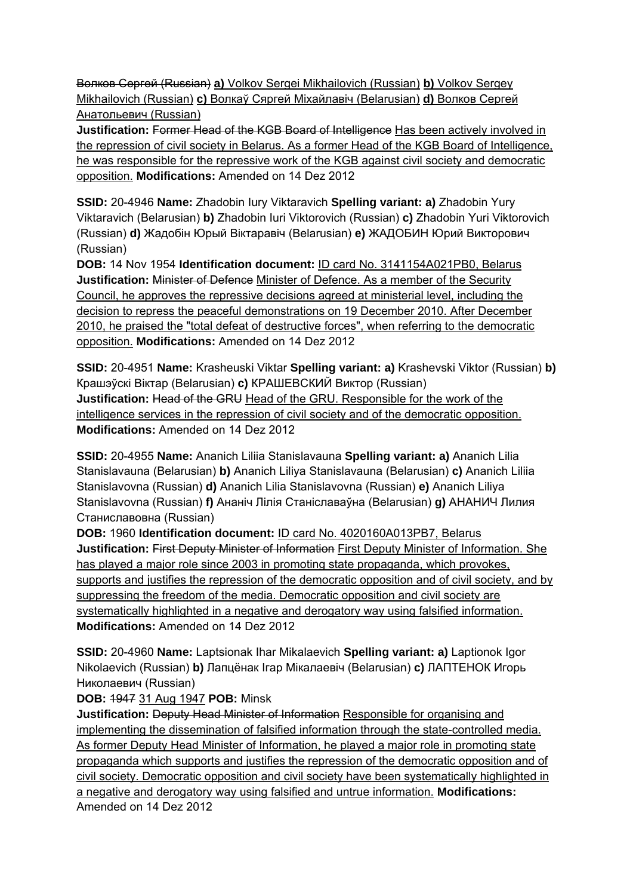Волков Сергей (Russian) **a)** Volkov Sergei Mikhailovich (Russian) **b)** Volkov Sergey Mikhailovich (Russian) **c)** Волкаў Сяргей Мiхайлавiч (Belarusian) **d)** Волков Сергей Анатольевич (Russian)

**Justification:** Former Head of the KGB Board of Intelligence Has been actively involved in the repression of civil society in Belarus. As a former Head of the KGB Board of Intelligence, he was responsible for the repressive work of the KGB against civil society and democratic opposition. **Modifications:** Amended on 14 Dez 2012

**SSID:** 20-4946 **Name:** Zhadobin Iury Viktaravich **Spelling variant: a)** Zhadobin Yury Viktaravich (Belarusian) **b)** Zhadobin Iuri Viktorovich (Russian) **c)** Zhadobin Yuri Viktorovich (Russian) **d)** Жадобін Юрый Віктаравіч (Belarusian) **e)** ЖАДОБИН Юрий Викторович (Russian)

**DOB:** 14 Nov 1954 **Identification document:** ID card No. 3141154A021PB0, Belarus **Justification:** Minister of Defence Minister of Defence. As a member of the Security Council, he approves the repressive decisions agreed at ministerial level, including the decision to repress the peaceful demonstrations on 19 December 2010. After December 2010, he praised the "total defeat of destructive forces", when referring to the democratic opposition. **Modifications:** Amended on 14 Dez 2012

**SSID:** 20-4951 **Name:** Krasheuski Viktar **Spelling variant: a)** Krashevski Viktor (Russian) **b)**  Крашэўскі Віктар (Belarusian) **c)** КРАШЕВСКИЙ Виктор (Russian) **Justification:** Head of the GRU Head of the GRU. Responsible for the work of the intelligence services in the repression of civil society and of the democratic opposition. **Modifications:** Amended on 14 Dez 2012

**SSID:** 20-4955 **Name:** Ananich Liliia Stanislavauna **Spelling variant: a)** Ananich Lilia Stanislavauna (Belarusian) **b)** Ananich Liliya Stanislavauna (Belarusian) **c)** Ananich Liliia Stanislavovna (Russian) **d)** Ananich Lilia Stanislavovna (Russian) **e)** Ananich Liliya Stanislavovna (Russian) **f)** Ананіч Лілія Станіславаўна (Belarusian) **g)** АНАНИЧ Лилия Станиславовна (Russian)

**DOB:** 1960 **Identification document:** ID card No. 4020160A013PB7, Belarus **Justification:** First Deputy Minister of Information First Deputy Minister of Information. She has played a major role since 2003 in promoting state propaganda, which provokes, supports and justifies the repression of the democratic opposition and of civil society, and by suppressing the freedom of the media. Democratic opposition and civil society are systematically highlighted in a negative and derogatory way using falsified information. **Modifications:** Amended on 14 Dez 2012

**SSID:** 20-4960 **Name:** Laptsionak Ihar Mikalaevich **Spelling variant: a)** Laptionok Igor Nikolaevich (Russian) **b)** Лапцёнак Ігар Мікалаевіч (Belarusian) **c)** ЛАПТЕНОК Игорь Николаевич (Russian)

**DOB:** 1947 31 Aug 1947 **POB:** Minsk

**Justification: Deputy Head Minister of Information Responsible for organising and** implementing the dissemination of falsified information through the state-controlled media. As former Deputy Head Minister of Information, he played a major role in promoting state propaganda which supports and justifies the repression of the democratic opposition and of civil society. Democratic opposition and civil society have been systematically highlighted in a negative and derogatory way using falsified and untrue information. **Modifications:**  Amended on 14 Dez 2012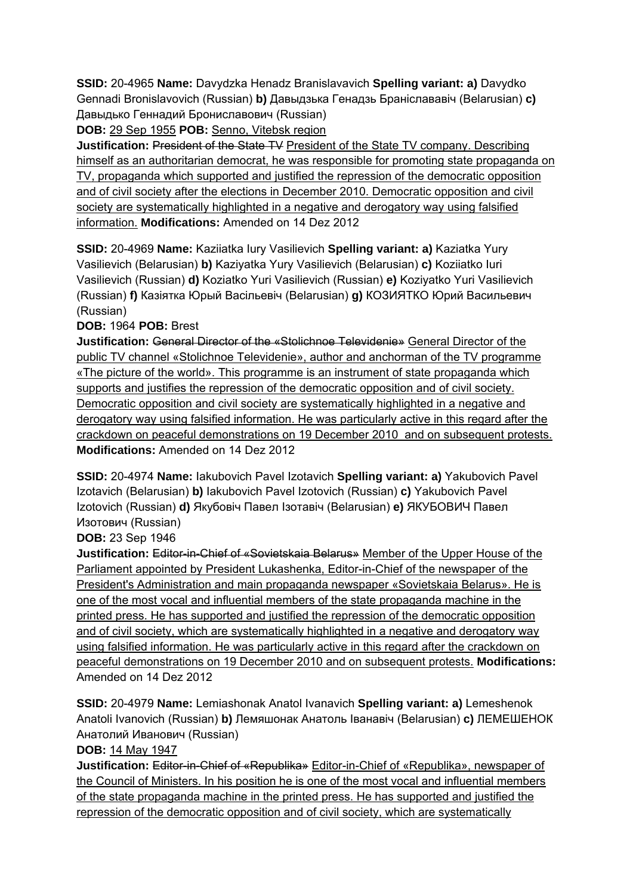**SSID:** 20-4965 **Name:** Davydzka Henadz Branislavavich **Spelling variant: a)** Davydko Gennadi Bronislavovich (Russian) **b)** Давыдзька Генадзь Браніслававіч (Belarusian) **c)**  Давыдько Геннадий Брониславович (Russian)

**DOB:** 29 Sep 1955 **POB:** Senno, Vitebsk region

**Justification:** President of the State TV President of the State TV company. Describing himself as an authoritarian democrat, he was responsible for promoting state propaganda on TV, propaganda which supported and justified the repression of the democratic opposition and of civil society after the elections in December 2010. Democratic opposition and civil society are systematically highlighted in a negative and derogatory way using falsified information. **Modifications:** Amended on 14 Dez 2012

**SSID:** 20-4969 **Name:** Kaziiatka Iury Vasilievich **Spelling variant: a)** Kaziatka Yury Vasilievich (Belarusian) **b)** Kaziyatka Yury Vasilievich (Belarusian) **c)** Koziiatko Iuri Vasilievich (Russian) **d)** Koziatko Yuri Vasilievich (Russian) **e)** Koziyatko Yuri Vasilievich (Russian) **f)** Казіятка Юрый Васільевіч (Belarusian) **g)** КОЗИЯТКО Юрий Васильевич (Russian)

**DOB:** 1964 **POB:** Brest

**Justification:** General Director of the «Stolichnoe Televidenie» General Director of the public TV channel «Stolichnoe Televidenie», author and anchorman of the TV programme «The picture of the world». This programme is an instrument of state propaganda which supports and justifies the repression of the democratic opposition and of civil society. Democratic opposition and civil society are systematically highlighted in a negative and derogatory way using falsified information. He was particularly active in this regard after the crackdown on peaceful demonstrations on 19 December 2010 and on subsequent protests. **Modifications:** Amended on 14 Dez 2012

**SSID:** 20-4974 **Name:** Iakubovich Pavel Izotavich **Spelling variant: a)** Yakubovich Pavel Izotavich (Belarusian) **b)** Iakubovich Pavel Izotovich (Russian) **c)** Yakubovich Pavel Izotovich (Russian) **d)** Якубовіч Павел Ізотавіч (Belarusian) **e)** ЯКУБОВИЧ Павел Изотович (Russian)

**DOB:** 23 Sep 1946

**Justification:** Editor-in-Chief of «Sovietskaia Belarus» Member of the Upper House of the Parliament appointed by President Lukashenka, Editor-in-Chief of the newspaper of the President's Administration and main propaganda newspaper «Sovietskaia Belarus». He is one of the most vocal and influential members of the state propaganda machine in the printed press. He has supported and justified the repression of the democratic opposition and of civil society, which are systematically highlighted in a negative and derogatory way using falsified information. He was particularly active in this regard after the crackdown on peaceful demonstrations on 19 December 2010 and on subsequent protests. **Modifications:**  Amended on 14 Dez 2012

**SSID:** 20-4979 **Name:** Lemiashonak Anatol Ivanavich **Spelling variant: a)** Lemeshenok Anatoli Ivanovich (Russian) **b)** Лемяшонак Анатоль Іванавіч (Belarusian) **c)** ЛЕМЕШЕНОК Анатолий Иванович (Russian)

**DOB:** 14 May 1947

**Justification:** Editor-in-Chief of «Republika» Editor-in-Chief of «Republika», newspaper of the Council of Ministers. In his position he is one of the most vocal and influential members of the state propaganda machine in the printed press. He has supported and justified the repression of the democratic opposition and of civil society, which are systematically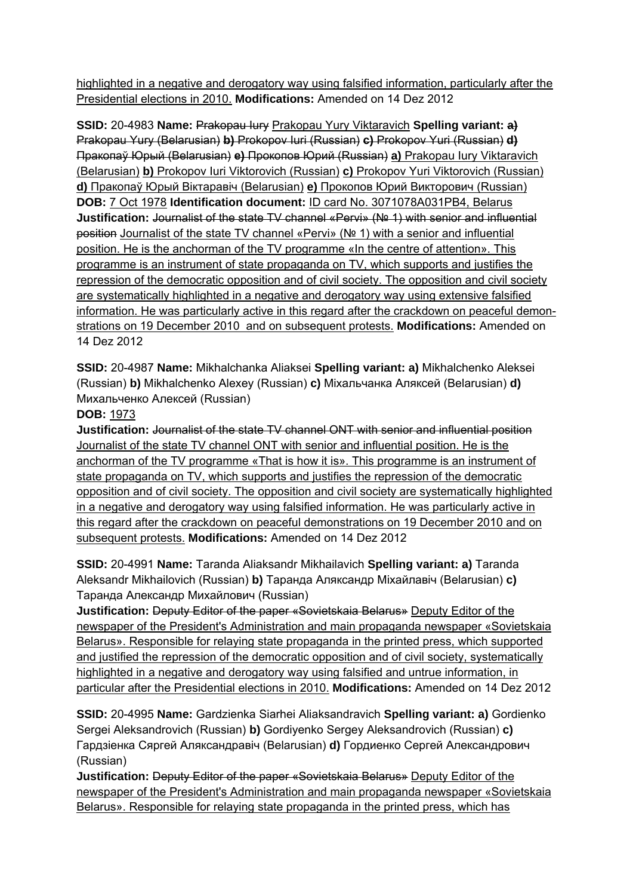highlighted in a negative and derogatory way using falsified information, particularly after the Presidential elections in 2010. **Modifications:** Amended on 14 Dez 2012

**SSID:** 20-4983 Name: Prakopau Iury Prakopau Yury Viktaravich **Spelling variant: a)** Prakopau Yury (Belarusian) **b)** Prokopov Iuri (Russian) **c)** Prokopov Yuri (Russian) **d)**  Пракопаў Юрый (Belarusian) **e)** Прокопов Юрий (Russian) **a)** Prakopau Iury Viktaravich (Belarusian) **b)** Prokopov Iuri Viktorovich (Russian) **c)** Prokopov Yuri Viktorovich (Russian) **d)** Пракопаў Юрый Вiктаравiч (Belarusian) **e)** Прокопов Юрий Викторович (Russian) **DOB:** 7 Oct 1978 **Identification document:** ID card No. 3071078A031PB4, Belarus **Justification:** Journalist of the state TV channel «Pervi» (№ 1) with senior and influential position Journalist of the state TV channel «Pervi» (№ 1) with a senior and influential position. He is the anchorman of the TV programme «In the centre of attention». This programme is an instrument of state propaganda on TV, which supports and justifies the repression of the democratic opposition and of civil society. The opposition and civil society are systematically highlighted in a negative and derogatory way using extensive falsified information. He was particularly active in this regard after the crackdown on peaceful demonstrations on 19 December 2010 and on subsequent protests. **Modifications:** Amended on 14 Dez 2012

**SSID:** 20-4987 **Name:** Mikhalchanka Aliaksei **Spelling variant: a)** Mikhalchenko Aleksei (Russian) **b)** Mikhalchenko Alexey (Russian) **c)** Міхальчанка Аляксей (Belarusian) **d)**  Михальченко Алексей (Russian)

### **DOB:** 1973

**Justification:** Journalist of the state TV channel ONT with senior and influential position Journalist of the state TV channel ONT with senior and influential position. He is the anchorman of the TV programme «That is how it is». This programme is an instrument of state propaganda on TV, which supports and justifies the repression of the democratic opposition and of civil society. The opposition and civil society are systematically highlighted in a negative and derogatory way using falsified information. He was particularly active in this regard after the crackdown on peaceful demonstrations on 19 December 2010 and on subsequent protests. **Modifications:** Amended on 14 Dez 2012

**SSID:** 20-4991 **Name:** Taranda Aliaksandr Mikhailavich **Spelling variant: a)** Taranda Aleksandr Mikhailovich (Russian) **b)** Таранда Аляксандр Міхайлавіч (Belarusian) **c)**  Таранда Александр Михайлович (Russian)

**Justification:** Deputy Editor of the paper «Sovietskaia Belarus» Deputy Editor of the newspaper of the President's Administration and main propaganda newspaper «Sovietskaia Belarus». Responsible for relaying state propaganda in the printed press, which supported and justified the repression of the democratic opposition and of civil society, systematically highlighted in a negative and derogatory way using falsified and untrue information, in particular after the Presidential elections in 2010. **Modifications:** Amended on 14 Dez 2012

**SSID:** 20-4995 **Name:** Gardzienka Siarhei Aliaksandravich **Spelling variant: a)** Gordienko Sergei Aleksandrovich (Russian) **b)** Gordiyenko Sergey Aleksandrovich (Russian) **c)**  Гардзіенка Сяргей Аляксандравіч (Belarusian) **d)** Гордиенко Сергей Александрович (Russian)

**Justification:** Deputy Editor of the paper «Sovietskaia Belarus» Deputy Editor of the newspaper of the President's Administration and main propaganda newspaper «Sovietskaia Belarus». Responsible for relaying state propaganda in the printed press, which has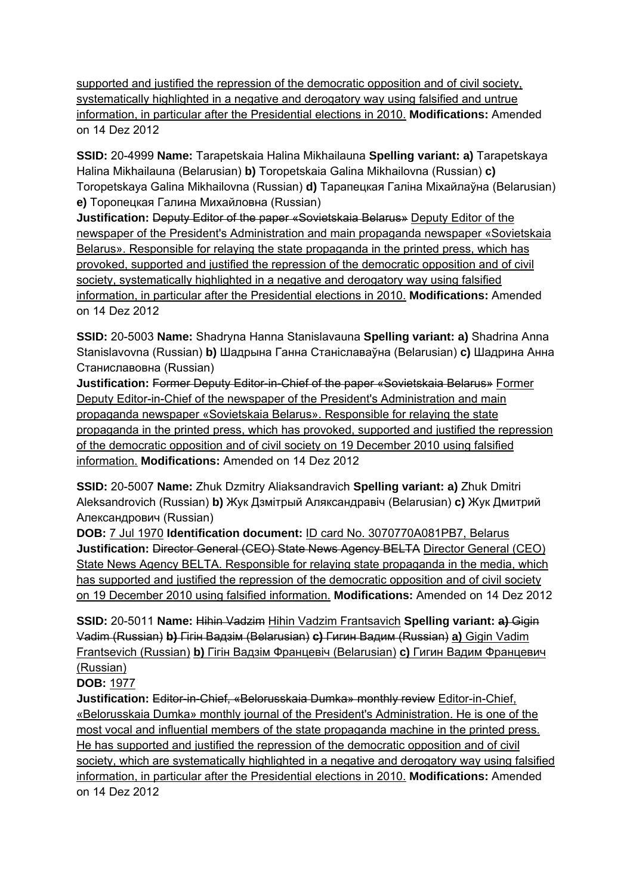supported and justified the repression of the democratic opposition and of civil society, systematically highlighted in a negative and derogatory way using falsified and untrue information, in particular after the Presidential elections in 2010. **Modifications:** Amended on 14 Dez 2012

**SSID:** 20-4999 **Name:** Tarapetskaia Halina Mikhailauna **Spelling variant: a)** Tarapetskaya Halina Mikhailauna (Belarusian) **b)** Toropetskaia Galina Mikhailovna (Russian) **c)**  Toropetskaya Galina Mikhailovna (Russian) **d)** Тарапецкая Галіна Міхайлаўна (Belarusian) **e)** Торопецкая Галина Михайловна (Russian)

**Justification:** Deputy Editor of the paper «Sovietskaia Belarus» Deputy Editor of the newspaper of the President's Administration and main propaganda newspaper «Sovietskaia Belarus». Responsible for relaying the state propaganda in the printed press, which has provoked, supported and justified the repression of the democratic opposition and of civil society, systematically highlighted in a negative and derogatory way using falsified information, in particular after the Presidential elections in 2010. **Modifications:** Amended on 14 Dez 2012

**SSID:** 20-5003 **Name:** Shadryna Hanna Stanislavauna **Spelling variant: a)** Shadrina Anna Stanislavovna (Russian) **b)** Шадрына Ганна Станіславаўна (Belarusian) **c)** Шадрина Анна Станиславовна (Russian)

**Justification:** Former Deputy Editor-in-Chief of the paper «Sovietskaia Belarus» Former Deputy Editor-in-Chief of the newspaper of the President's Administration and main propaganda newspaper «Sovietskaia Belarus». Responsible for relaying the state propaganda in the printed press, which has provoked, supported and justified the repression of the democratic opposition and of civil society on 19 December 2010 using falsified information. **Modifications:** Amended on 14 Dez 2012

**SSID:** 20-5007 **Name:** Zhuk Dzmitry Aliaksandravich **Spelling variant: a)** Zhuk Dmitri Aleksandrovich (Russian) **b)** Жук Дзмітрый Аляксандравіч (Belarusian) **c)** Жук Дмитрий Александрович (Russian)

**DOB:** 7 Jul 1970 **Identification document:** ID card No. 3070770A081PB7, Belarus **Justification:** Director General (CEO) State News Agency BELTA Director General (CEO) State News Agency BELTA. Responsible for relaying state propaganda in the media, which has supported and justified the repression of the democratic opposition and of civil society on 19 December 2010 using falsified information. **Modifications:** Amended on 14 Dez 2012

**SSID:** 20-5011 **Name:** Hihin Vadzim Hihin Vadzim Frantsavich **Spelling variant: a)** Gigin Vadim (Russian) **b)** Гігін Вадзім (Belarusian) **c)** Гигин Вадим (Russian) **a)** Gigin Vadim Frantsevich (Russian) **b)** Гігін Вадзім Францевiч (Belarusian) **c)** Гигин Вадим Францевич (Russian)

# **DOB:** 1977

**Justification:** Editor-in-Chief, «Belorusskaia Dumka» monthly review Editor-in-Chief, «Belorusskaia Dumka» monthly journal of the President's Administration. He is one of the most vocal and influential members of the state propaganda machine in the printed press. He has supported and justified the repression of the democratic opposition and of civil society, which are systematically highlighted in a negative and derogatory way using falsified information, in particular after the Presidential elections in 2010. **Modifications:** Amended on 14 Dez 2012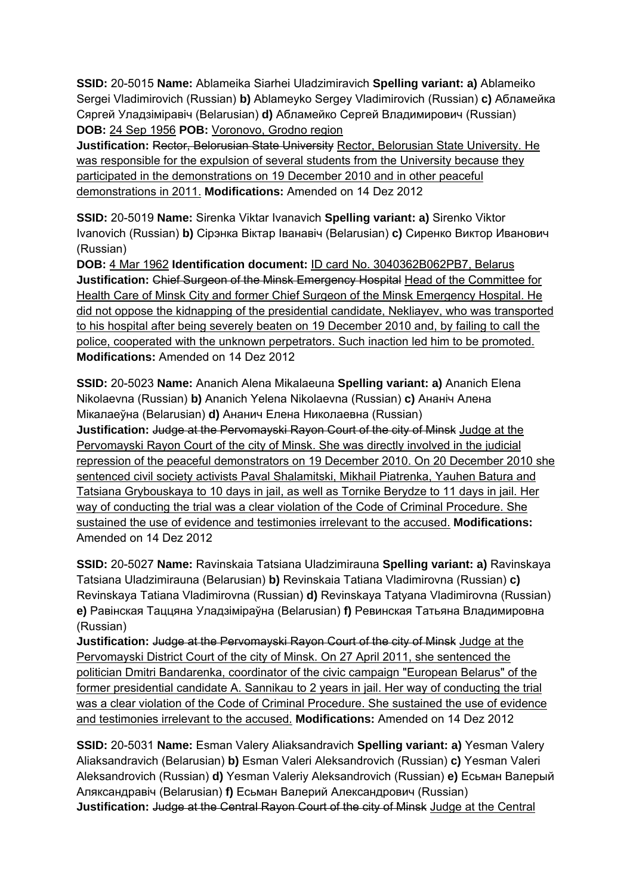**SSID:** 20-5015 **Name:** Ablameika Siarhei Uladzimiravich **Spelling variant: a)** Ablameiko Sergei Vladimirovich (Russian) **b)** Ablameyko Sergey Vladimirovich (Russian) **c)** Абламейка Сяргей Уладзіміравіч (Belarusian) **d)** Абламейко Сергей Владимирович (Russian) **DOB:** 24 Sep 1956 **POB:** Voronovo, Grodno region

**Justification:** Rector, Belorusian State University Rector, Belorusian State University. He was responsible for the expulsion of several students from the University because they participated in the demonstrations on 19 December 2010 and in other peaceful demonstrations in 2011. **Modifications:** Amended on 14 Dez 2012

**SSID:** 20-5019 **Name:** Sirenka Viktar Ivanavich **Spelling variant: a)** Sirenko Viktor Ivanovich (Russian) **b)** Сірэнка Віктар Іванавіч (Belarusian) **c)** Сиренко Виктор Иванович (Russian)

**DOB:** 4 Mar 1962 **Identification document:** ID card No. 3040362B062PB7, Belarus **Justification:** Chief Surgeon of the Minsk Emergency Hospital Head of the Committee for Health Care of Minsk City and former Chief Surgeon of the Minsk Emergency Hospital. He did not oppose the kidnapping of the presidential candidate, Nekliayev, who was transported to his hospital after being severely beaten on 19 December 2010 and, by failing to call the police, cooperated with the unknown perpetrators. Such inaction led him to be promoted. **Modifications:** Amended on 14 Dez 2012

**SSID:** 20-5023 **Name:** Ananich Alena Mikalaeuna **Spelling variant: a)** Ananich Elena Nikolaevna (Russian) **b)** Ananich Yelena Nikolaevna (Russian) **c)** Ананіч Алена Мікалаеўна (Belarusian) **d)** Ананич Елена Николаевна (Russian)

**Justification:** Judge at the Pervomayski Rayon Court of the city of Minsk Judge at the Pervomayski Rayon Court of the city of Minsk. She was directly involved in the judicial repression of the peaceful demonstrators on 19 December 2010. On 20 December 2010 she sentenced civil society activists Paval Shalamitski, Mikhail Piatrenka, Yauhen Batura and Tatsiana Grybouskaya to 10 days in jail, as well as Tornike Berydze to 11 days in jail. Her way of conducting the trial was a clear violation of the Code of Criminal Procedure. She sustained the use of evidence and testimonies irrelevant to the accused. **Modifications:**  Amended on 14 Dez 2012

**SSID:** 20-5027 **Name:** Ravinskaia Tatsiana Uladzimirauna **Spelling variant: a)** Ravinskaya Tatsiana Uladzimirauna (Belarusian) **b)** Revinskaia Tatiana Vladimirovna (Russian) **c)**  Revinskaya Tatiana Vladimirovna (Russian) **d)** Revinskaya Tatyana Vladimirovna (Russian) **e)** Равінская Таццяна Уладзіміраўна (Belarusian) **f)** Ревинская Татьяна Владимировна (Russian)

**Justification:** Judge at the Pervomayski Rayon Court of the city of Minsk Judge at the Pervomayski District Court of the city of Minsk. On 27 April 2011, she sentenced the politician Dmitri Bandarenka, coordinator of the civic campaign "European Belarus" of the former presidential candidate A. Sannikau to 2 years in jail. Her way of conducting the trial was a clear violation of the Code of Criminal Procedure. She sustained the use of evidence and testimonies irrelevant to the accused. **Modifications:** Amended on 14 Dez 2012

**SSID:** 20-5031 **Name:** Esman Valery Aliaksandravich **Spelling variant: a)** Yesman Valery Aliaksandravich (Belarusian) **b)** Esman Valeri Aleksandrovich (Russian) **c)** Yesman Valeri Aleksandrovich (Russian) **d)** Yesman Valeriy Aleksandrovich (Russian) **e)** Есьман Валерый Аляксандравіч (Belarusian) **f)** Есьман Валерий Александрович (Russian) **Justification:** Judge at the Central Rayon Court of the city of Minsk Judge at the Central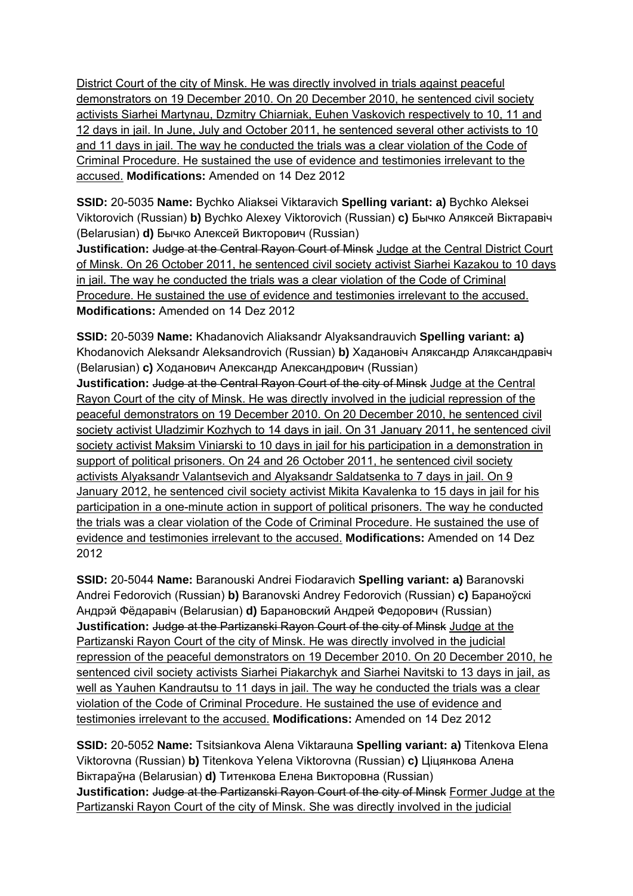District Court of the city of Minsk. He was directly involved in trials against peaceful demonstrators on 19 December 2010. On 20 December 2010, he sentenced civil society activists Siarhei Martynau, Dzmitry Chiarniak, Euhen Vaskovich respectively to 10, 11 and 12 days in jail. In June, July and October 2011, he sentenced several other activists to 10 and 11 days in jail. The way he conducted the trials was a clear violation of the Code of Criminal Procedure. He sustained the use of evidence and testimonies irrelevant to the accused. **Modifications:** Amended on 14 Dez 2012

**SSID:** 20-5035 **Name:** Bychko Aliaksei Viktaravich **Spelling variant: a)** Bychko Aleksei Viktorovich (Russian) **b)** Bychko Alexey Viktorovich (Russian) **c)** Бычко Аляксей Віктаравіч (Belarusian) **d)** Бычко Алексей Викторович (Russian)

Justification: Judge at the Central Rayon Court of Minsk Judge at the Central District Court of Minsk. On 26 October 2011, he sentenced civil society activist Siarhei Kazakou to 10 days in jail. The way he conducted the trials was a clear violation of the Code of Criminal Procedure. He sustained the use of evidence and testimonies irrelevant to the accused. **Modifications:** Amended on 14 Dez 2012

**SSID:** 20-5039 **Name:** Khadanovich Aliaksandr Alyaksandrauvich **Spelling variant: a)**  Khodanovich Aleksandr Aleksandrovich (Russian) **b)** Хадановіч Аляксандр Аляксандравіч (Belarusian) **c)** Ходанович Александр Александрович (Russian)

**Justification:** Judge at the Central Rayon Court of the city of Minsk Judge at the Central Rayon Court of the city of Minsk. He was directly involved in the judicial repression of the peaceful demonstrators on 19 December 2010. On 20 December 2010, he sentenced civil society activist Uladzimir Kozhych to 14 days in jail. On 31 January 2011, he sentenced civil society activist Maksim Viniarski to 10 days in jail for his participation in a demonstration in support of political prisoners. On 24 and 26 October 2011, he sentenced civil society activists Alyaksandr Valantsevich and Alyaksandr Saldatsenka to 7 days in jail. On 9 January 2012, he sentenced civil society activist Mikita Kavalenka to 15 days in jail for his participation in a one-minute action in support of political prisoners. The way he conducted the trials was a clear violation of the Code of Criminal Procedure. He sustained the use of evidence and testimonies irrelevant to the accused. **Modifications:** Amended on 14 Dez 2012

**SSID:** 20-5044 **Name:** Baranouski Andrei Fiodaravich **Spelling variant: a)** Baranovski Andrei Fedorovich (Russian) **b)** Baranovski Andrey Fedorovich (Russian) **c)** Бараноўскі Андрэй Фёдаравіч (Belarusian) **d)** Барановский Андрей Федорович (Russian) **Justification:** Judge at the Partizanski Rayon Court of the city of Minsk Judge at the Partizanski Rayon Court of the city of Minsk. He was directly involved in the judicial repression of the peaceful demonstrators on 19 December 2010. On 20 December 2010, he sentenced civil society activists Siarhei Piakarchyk and Siarhei Navitski to 13 days in jail, as well as Yauhen Kandrautsu to 11 days in jail. The way he conducted the trials was a clear violation of the Code of Criminal Procedure. He sustained the use of evidence and testimonies irrelevant to the accused. **Modifications:** Amended on 14 Dez 2012

**SSID:** 20-5052 **Name:** Tsitsiankova Alena Viktarauna **Spelling variant: a)** Titenkova Elena Viktorovna (Russian) **b)** Titenkova Yelena Viktorovna (Russian) **c)** Ціцянкова Алена Віктараўна (Belarusian) **d)** Титенкова Елена Викторовна (Russian) **Justification:** Judge at the Partizanski Rayon Court of the city of Minsk Former Judge at the Partizanski Rayon Court of the city of Minsk. She was directly involved in the judicial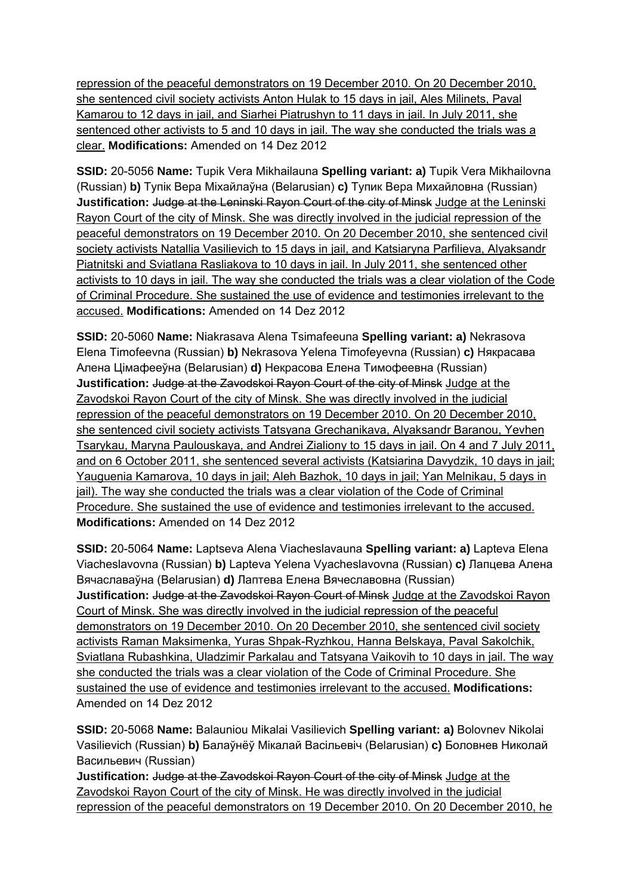repression of the peaceful demonstrators on 19 December 2010. On 20 December 2010, she sentenced civil society activists Anton Hulak to 15 days in jail, Ales Milinets, Paval Kamarou to 12 days in jail, and Siarhei Piatrushyn to 11 days in jail. In July 2011, she sentenced other activists to 5 and 10 days in jail. The way she conducted the trials was a clear. **Modifications:** Amended on 14 Dez 2012

**SSID:** 20-5056 **Name:** Tupik Vera Mikhailauna **Spelling variant: a)** Tupik Vera Mikhailovna (Russian) **b)** Тупік Вера Міхайлаўна (Belarusian) **c)** Тупик Вера Михайловна (Russian) **Justification: Judge at the Leninski Rayon Court of the city of Minsk Judge at the Leninski** Rayon Court of the city of Minsk. She was directly involved in the judicial repression of the peaceful demonstrators on 19 December 2010. On 20 December 2010, she sentenced civil society activists Natallia Vasilievich to 15 days in jail, and Katsiaryna Parfilieva, Alyaksandr Piatnitski and Sviatlana Rasliakova to 10 days in jail. In July 2011, she sentenced other activists to 10 days in jail. The way she conducted the trials was a clear violation of the Code of Criminal Procedure. She sustained the use of evidence and testimonies irrelevant to the accused. **Modifications:** Amended on 14 Dez 2012

**SSID:** 20-5060 **Name:** Niakrasava Alena Tsimafeeuna **Spelling variant: a)** Nekrasova Elena Timofeevna (Russian) **b)** Nekrasova Yelena Timofeyevna (Russian) **c)** Някрасава Алена Цімафееўна (Belarusian) **d)** Некрасова Елена Тимофеевна (Russian) **Justification:** Judge at the Zavodskoi Rayon Court of the city of Minsk Judge at the Zavodskoi Rayon Court of the city of Minsk. She was directly involved in the judicial repression of the peaceful demonstrators on 19 December 2010. On 20 December 2010, she sentenced civil society activists Tatsyana Grechanikava, Alyaksandr Baranou, Yevhen Tsarykau, Maryna Paulouskaya, and Andrei Zialiony to 15 days in jail. On 4 and 7 July 2011, and on 6 October 2011, she sentenced several activists (Katsiarina Davydzik, 10 days in jail; Yauguenia Kamarova, 10 days in jail; Aleh Bazhok, 10 days in jail; Yan Melnikau, 5 days in jail). The way she conducted the trials was a clear violation of the Code of Criminal Procedure. She sustained the use of evidence and testimonies irrelevant to the accused. **Modifications:** Amended on 14 Dez 2012

**SSID:** 20-5064 **Name:** Laptseva Alena Viacheslavauna **Spelling variant: a)** Lapteva Elena Viacheslavovna (Russian) **b)** Lapteva Yelena Vyacheslavovna (Russian) **c)** Лапцева Алена Вячаславаўна (Belarusian) **d)** Лаптева Елена Вячеславовна (Russian) **Justification: Judge at the Zavodskoi Rayon Court of Minsk Judge at the Zavodskoi Rayon** Court of Minsk. She was directly involved in the judicial repression of the peaceful demonstrators on 19 December 2010. On 20 December 2010, she sentenced civil society activists Raman Maksimenka, Yuras Shpak-Ryzhkou, Hanna Belskaya, Paval Sakolchik, Sviatlana Rubashkina, Uladzimir Parkalau and Tatsyana Vaikovih to 10 days in jail. The way she conducted the trials was a clear violation of the Code of Criminal Procedure. She sustained the use of evidence and testimonies irrelevant to the accused. **Modifications:**  Amended on 14 Dez 2012

**SSID:** 20-5068 **Name:** Balauniou Mikalai Vasilievich **Spelling variant: a)** Bolovnev Nikolai Vasilievich (Russian) **b)** Балаўнёў Мікалай Васільевіч (Belarusian) **c)** Боловнев Николай Васильевич (Russian)

**Justification:** Judge at the Zavodskoi Rayon Court of the city of Minsk Judge at the Zavodskoi Rayon Court of the city of Minsk. He was directly involved in the judicial repression of the peaceful demonstrators on 19 December 2010. On 20 December 2010, he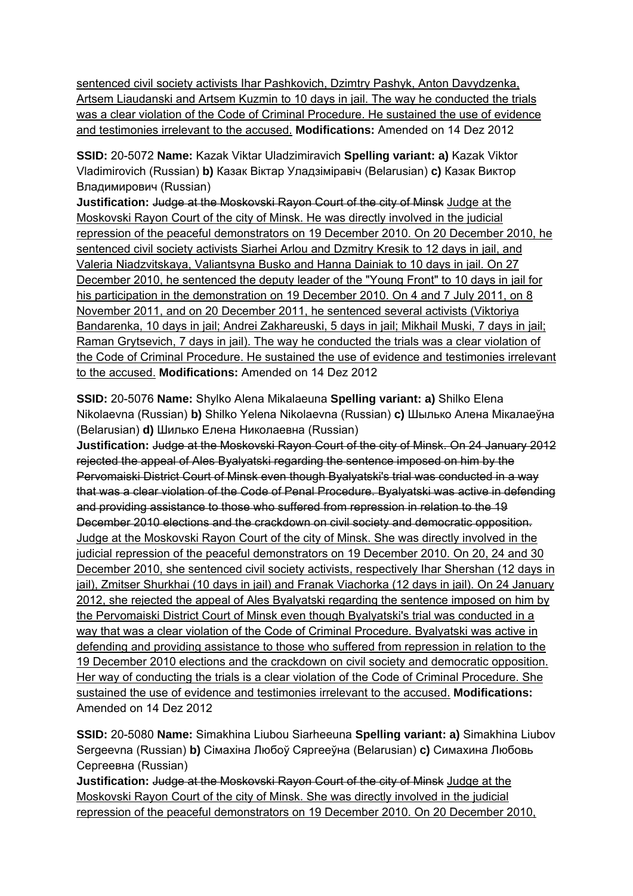sentenced civil society activists Ihar Pashkovich, Dzimtry Pashyk, Anton Davydzenka, Artsem Liaudanski and Artsem Kuzmin to 10 days in jail. The way he conducted the trials was a clear violation of the Code of Criminal Procedure. He sustained the use of evidence and testimonies irrelevant to the accused. **Modifications:** Amended on 14 Dez 2012

**SSID:** 20-5072 **Name:** Kazak Viktar Uladzimiravich **Spelling variant: a)** Kazak Viktor Vladimirovich (Russian) **b)** Казак Віктар Уладзіміравіч (Belarusian) **c)** Казак Виктор Владимирович (Russian)

**Justification:** Judge at the Moskovski Rayon Court of the city of Minsk Judge at the Moskovski Rayon Court of the city of Minsk. He was directly involved in the judicial repression of the peaceful demonstrators on 19 December 2010. On 20 December 2010, he sentenced civil society activists Siarhei Arlou and Dzmitry Kresik to 12 days in jail, and Valeria Niadzvitskaya, Valiantsyna Busko and Hanna Dainiak to 10 days in jail. On 27 December 2010, he sentenced the deputy leader of the "Young Front" to 10 days in jail for his participation in the demonstration on 19 December 2010. On 4 and 7 July 2011, on 8 November 2011, and on 20 December 2011, he sentenced several activists (Viktoriya Bandarenka, 10 days in jail; Andrei Zakhareuski, 5 days in jail; Mikhail Muski, 7 days in jail; Raman Grytsevich, 7 days in jail). The way he conducted the trials was a clear violation of the Code of Criminal Procedure. He sustained the use of evidence and testimonies irrelevant to the accused. **Modifications:** Amended on 14 Dez 2012

**SSID:** 20-5076 **Name:** Shylko Alena Mikalaeuna **Spelling variant: a)** Shilko Elena Nikolaevna (Russian) **b)** Shilko Yelena Nikolaevna (Russian) **c)** Шылько Алена Мікалаеўна (Belarusian) **d)** Шилько Елена Николаевна (Russian)

**Justification:** Judge at the Moskovski Rayon Court of the city of Minsk. On 24 January 2012 rejected the appeal of Ales Byalyatski regarding the sentence imposed on him by the Pervomaiski District Court of Minsk even though Byalyatski's trial was conducted in a way that was a clear violation of the Code of Penal Procedure. Byalyatski was active in defending and providing assistance to those who suffered from repression in relation to the 19 December 2010 elections and the crackdown on civil society and democratic opposition. Judge at the Moskovski Rayon Court of the city of Minsk. She was directly involved in the judicial repression of the peaceful demonstrators on 19 December 2010. On 20, 24 and 30 December 2010, she sentenced civil society activists, respectively Ihar Shershan (12 days in jail), Zmitser Shurkhai (10 days in jail) and Franak Viachorka (12 days in jail). On 24 January 2012, she rejected the appeal of Ales Byalyatski regarding the sentence imposed on him by the Pervomaiski District Court of Minsk even though Byalyatski's trial was conducted in a way that was a clear violation of the Code of Criminal Procedure. Byalyatski was active in defending and providing assistance to those who suffered from repression in relation to the 19 December 2010 elections and the crackdown on civil society and democratic opposition. Her way of conducting the trials is a clear violation of the Code of Criminal Procedure. She sustained the use of evidence and testimonies irrelevant to the accused. **Modifications:**  Amended on 14 Dez 2012

**SSID:** 20-5080 **Name:** Simakhina Liubou Siarheeuna **Spelling variant: a)** Simakhina Liubov Sergeevna (Russian) **b)** Сімахіна Любоў Сяргееўна (Belarusian) **c)** Симахина Любовь Сергеевна (Russian)

**Justification:** Judge at the Moskovski Rayon Court of the city of Minsk Judge at the Moskovski Rayon Court of the city of Minsk. She was directly involved in the judicial repression of the peaceful demonstrators on 19 December 2010. On 20 December 2010,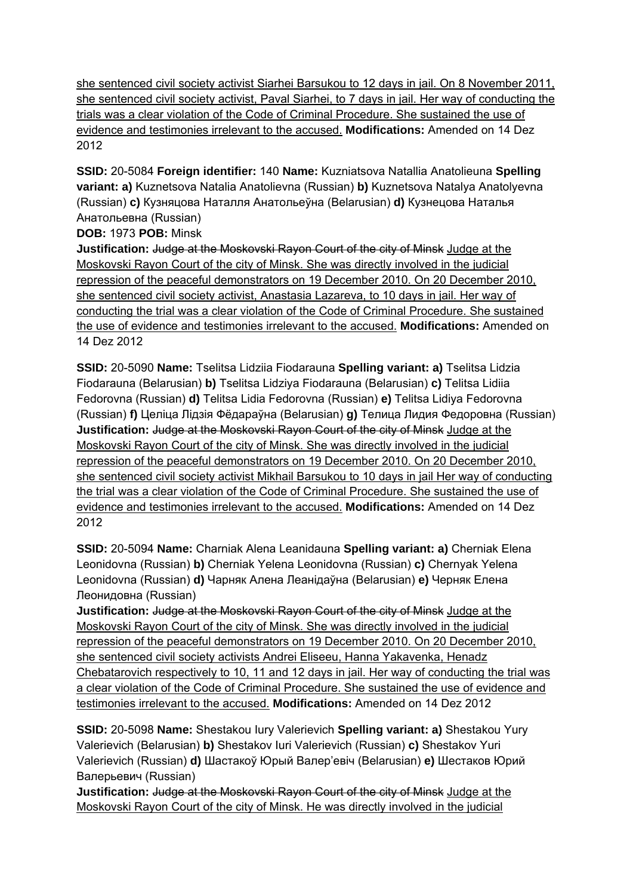she sentenced civil society activist Siarhei Barsukou to 12 days in jail. On 8 November 2011, she sentenced civil society activist, Paval Siarhei, to 7 days in jail. Her way of conducting the trials was a clear violation of the Code of Criminal Procedure. She sustained the use of evidence and testimonies irrelevant to the accused. **Modifications:** Amended on 14 Dez 2012

**SSID:** 20-5084 **Foreign identifier:** 140 **Name:** Kuzniatsova Natallia Anatolieuna **Spelling variant: a)** Kuznetsova Natalia Anatolievna (Russian) **b)** Kuznetsova Natalya Anatolyevna (Russian) **c)** Кузняцова Наталля Анатольеўна (Belarusian) **d)** Кузнецова Наталья Анатольевна (Russian)

**DOB:** 1973 **POB:** Minsk

**Justification:** Judge at the Moskovski Rayon Court of the city of Minsk Judge at the Moskovski Rayon Court of the city of Minsk. She was directly involved in the judicial repression of the peaceful demonstrators on 19 December 2010. On 20 December 2010, she sentenced civil society activist, Anastasia Lazareva, to 10 days in jail. Her way of conducting the trial was a clear violation of the Code of Criminal Procedure. She sustained the use of evidence and testimonies irrelevant to the accused. **Modifications:** Amended on 14 Dez 2012

**SSID:** 20-5090 **Name:** Tselitsa Lidziia Fiodarauna **Spelling variant: a)** Tselitsa Lidzia Fiodarauna (Belarusian) **b)** Tselitsa Lidziya Fiodarauna (Belarusian) **c)** Telitsa Lidiia Fedorovna (Russian) **d)** Telitsa Lidia Fedorovna (Russian) **e)** Telitsa Lidiya Fedorovna (Russian) **f)** Целіца Лідзія Фёдараўна (Belarusian) **g)** Телица Лидия Федоровна (Russian) **Justification:** Judge at the Moskovski Rayon Court of the city of Minsk Judge at the Moskovski Rayon Court of the city of Minsk. She was directly involved in the judicial repression of the peaceful demonstrators on 19 December 2010. On 20 December 2010, she sentenced civil society activist Mikhail Barsukou to 10 days in jail Her way of conducting the trial was a clear violation of the Code of Criminal Procedure. She sustained the use of evidence and testimonies irrelevant to the accused. **Modifications:** Amended on 14 Dez 2012

**SSID:** 20-5094 **Name:** Charniak Alena Leanidauna **Spelling variant: a)** Cherniak Elena Leonidovna (Russian) **b)** Cherniak Yelena Leonidovna (Russian) **c)** Chernyak Yelena Leonidovna (Russian) **d)** Чарняк Алена Леанідаўна (Belarusian) **e)** Черняк Елена Леонидовна (Russian)

**Justification:** Judge at the Moskovski Rayon Court of the city of Minsk Judge at the Moskovski Rayon Court of the city of Minsk. She was directly involved in the judicial repression of the peaceful demonstrators on 19 December 2010. On 20 December 2010, she sentenced civil society activists Andrei Eliseeu, Hanna Yakavenka, Henadz Chebatarovich respectively to 10, 11 and 12 days in jail. Her way of conducting the trial was a clear violation of the Code of Criminal Procedure. She sustained the use of evidence and testimonies irrelevant to the accused. **Modifications:** Amended on 14 Dez 2012

**SSID:** 20-5098 **Name:** Shestakou Iury Valerievich **Spelling variant: a)** Shestakou Yury Valerievich (Belarusian) **b)** Shestakov Iuri Valerievich (Russian) **c)** Shestakov Yuri Valerievich (Russian) **d)** Шастакоў Юрый Валер'евіч (Belarusian) **e)** Шестаков Юрий Валерьевич (Russian)

**Justification:** Judge at the Moskovski Rayon Court of the city of Minsk Judge at the Moskovski Rayon Court of the city of Minsk. He was directly involved in the judicial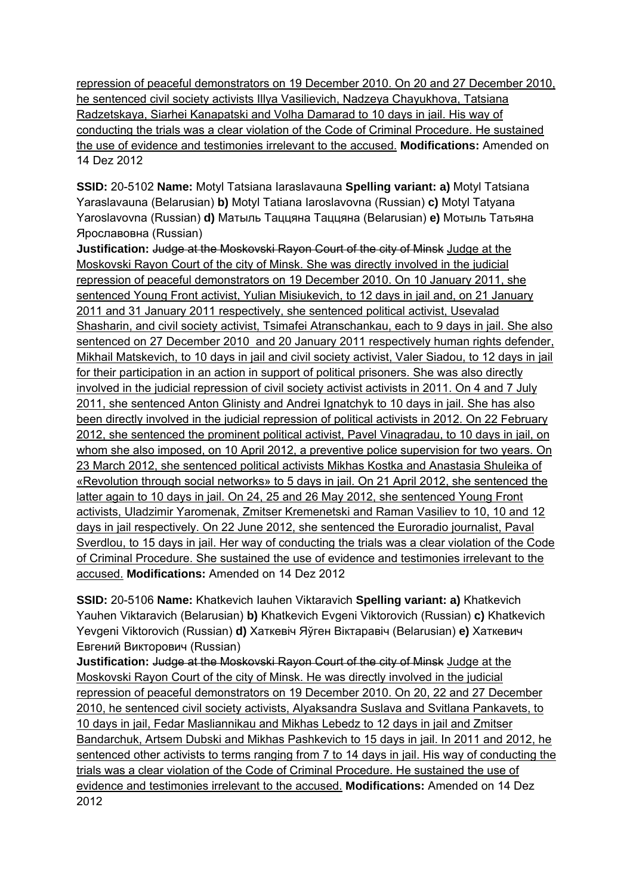repression of peaceful demonstrators on 19 December 2010. On 20 and 27 December 2010, he sentenced civil society activists Illya Vasilievich, Nadzeya Chayukhova, Tatsiana Radzetskaya, Siarhei Kanapatski and Volha Damarad to 10 days in jail. His way of conducting the trials was a clear violation of the Code of Criminal Procedure. He sustained the use of evidence and testimonies irrelevant to the accused. **Modifications:** Amended on 14 Dez 2012

**SSID:** 20-5102 **Name:** Motyl Tatsiana Iaraslavauna **Spelling variant: a)** Motyl Tatsiana Yaraslavauna (Belarusian) **b)** Motyl Tatiana Iaroslavovna (Russian) **c)** Motyl Tatyana Yaroslavovna (Russian) **d)** Матыль Таццяна Таццяна (Belarusian) **e)** Мотыль Татьяна Ярославовна (Russian)

**Justification:** Judge at the Moskovski Rayon Court of the city of Minsk Judge at the Moskovski Rayon Court of the city of Minsk. She was directly involved in the judicial repression of peaceful demonstrators on 19 December 2010. On 10 January 2011, she sentenced Young Front activist, Yulian Misiukevich, to 12 days in jail and, on 21 January 2011 and 31 January 2011 respectively, she sentenced political activist, Usevalad Shasharin, and civil society activist, Tsimafei Atranschankau, each to 9 days in jail. She also sentenced on 27 December 2010 and 20 January 2011 respectively human rights defender, Mikhail Matskevich, to 10 days in jail and civil society activist, Valer Siadou, to 12 days in jail for their participation in an action in support of political prisoners. She was also directly involved in the judicial repression of civil society activist activists in 2011. On 4 and 7 July 2011, she sentenced Anton Glinisty and Andrei Ignatchyk to 10 days in jail. She has also been directly involved in the judicial repression of political activists in 2012. On 22 February 2012, she sentenced the prominent political activist, Pavel Vinagradau, to 10 days in jail, on whom she also imposed, on 10 April 2012, a preventive police supervision for two years. On 23 March 2012, she sentenced political activists Mikhas Kostka and Anastasia Shuleika of «Revolution through social networks» to 5 days in jail. On 21 April 2012, she sentenced the latter again to 10 days in jail. On 24, 25 and 26 May 2012, she sentenced Young Front activists, Uladzimir Yaromenak, Zmitser Kremenetski and Raman Vasiliev to 10, 10 and 12 days in jail respectively. On 22 June 2012, she sentenced the Euroradio journalist, Paval Sverdlou, to 15 days in jail. Her way of conducting the trials was a clear violation of the Code of Criminal Procedure. She sustained the use of evidence and testimonies irrelevant to the accused. **Modifications:** Amended on 14 Dez 2012

**SSID:** 20-5106 **Name:** Khatkevich Iauhen Viktaravich **Spelling variant: a)** Khatkevich Yauhen Viktaravich (Belarusian) **b)** Khatkevich Evgeni Viktorovich (Russian) **c)** Khatkevich Yevgeni Viktorovich (Russian) **d)** Хаткевіч Яўген Віктаравіч (Belarusian) **e)** Хаткевич Евгений Викторович (Russian)

**Justification:** Judge at the Moskovski Rayon Court of the city of Minsk Judge at the Moskovski Rayon Court of the city of Minsk. He was directly involved in the judicial repression of peaceful demonstrators on 19 December 2010. On 20, 22 and 27 December 2010, he sentenced civil society activists, Alyaksandra Suslava and Svitlana Pankavets, to 10 days in jail, Fedar Masliannikau and Mikhas Lebedz to 12 days in jail and Zmitser Bandarchuk, Artsem Dubski and Mikhas Pashkevich to 15 days in jail. In 2011 and 2012, he sentenced other activists to terms ranging from 7 to 14 days in jail. His way of conducting the trials was a clear violation of the Code of Criminal Procedure. He sustained the use of evidence and testimonies irrelevant to the accused. **Modifications:** Amended on 14 Dez 2012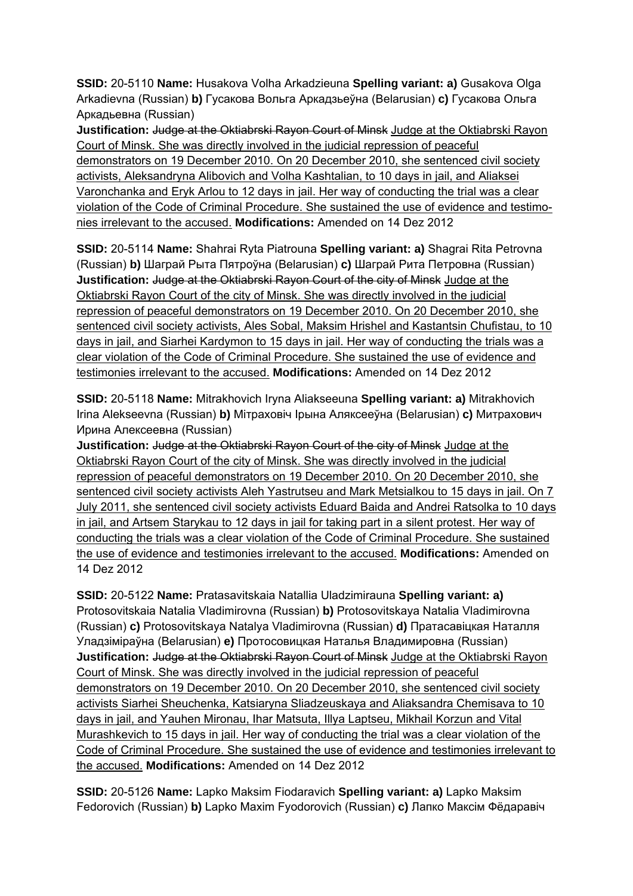**SSID:** 20-5110 **Name:** Husakova Volha Arkadzieuna **Spelling variant: a)** Gusakova Olga Arkadievna (Russian) **b)** Гусакова Вольга Аркадзьеўна (Belarusian) **c)** Гусакова Ольга Аркадьевна (Russian)

**Justification:** Judge at the Oktiabrski Rayon Court of Minsk Judge at the Oktiabrski Rayon Court of Minsk. She was directly involved in the judicial repression of peaceful demonstrators on 19 December 2010. On 20 December 2010, she sentenced civil society activists, Aleksandryna Alibovich and Volha Kashtalian, to 10 days in jail, and Aliaksei Varonchanka and Eryk Arlou to 12 days in jail. Her way of conducting the trial was a clear violation of the Code of Criminal Procedure. She sustained the use of evidence and testimonies irrelevant to the accused. **Modifications:** Amended on 14 Dez 2012

**SSID:** 20-5114 **Name:** Shahrai Ryta Piatrouna **Spelling variant: a)** Shagrai Rita Petrovna (Russian) **b)** Шаграй Рыта Пятроўна (Belarusian) **c)** Шаграй Рита Петровна (Russian) **Justification:** Judge at the Oktiabrski Rayon Court of the city of Minsk Judge at the Oktiabrski Rayon Court of the city of Minsk. She was directly involved in the judicial repression of peaceful demonstrators on 19 December 2010. On 20 December 2010, she sentenced civil society activists, Ales Sobal, Maksim Hrishel and Kastantsin Chufistau, to 10 days in jail, and Siarhei Kardymon to 15 days in jail. Her way of conducting the trials was a clear violation of the Code of Criminal Procedure. She sustained the use of evidence and testimonies irrelevant to the accused. **Modifications:** Amended on 14 Dez 2012

**SSID:** 20-5118 **Name:** Mitrakhovich Iryna Aliakseeuna **Spelling variant: a)** Mitrakhovich Irina Alekseevna (Russian) **b)** Мітраховіч Ірына Аляксееўна (Belarusian) **c)** Митрахович Ирина Алексеевна (Russian)

**Justification:** Judge at the Oktiabrski Rayon Court of the city of Minsk Judge at the Oktiabrski Rayon Court of the city of Minsk. She was directly involved in the judicial repression of peaceful demonstrators on 19 December 2010. On 20 December 2010, she sentenced civil society activists Aleh Yastrutseu and Mark Metsialkou to 15 days in jail. On 7 July 2011, she sentenced civil society activists Eduard Baida and Andrei Ratsolka to 10 days in jail, and Artsem Starykau to 12 days in jail for taking part in a silent protest. Her way of conducting the trials was a clear violation of the Code of Criminal Procedure. She sustained the use of evidence and testimonies irrelevant to the accused. **Modifications:** Amended on 14 Dez 2012

**SSID:** 20-5122 **Name:** Pratasavitskaia Natallia Uladzimirauna **Spelling variant: a)**  Protosovitskaia Natalia Vladimirovna (Russian) **b)** Protosovitskaya Natalia Vladimirovna (Russian) **c)** Protosovitskaya Natalya Vladimirovna (Russian) **d)** Пратасавіцкая Наталля Уладзіміраўна (Belarusian) **e)** Протосовицкая Наталья Владимировна (Russian) **Justification: Judge at the Oktiabrski Rayon Court of Minsk Judge at the Oktiabrski Rayon** Court of Minsk. She was directly involved in the judicial repression of peaceful demonstrators on 19 December 2010. On 20 December 2010, she sentenced civil society activists Siarhei Sheuchenka, Katsiaryna Sliadzeuskaya and Aliaksandra Chemisava to 10 days in jail, and Yauhen Mironau, Ihar Matsuta, Illya Laptseu, Mikhail Korzun and Vital Murashkevich to 15 days in jail. Her way of conducting the trial was a clear violation of the Code of Criminal Procedure. She sustained the use of evidence and testimonies irrelevant to the accused. **Modifications:** Amended on 14 Dez 2012

**SSID:** 20-5126 **Name:** Lapko Maksim Fiodaravich **Spelling variant: a)** Lapko Maksim Fedorovich (Russian) **b)** Lapko Maxim Fyodorovich (Russian) **c)** Лапко Максім Фёдаравіч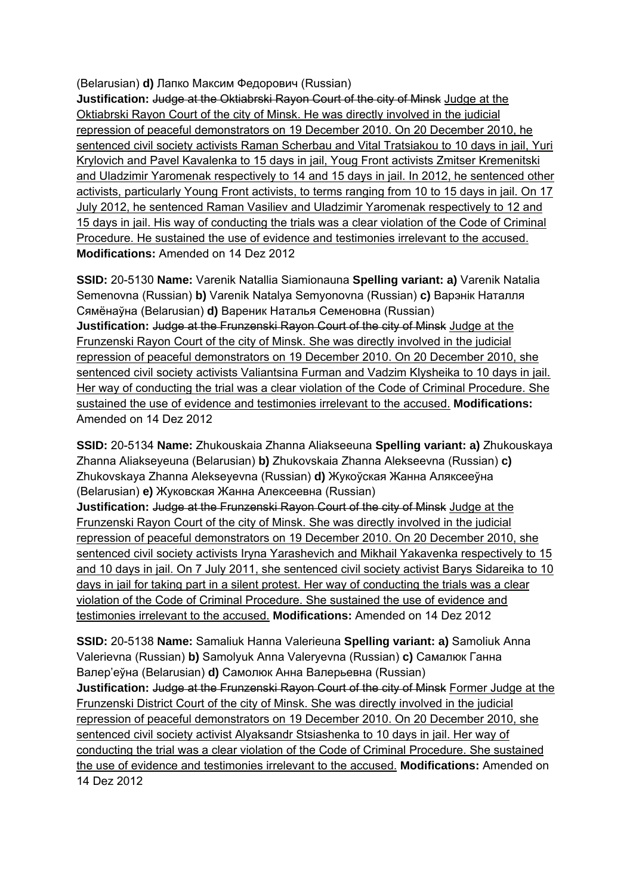(Belarusian) **d)** Лапко Максим Федорович (Russian)

**Justification:** Judge at the Oktiabrski Rayon Court of the city of Minsk Judge at the Oktiabrski Rayon Court of the city of Minsk. He was directly involved in the judicial repression of peaceful demonstrators on 19 December 2010. On 20 December 2010, he sentenced civil society activists Raman Scherbau and Vital Tratsiakou to 10 days in jail, Yuri Krylovich and Pavel Kavalenka to 15 days in jail, Youg Front activists Zmitser Kremenitski and Uladzimir Yaromenak respectively to 14 and 15 days in jail. In 2012, he sentenced other activists, particularly Young Front activists, to terms ranging from 10 to 15 days in jail. On 17 July 2012, he sentenced Raman Vasiliev and Uladzimir Yaromenak respectively to 12 and 15 days in jail. His way of conducting the trials was a clear violation of the Code of Criminal Procedure. He sustained the use of evidence and testimonies irrelevant to the accused. **Modifications:** Amended on 14 Dez 2012

**SSID:** 20-5130 **Name:** Varenik Natallia Siamionauna **Spelling variant: a)** Varenik Natalia Semenovna (Russian) **b)** Varenik Natalya Semyonovna (Russian) **c)** Варэнік Наталля Сямёнаўна (Belarusian) **d)** Вареник Наталья Семеновна (Russian) **Justification:** Judge at the Frunzenski Rayon Court of the city of Minsk Judge at the Frunzenski Rayon Court of the city of Minsk. She was directly involved in the judicial repression of peaceful demonstrators on 19 December 2010. On 20 December 2010, she sentenced civil society activists Valiantsina Furman and Vadzim Klysheika to 10 days in jail. Her way of conducting the trial was a clear violation of the Code of Criminal Procedure. She sustained the use of evidence and testimonies irrelevant to the accused. **Modifications:**  Amended on 14 Dez 2012

**SSID:** 20-5134 **Name:** Zhukouskaia Zhanna Aliakseeuna **Spelling variant: a)** Zhukouskaya Zhanna Aliakseyeuna (Belarusian) **b)** Zhukovskaia Zhanna Alekseevna (Russian) **c)**  Zhukovskaya Zhanna Alekseyevna (Russian) **d)** Жукоўская Жанна Аляксееўна (Belarusian) **e)** Жуковская Жанна Алексеевна (Russian)

**Justification:** Judge at the Frunzenski Rayon Court of the city of Minsk Judge at the Frunzenski Rayon Court of the city of Minsk. She was directly involved in the judicial repression of peaceful demonstrators on 19 December 2010. On 20 December 2010, she sentenced civil society activists Iryna Yarashevich and Mikhail Yakavenka respectively to 15 and 10 days in jail. On 7 July 2011, she sentenced civil society activist Barys Sidareika to 10 days in jail for taking part in a silent protest. Her way of conducting the trials was a clear violation of the Code of Criminal Procedure. She sustained the use of evidence and testimonies irrelevant to the accused. **Modifications:** Amended on 14 Dez 2012

**SSID:** 20-5138 **Name:** Samaliuk Hanna Valerieuna **Spelling variant: a)** Samoliuk Anna Valerievna (Russian) **b)** Samolyuk Anna Valeryevna (Russian) **c)** Самалюк Ганна Валер'еўна (Belarusian) **d)** Самолюк Анна Валерьевна (Russian) **Justification:** Judge at the Frunzenski Rayon Court of the city of Minsk Former Judge at the Frunzenski District Court of the city of Minsk. She was directly involved in the judicial repression of peaceful demonstrators on 19 December 2010. On 20 December 2010, she sentenced civil society activist Alyaksandr Stsiashenka to 10 days in jail. Her way of conducting the trial was a clear violation of the Code of Criminal Procedure. She sustained the use of evidence and testimonies irrelevant to the accused. **Modifications:** Amended on 14 Dez 2012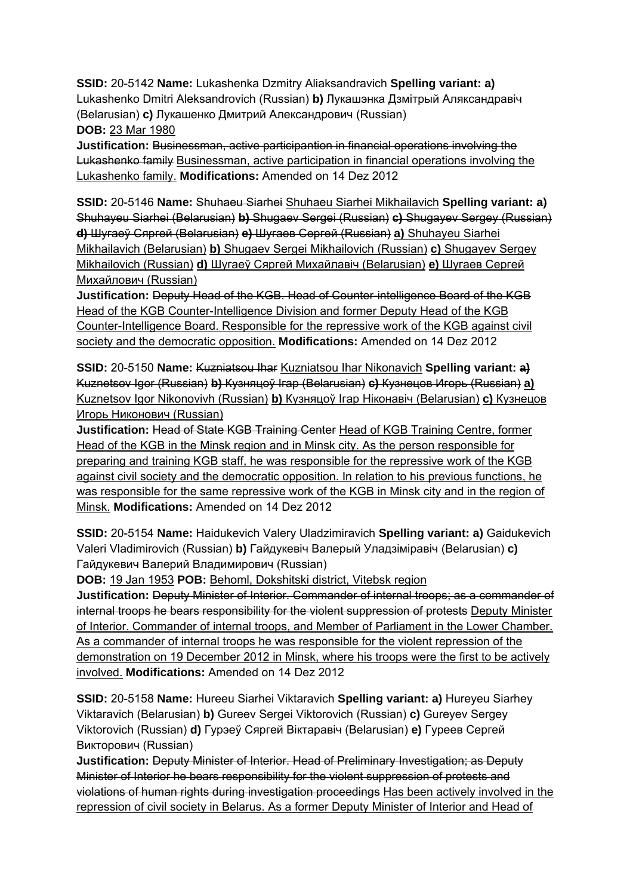**SSID:** 20-5142 **Name:** Lukashenka Dzmitry Aliaksandravich **Spelling variant: a)**  Lukashenko Dmitri Aleksandrovich (Russian) **b)** Лукашэнка Дзмітрый Аляксандравіч (Belarusian) **c)** Лукашенко Дмитрий Александрович (Russian) **DOB:** 23 Mar 1980

**Justification:** Businessman, active participantion in financial operations involving the Lukashenko family Businessman, active participation in financial operations involving the Lukashenko family. **Modifications:** Amended on 14 Dez 2012

**SSID:** 20-5146 **Name:** Shuhaeu Siarhei Shuhaeu Siarhei Mikhailavich **Spelling variant: a)**  Shuhayeu Siarhei (Belarusian) **b)** Shugaev Sergei (Russian) **c)** Shugayev Sergey (Russian) **d)** Шугаеў Сяргей (Belarusian) **e)** Шугаев Сергей (Russian) **a)** Shuhayeu Siarhei Mikhailavich (Belarusian) **b)** Shugaev Sergei Mikhailovich (Russian) **c)** Shugayev Sergey Mikhailovich (Russian) **d)** Шугаеў Сяргей Михайлaвiч (Belarusian) **e)** Шугаев Сергей Михайлович (Russian)

**Justification:** Deputy Head of the KGB. Head of Counter-intelligence Board of the KGB Head of the KGB Counter-Intelligence Division and former Deputy Head of the KGB Counter-Intelligence Board. Responsible for the repressive work of the KGB against civil society and the democratic opposition. **Modifications:** Amended on 14 Dez 2012

**SSID:** 20-5150 Name: Kuzniatsou Ihar Kuzniatsou Ihar Nikonavich Spelling variant: a) Kuznetsov Igor (Russian) **b)** Кузняцоў Ігар (Belarusian) **c)** Кузнецов Игорь (Russian) **a)**  Kuznetsov Igor Nikonovivh (Russian) **b)** Кузняцоў Ігар Нiконaвiч (Belarusian) **c)** Кузнецов Игорь Никонович (Russian)

**Justification:** Head of State KGB Training Center Head of KGB Training Centre, former Head of the KGB in the Minsk region and in Minsk city. As the person responsible for preparing and training KGB staff, he was responsible for the repressive work of the KGB against civil society and the democratic opposition. In relation to his previous functions, he was responsible for the same repressive work of the KGB in Minsk city and in the region of Minsk. **Modifications:** Amended on 14 Dez 2012

**SSID:** 20-5154 **Name:** Haidukevich Valery Uladzimiravich **Spelling variant: a)** Gaidukevich Valeri Vladimirovich (Russian) **b)** Гайдукевіч Валерый Уладзіміравіч (Belarusian) **c)**  Гайдукевич Валерий Владимирович (Russian)

**DOB:** 19 Jan 1953 **POB:** Behoml, Dokshitski district, Vitebsk region

**Justification:** Deputy Minister of Interior. Commander of internal troops; as a commander of internal troops he bears responsibility for the violent suppression of protests Deputy Minister of Interior. Commander of internal troops, and Member of Parliament in the Lower Chamber. As a commander of internal troops he was responsible for the violent repression of the demonstration on 19 December 2012 in Minsk, where his troops were the first to be actively involved. **Modifications:** Amended on 14 Dez 2012

**SSID:** 20-5158 **Name:** Hureeu Siarhei Viktaravich **Spelling variant: a)** Hureyeu Siarhey Viktaravich (Belarusian) **b)** Gureev Sergei Viktorovich (Russian) **c)** Gureyev Sergey Viktorovich (Russian) **d)** Гурэеў Сяргей Віктаравіч (Belarusian) **e)** Гуреев Сергей Викторович (Russian)

**Justification:** Deputy Minister of Interior. Head of Preliminary Investigation; as Deputy Minister of Interior he bears responsibility for the violent suppression of protests and violations of human rights during investigation proceedings Has been actively involved in the repression of civil society in Belarus. As a former Deputy Minister of Interior and Head of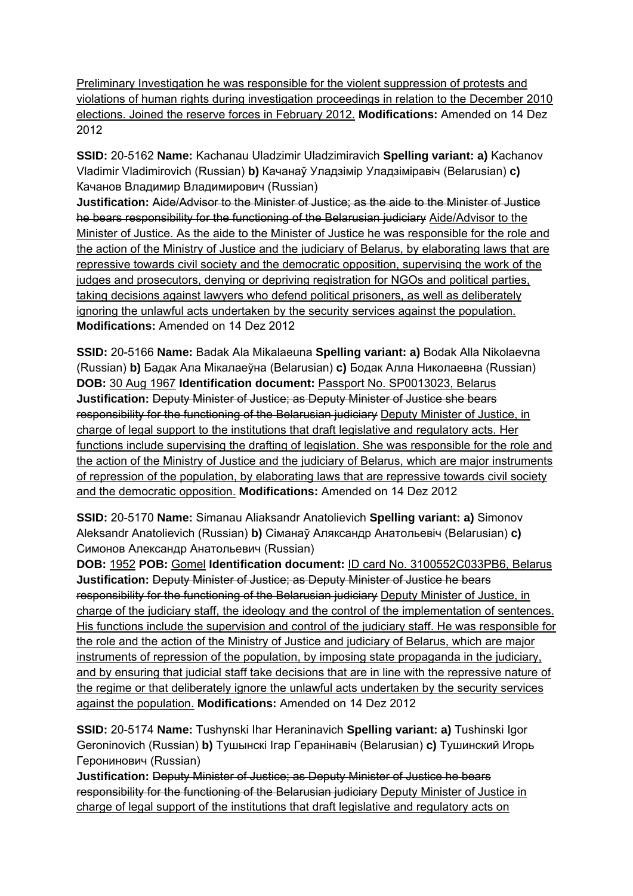Preliminary Investigation he was responsible for the violent suppression of protests and violations of human rights during investigation proceedings in relation to the December 2010 elections. Joined the reserve forces in February 2012. **Modifications:** Amended on 14 Dez 2012

**SSID:** 20-5162 **Name:** Kachanau Uladzimir Uladzimiravich **Spelling variant: a)** Kachanov Vladimir Vladimirovich (Russian) **b)** Качанаў Уладзімір Уладзіміравіч (Belarusian) **c)**  Качанов Владимир Владимирович (Russian)

**Justification:** Aide/Advisor to the Minister of Justice; as the aide to the Minister of Justice he bears responsibility for the functioning of the Belarusian judiciary Aide/Advisor to the Minister of Justice. As the aide to the Minister of Justice he was responsible for the role and the action of the Ministry of Justice and the judiciary of Belarus, by elaborating laws that are repressive towards civil society and the democratic opposition, supervising the work of the judges and prosecutors, denying or depriving registration for NGOs and political parties, taking decisions against lawyers who defend political prisoners, as well as deliberately ignoring the unlawful acts undertaken by the security services against the population. **Modifications:** Amended on 14 Dez 2012

**SSID:** 20-5166 **Name:** Badak Ala Mikalaeuna **Spelling variant: a)** Bodak Alla Nikolaevna (Russian) **b)** Бадак Ала Мікалаеўна (Belarusian) **c)** Бодак Алла Николаевна (Russian) **DOB:** 30 Aug 1967 **Identification document:** Passport No. SP0013023, Belarus **Justification:** Deputy Minister of Justice; as Deputy Minister of Justice she bears responsibility for the functioning of the Belarusian judiciary Deputy Minister of Justice, in charge of legal support to the institutions that draft legislative and regulatory acts. Her functions include supervising the drafting of legislation. She was responsible for the role and the action of the Ministry of Justice and the judiciary of Belarus, which are major instruments of repression of the population, by elaborating laws that are repressive towards civil society and the democratic opposition. **Modifications:** Amended on 14 Dez 2012

**SSID:** 20-5170 **Name:** Simanau Aliaksandr Anatolievich **Spelling variant: a)** Simonov Aleksandr Anatolievich (Russian) **b)** Сіманаў Аляксандр Анатольевіч (Belarusian) **c)**  Симонов Александр Анатольевич (Russian)

**DOB:** 1952 **POB:** Gomel **Identification document:** ID card No. 3100552C033PB6, Belarus **Justification:** Deputy Minister of Justice; as Deputy Minister of Justice he bears responsibility for the functioning of the Belarusian judiciary Deputy Minister of Justice, in charge of the judiciary staff, the ideology and the control of the implementation of sentences. His functions include the supervision and control of the judiciary staff. He was responsible for the role and the action of the Ministry of Justice and judiciary of Belarus, which are major instruments of repression of the population, by imposing state propaganda in the judiciary, and by ensuring that judicial staff take decisions that are in line with the repressive nature of the regime or that deliberately ignore the unlawful acts undertaken by the security services against the population. **Modifications:** Amended on 14 Dez 2012

**SSID:** 20-5174 **Name:** Tushynski Ihar Heraninavich **Spelling variant: a)** Tushinski Igor Geroninovich (Russian) **b)** Тушынскі Ігар Геранінавіч (Belarusian) **c)** Тушинский Игорь Геронинович (Russian)

**Justification:** Deputy Minister of Justice; as Deputy Minister of Justice he bears responsibility for the functioning of the Belarusian judiciary Deputy Minister of Justice in charge of legal support of the institutions that draft legislative and regulatory acts on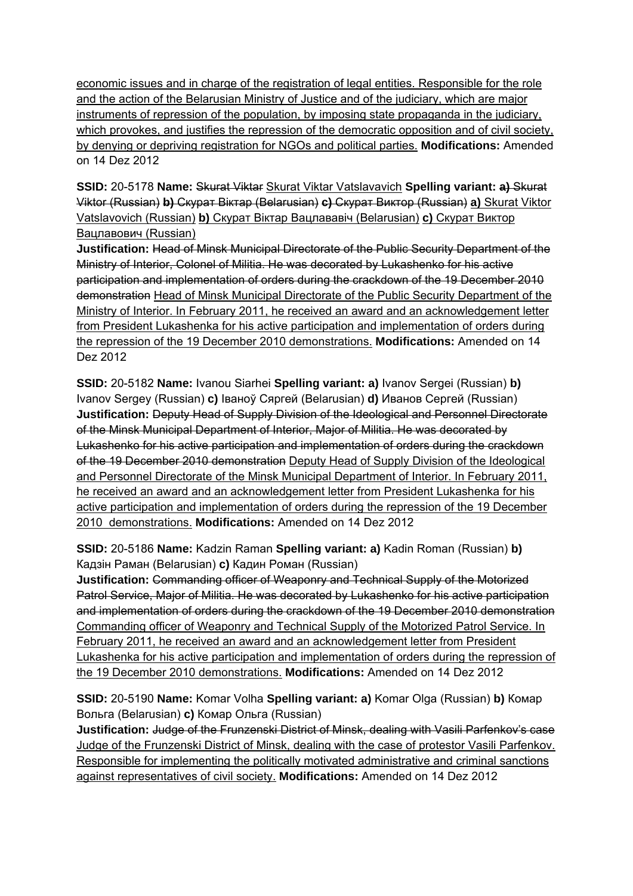economic issues and in charge of the registration of legal entities. Responsible for the role and the action of the Belarusian Ministry of Justice and of the judiciary, which are major instruments of repression of the population, by imposing state propaganda in the judiciary, which provokes, and justifies the repression of the democratic opposition and of civil society, by denying or depriving registration for NGOs and political parties. **Modifications:** Amended on 14 Dez 2012

**SSID:** 20-5178 **Name:** Skurat Viktar Skurat Viktar Vatslavavich **Spelling variant: a)** Skurat Viktor (Russian) **b)** Скурат Віктар (Belarusian) **c)** Скурат Виктор (Russian) **a)** Skurat Viktor Vatslavovich (Russian) **b)** Скурат Віктар Вацлавaвiч (Belarusian) **c)** Скурат Виктор Вацлавович (Russian)

**Justification:** Head of Minsk Municipal Directorate of the Public Security Department of the Ministry of Interior, Colonel of Militia. He was decorated by Lukashenko for his active participation and implementation of orders during the crackdown of the 19 December 2010 demonstration Head of Minsk Municipal Directorate of the Public Security Department of the Ministry of Interior. In February 2011, he received an award and an acknowledgement letter from President Lukashenka for his active participation and implementation of orders during the repression of the 19 December 2010 demonstrations. **Modifications:** Amended on 14 Dez 2012

**SSID:** 20-5182 **Name:** Ivanou Siarhei **Spelling variant: a)** Ivanov Sergei (Russian) **b)**  Ivanov Sergey (Russian) **c)** Іваноў Сяргей (Belarusian) **d)** Иванов Сергей (Russian) **Justification:** Deputy Head of Supply Division of the Ideological and Personnel Directorate of the Minsk Municipal Department of Interior, Major of Militia. He was decorated by Lukashenko for his active participation and implementation of orders during the crackdown of the 19 December 2010 demonstration Deputy Head of Supply Division of the Ideological and Personnel Directorate of the Minsk Municipal Department of Interior. In February 2011, he received an award and an acknowledgement letter from President Lukashenka for his active participation and implementation of orders during the repression of the 19 December 2010 demonstrations. **Modifications:** Amended on 14 Dez 2012

**SSID:** 20-5186 **Name:** Kadzin Raman **Spelling variant: a)** Kadin Roman (Russian) **b)**  Кадзін Раман (Belarusian) **c)** Кадин Роман (Russian)

**Justification:** Commanding officer of Weaponry and Technical Supply of the Motorized Patrol Service, Major of Militia. He was decorated by Lukashenko for his active participation and implementation of orders during the crackdown of the 19 December 2010 demonstration Commanding officer of Weaponry and Technical Supply of the Motorized Patrol Service. In February 2011, he received an award and an acknowledgement letter from President Lukashenka for his active participation and implementation of orders during the repression of the 19 December 2010 demonstrations. **Modifications:** Amended on 14 Dez 2012

**SSID:** 20-5190 **Name:** Komar Volha **Spelling variant: a)** Komar Olga (Russian) **b)** Комар Вольга (Belarusian) **c)** Комар Ольга (Russian)

**Justification:** Judge of the Frunzenski District of Minsk, dealing with Vasili Parfenkov's case Judge of the Frunzenski District of Minsk, dealing with the case of protestor Vasili Parfenkov. Responsible for implementing the politically motivated administrative and criminal sanctions against representatives of civil society. **Modifications:** Amended on 14 Dez 2012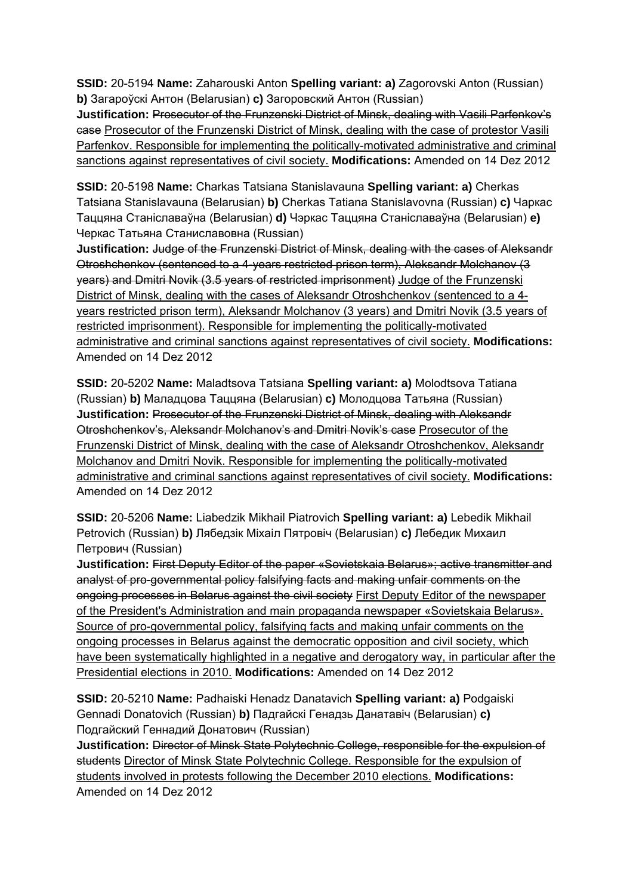**SSID:** 20-5194 **Name:** Zaharouski Anton **Spelling variant: a)** Zagorovski Anton (Russian) **b)** Загароўскі Антон (Belarusian) **c)** Загоровский Антон (Russian)

**Justification:** Prosecutor of the Frunzenski District of Minsk, dealing with Vasili Parfenkov's case Prosecutor of the Frunzenski District of Minsk, dealing with the case of protestor Vasili Parfenkov. Responsible for implementing the politically-motivated administrative and criminal sanctions against representatives of civil society. **Modifications:** Amended on 14 Dez 2012

**SSID:** 20-5198 **Name:** Charkas Tatsiana Stanislavauna **Spelling variant: a)** Cherkas Tatsiana Stanislavauna (Belarusian) **b)** Cherkas Tatiana Stanislavovna (Russian) **c)** Чаркас Таццяна Станіславаўна (Belarusian) **d)** Чэркас Таццяна Станіславаўна (Belarusian) **e)**  Черкас Татьяна Станиславовна (Russian)

**Justification:** Judge of the Frunzenski District of Minsk, dealing with the cases of Aleksandr Otroshchenkov (sentenced to a 4-years restricted prison term), Aleksandr Molchanov (3 years) and Dmitri Novik (3.5 years of restricted imprisonment) Judge of the Frunzenski District of Minsk, dealing with the cases of Aleksandr Otroshchenkov (sentenced to a 4 years restricted prison term), Aleksandr Molchanov (3 years) and Dmitri Novik (3.5 years of restricted imprisonment). Responsible for implementing the politically-motivated administrative and criminal sanctions against representatives of civil society. **Modifications:**  Amended on 14 Dez 2012

**SSID:** 20-5202 **Name:** Maladtsova Tatsiana **Spelling variant: a)** Molodtsova Tatiana (Russian) **b)** Маладцова Таццяна (Belarusian) **c)** Молодцова Татьяна (Russian) **Justification:** Prosecutor of the Frunzenski District of Minsk, dealing with Aleksandr Otroshchenkov's, Aleksandr Molchanov's and Dmitri Novik's case Prosecutor of the Frunzenski District of Minsk, dealing with the case of Aleksandr Otroshchenkov, Aleksandr Molchanov and Dmitri Novik. Responsible for implementing the politically-motivated administrative and criminal sanctions against representatives of civil society. **Modifications:**  Amended on 14 Dez 2012

**SSID:** 20-5206 **Name:** Liabedzik Mikhail Piatrovich **Spelling variant: a)** Lebedik Mikhail Petrovich (Russian) **b)** Лябедзiк Мiхаiл Пятровiч (Belarusian) **c)** Лебедик Михаил Петрович (Russian)

**Justification:** First Deputy Editor of the paper «Sovietskaia Belarus»; active transmitter and analyst of pro-governmental policy falsifying facts and making unfair comments on the ongoing processes in Belarus against the civil society First Deputy Editor of the newspaper of the President's Administration and main propaganda newspaper «Sovietskaia Belarus». Source of pro-governmental policy, falsifying facts and making unfair comments on the ongoing processes in Belarus against the democratic opposition and civil society, which have been systematically highlighted in a negative and derogatory way, in particular after the Presidential elections in 2010. **Modifications:** Amended on 14 Dez 2012

**SSID:** 20-5210 **Name:** Padhaiski Henadz Danatavich **Spelling variant: a)** Podgaiski Gennadi Donatovich (Russian) **b)** Падгайскі Генадзь Данатавіч (Belarusian) **c)**  Подгайский Геннадий Донатович (Russian)

**Justification:** Director of Minsk State Polytechnic College, responsible for the expulsion of students Director of Minsk State Polytechnic College. Responsible for the expulsion of students involved in protests following the December 2010 elections. **Modifications:**  Amended on 14 Dez 2012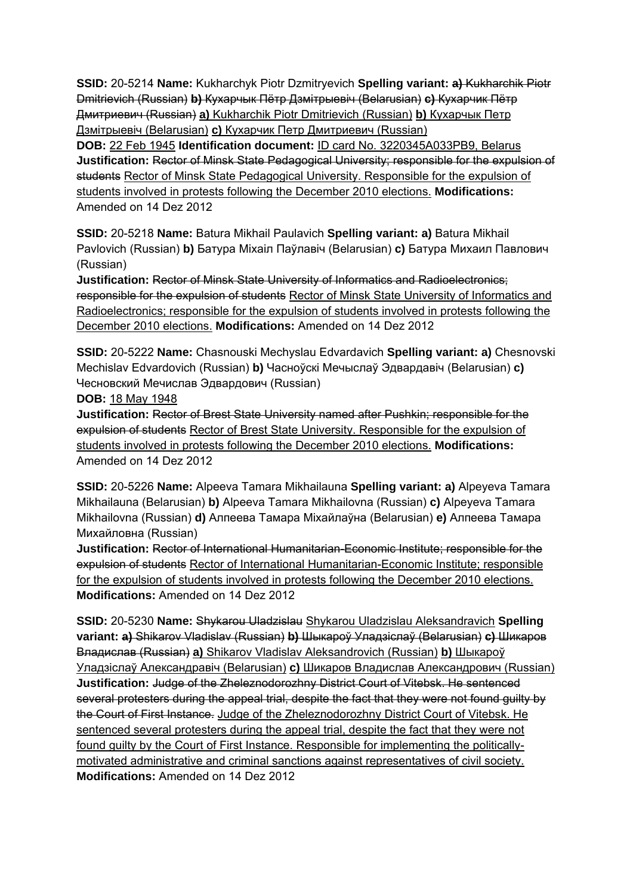**SSID:** 20-5214 **Name:** Kukharchyk Piotr Dzmitryevich **Spelling variant: a)** Kukharchik Piotr Dmitrievich (Russian) **b)** Кухарчык Пётр Дзмітрыевіч (Belarusian) **c)** Кухарчик Пётр Дмитриевич (Russian) **a)** Kukharchik Piotr Dmitrievich (Russian) **b)** Кухарчык Петр Дзмітрыевіч (Belarusian) **c)** Кухарчик Петр Дмитриевич (Russian)

**DOB:** 22 Feb 1945 **Identification document:** ID card No. 3220345A033PB9, Belarus **Justification:** Rector of Minsk State Pedagogical University; responsible for the expulsion of students Rector of Minsk State Pedagogical University. Responsible for the expulsion of students involved in protests following the December 2010 elections. **Modifications:**  Amended on 14 Dez 2012

**SSID:** 20-5218 **Name:** Batura Mikhail Paulavich **Spelling variant: a)** Batura Mikhail Pavlovich (Russian) **b)** Батура Міхаіл Паўлавіч (Belarusian) **c)** Батура Михаил Павлович (Russian)

**Justification:** Rector of Minsk State University of Informatics and Radioelectronics; responsible for the expulsion of students Rector of Minsk State University of Informatics and Radioelectronics; responsible for the expulsion of students involved in protests following the December 2010 elections. **Modifications:** Amended on 14 Dez 2012

**SSID:** 20-5222 **Name:** Chasnouski Mechyslau Edvardavich **Spelling variant: a)** Chesnovski Mechislav Edvardovich (Russian) **b)** Часноўскі Мечыслаў Эдвардавіч (Belarusian) **c)**  Чесновский Мечислав Эдвардович (Russian)

**DOB:** 18 May 1948

**Justification:** Rector of Brest State University named after Pushkin; responsible for the expulsion of students Rector of Brest State University. Responsible for the expulsion of students involved in protests following the December 2010 elections. **Modifications:**  Amended on 14 Dez 2012

**SSID:** 20-5226 **Name:** Alpeeva Tamara Mikhailauna **Spelling variant: a)** Alpeyeva Tamara Mikhailauna (Belarusian) **b)** Alpeeva Tamara Mikhailovna (Russian) **c)** Alpeyeva Tamara Mikhailovna (Russian) **d)** Алпеева Тамара Міхайлаўна (Belarusian) **e)** Алпеева Тамара Михайловна (Russian)

**Justification:** Rector of International Humanitarian-Economic Institute; responsible for the expulsion of students Rector of International Humanitarian-Economic Institute; responsible for the expulsion of students involved in protests following the December 2010 elections. **Modifications:** Amended on 14 Dez 2012

**SSID:** 20-5230 **Name:** Shykarou Uladzislau Shykarou Uladzislau Aleksandravich **Spelling variant: a)** Shikarov Vladislav (Russian) **b)** Шыкароў Уладзіслаў (Belarusian) **c)** Шикаров Владислав (Russian) **a)** Shikarov Vladislav Aleksandrovich (Russian) **b)** Шыкароў Уладзіслаў Александравiч (Belarusian) **c)** Шикаров Владислав Александрович (Russian) **Justification:** Judge of the Zheleznodorozhny District Court of Vitebsk. He sentenced several protesters during the appeal trial, despite the fact that they were not found guilty by the Court of First Instance. Judge of the Zheleznodorozhny District Court of Vitebsk. He sentenced several protesters during the appeal trial, despite the fact that they were not found guilty by the Court of First Instance. Responsible for implementing the politicallymotivated administrative and criminal sanctions against representatives of civil society. **Modifications:** Amended on 14 Dez 2012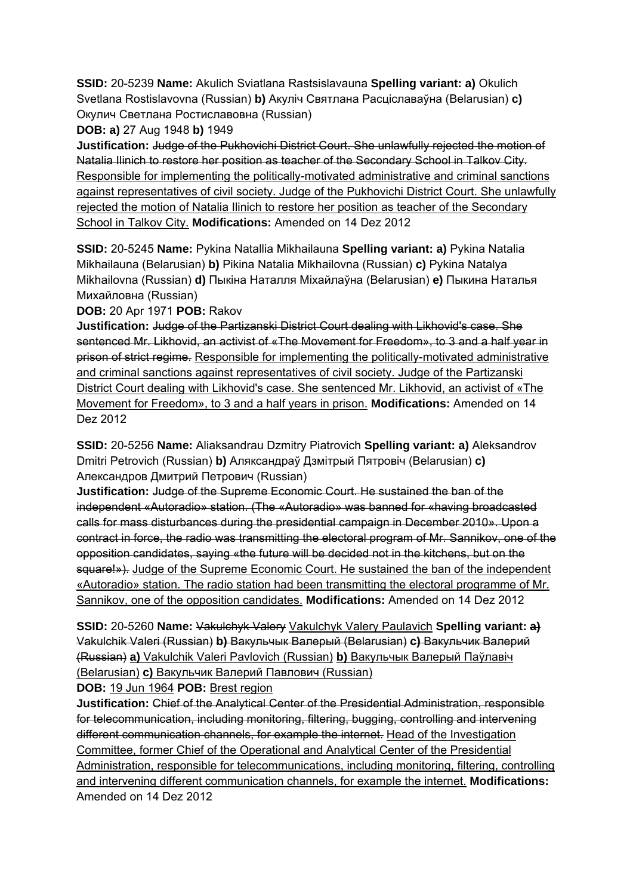**SSID:** 20-5239 **Name:** Akulich Sviatlana Rastsislavauna **Spelling variant: a)** Okulich Svetlana Rostislavovna (Russian) **b)** Акуліч Святлана Расціславаўна (Belarusian) **c)**  Окулич Светлана Ростиславовна (Russian)

**DOB: a)** 27 Aug 1948 **b)** 1949

**Justification:** Judge of the Pukhovichi District Court. She unlawfully rejected the motion of Natalia Ilinich to restore her position as teacher of the Secondary School in Talkov City. Responsible for implementing the politically-motivated administrative and criminal sanctions against representatives of civil society. Judge of the Pukhovichi District Court. She unlawfully rejected the motion of Natalia Ilinich to restore her position as teacher of the Secondary School in Talkov City. **Modifications:** Amended on 14 Dez 2012

**SSID:** 20-5245 **Name:** Pykina Natallia Mikhailauna **Spelling variant: a)** Pykina Natalia Mikhailauna (Belarusian) **b)** Pikina Natalia Mikhailovna (Russian) **c)** Pykina Natalya Mikhailovna (Russian) **d)** Пыкіна Наталля Міхайлаўна (Belarusian) **e)** Пыкина Наталья Михайловна (Russian)

**DOB:** 20 Apr 1971 **POB:** Rakov

**Justification:** Judge of the Partizanski District Court dealing with Likhovid's case. She sentenced Mr. Likhovid, an activist of «The Movement for Freedom», to 3 and a half year in prison of strict regime. Responsible for implementing the politically-motivated administrative and criminal sanctions against representatives of civil society. Judge of the Partizanski District Court dealing with Likhovid's case. She sentenced Mr. Likhovid, an activist of «The Movement for Freedom», to 3 and a half years in prison. **Modifications:** Amended on 14 Dez 2012

**SSID:** 20-5256 **Name:** Aliaksandrau Dzmitry Piatrovich **Spelling variant: a)** Aleksandrov Dmitri Petrovich (Russian) **b)** Аляксандраў Дзмітрый Пятровіч (Belarusian) **c)**  Александров Дмитрий Петрович (Russian)

**Justification:** Judge of the Supreme Economic Court. He sustained the ban of the independent «Autoradio» station. (The «Autoradio» was banned for «having broadcasted calls for mass disturbances during the presidential campaign in December 2010». Upon a contract in force, the radio was transmitting the electoral program of Mr. Sannikov, one of the opposition candidates, saying «the future will be decided not in the kitchens, but on the square!»). Judge of the Supreme Economic Court. He sustained the ban of the independent «Autoradio» station. The radio station had been transmitting the electoral programme of Mr. Sannikov, one of the opposition candidates. **Modifications:** Amended on 14 Dez 2012

**SSID:** 20-5260 **Name:** Vakulchyk Valery Vakulchyk Valery Paulavich **Spelling variant: a)**  Vakulchik Valeri (Russian) **b)** Вакульчык Валерый (Belarusian) **c)** Вакульчик Валерий (Russian) **a)** Vakulchik Valeri Pavlovich (Russian) **b)** Вакульчык Валерый Паўлавiч (Belarusian) **c)** Вакульчик Валерий Павлович (Russian)

**DOB:** 19 Jun 1964 **POB:** Brest region

**Justification:** Chief of the Analytical Center of the Presidential Administration, responsible for telecommunication, including monitoring, filtering, bugging, controlling and intervening different communication channels, for example the internet. Head of the Investigation Committee, former Chief of the Operational and Analytical Center of the Presidential Administration, responsible for telecommunications, including monitoring, filtering, controlling and intervening different communication channels, for example the internet. **Modifications:**  Amended on 14 Dez 2012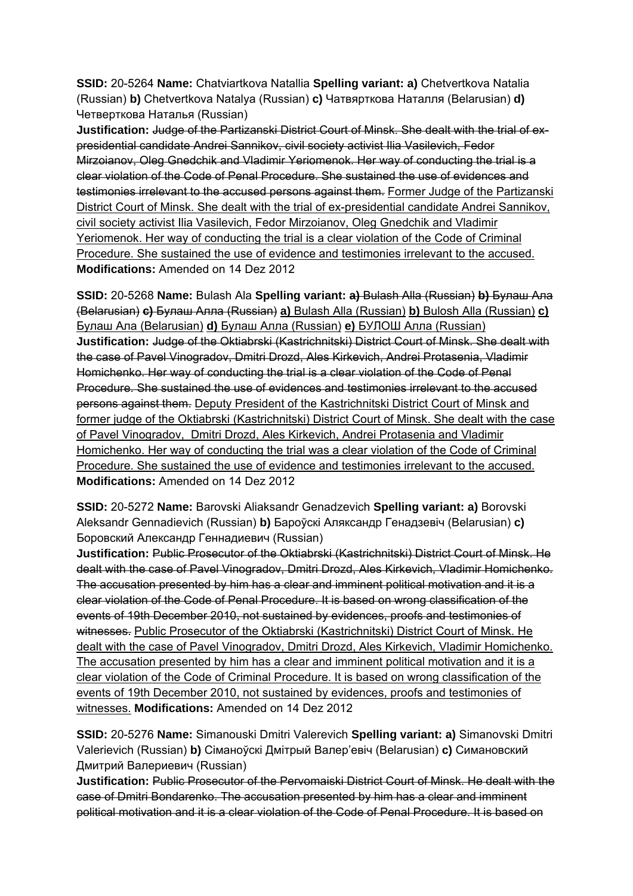**SSID:** 20-5264 **Name:** Chatviartkova Natallia **Spelling variant: a)** Chetvertkova Natalia (Russian) **b)** Chetvertkova Natalya (Russian) **c)** Чатвярткова Наталля (Belarusian) **d)**  Четверткова Наталья (Russian)

**Justification:** Judge of the Partizanski District Court of Minsk. She dealt with the trial of expresidential candidate Andrei Sannikov, civil society activist Ilia Vasilevich, Fedor Mirzoianov, Oleg Gnedchik and Vladimir Yeriomenok. Her way of conducting the trial is a clear violation of the Code of Penal Procedure. She sustained the use of evidences and testimonies irrelevant to the accused persons against them. Former Judge of the Partizanski District Court of Minsk. She dealt with the trial of ex-presidential candidate Andrei Sannikov, civil society activist Ilia Vasilevich, Fedor Mirzoianov, Oleg Gnedchik and Vladimir Yeriomenok. Her way of conducting the trial is a clear violation of the Code of Criminal Procedure. She sustained the use of evidence and testimonies irrelevant to the accused. **Modifications:** Amended on 14 Dez 2012

**SSID:** 20-5268 **Name:** Bulash Ala **Spelling variant: a)** Bulash Alla (Russian) **b)** Булаш Ала (Belarusian) **c)** Булаш Алла (Russian) **a)** Bulash Alla (Russian) **b)** Bulosh Alla (Russian) **c)**  Булаш Ала (Belarusian) **d)** Булаш Алла (Russian) **e)** БУЛОШ Алла (Russian) **Justification:** Judge of the Oktiabrski (Kastrichnitski) District Court of Minsk. She dealt with the case of Pavel Vinogradov, Dmitri Drozd, Ales Kirkevich, Andrei Protasenia, Vladimir Homichenko. Her way of conducting the trial is a clear violation of the Code of Penal Procedure. She sustained the use of evidences and testimonies irrelevant to the accused persons against them. Deputy President of the Kastrichnitski District Court of Minsk and former judge of the Oktiabrski (Kastrichnitski) District Court of Minsk. She dealt with the case of Pavel Vinogradov, Dmitri Drozd, Ales Kirkevich, Andrei Protasenia and Vladimir Homichenko. Her way of conducting the trial was a clear violation of the Code of Criminal Procedure. She sustained the use of evidence and testimonies irrelevant to the accused. **Modifications:** Amended on 14 Dez 2012

**SSID:** 20-5272 **Name:** Barovski Aliaksandr Genadzevich **Spelling variant: a)** Borovski Aleksandr Gennadievich (Russian) **b)** Бароўскі Аляксандр Генадзевіч (Belarusian) **c)**  Боровский Александр Геннадиевич (Russian)

**Justification:** Public Prosecutor of the Oktiabrski (Kastrichnitski) District Court of Minsk. He dealt with the case of Pavel Vinogradov, Dmitri Drozd, Ales Kirkevich, Vladimir Homichenko. The accusation presented by him has a clear and imminent political motivation and it is a clear violation of the Code of Penal Procedure. It is based on wrong classification of the events of 19th December 2010, not sustained by evidences, proofs and testimonies of witnesses. Public Prosecutor of the Oktiabrski (Kastrichnitski) District Court of Minsk. He dealt with the case of Pavel Vinogradov, Dmitri Drozd, Ales Kirkevich, Vladimir Homichenko. The accusation presented by him has a clear and imminent political motivation and it is a clear violation of the Code of Criminal Procedure. It is based on wrong classification of the events of 19th December 2010, not sustained by evidences, proofs and testimonies of witnesses. **Modifications:** Amended on 14 Dez 2012

**SSID:** 20-5276 **Name:** Simanouski Dmitri Valerevich **Spelling variant: a)** Simanovski Dmitri Valerievich (Russian) **b)** Сіманоўскі Дмітрый Валер'евіч (Belarusian) **c)** Симановский Дмитрий Валериевич (Russian)

**Justification:** Public Prosecutor of the Pervomaiski District Court of Minsk. He dealt with the case of Dmitri Bondarenko. The accusation presented by him has a clear and imminent political motivation and it is a clear violation of the Code of Penal Procedure. It is based on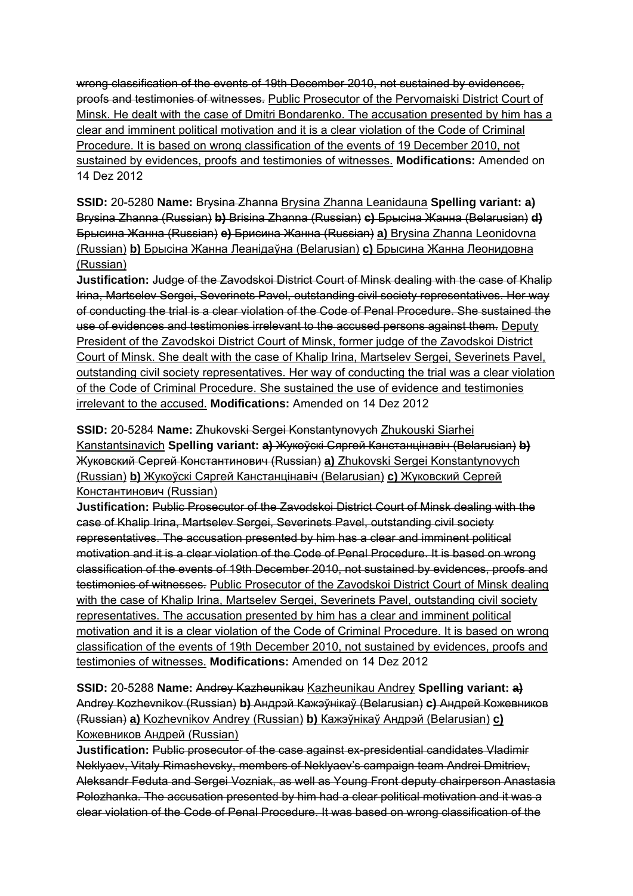wrong classification of the events of 19th December 2010, not sustained by evidences, proofs and testimonies of witnesses. Public Prosecutor of the Pervomaiski District Court of Minsk. He dealt with the case of Dmitri Bondarenko. The accusation presented by him has a clear and imminent political motivation and it is a clear violation of the Code of Criminal Procedure. It is based on wrong classification of the events of 19 December 2010, not sustained by evidences, proofs and testimonies of witnesses. **Modifications:** Amended on 14 Dez 2012

**SSID:** 20-5280 **Name:** Brysina Zhanna Brysina Zhanna Leanidauna **Spelling variant: a)**  Brysina Zhanna (Russian) **b)** Brisina Zhanna (Russian) **c)** Брысіна Жанна (Belarusian) **d)**  Брысина Жанна (Russian) **e)** Брисина Жанна (Russian) **a)** Brysina Zhanna Leonidovna (Russian) **b)** Брысіна Жанна Леанiдаўна (Belarusian) **c)** Брысина Жанна Леонидовнa (Russian)

**Justification:** Judge of the Zavodskoi District Court of Minsk dealing with the case of Khalip Irina, Martselev Sergei, Severinets Pavel, outstanding civil society representatives. Her way of conducting the trial is a clear violation of the Code of Penal Procedure. She sustained the use of evidences and testimonies irrelevant to the accused persons against them. Deputy President of the Zavodskoi District Court of Minsk, former judge of the Zavodskoi District Court of Minsk. She dealt with the case of Khalip Irina, Martselev Sergei, Severinets Pavel, outstanding civil society representatives. Her way of conducting the trial was a clear violation of the Code of Criminal Procedure. She sustained the use of evidence and testimonies irrelevant to the accused. **Modifications:** Amended on 14 Dez 2012

**SSID:** 20-5284 **Name:** Zhukovski Sergei Konstantynovych Zhukouski Siarhei Kanstantsinavich **Spelling variant: a)** Жукоўскі Сяргей Канстанцінавіч (Belarusian) **b)**  Жуковский Сергей Константинович (Russian) **a)** Zhukovski Sergei Konstantynovych (Russian) **b)** Жукоўскі Сяргей Канстанцінавіч (Belarusian) **c)** Жуковский Сергей Константинович (Russian)

**Justification:** Public Prosecutor of the Zavodskoi District Court of Minsk dealing with the case of Khalip Irina, Martselev Sergei, Severinets Pavel, outstanding civil society representatives. The accusation presented by him has a clear and imminent political motivation and it is a clear violation of the Code of Penal Procedure. It is based on wrong classification of the events of 19th December 2010, not sustained by evidences, proofs and testimonies of witnesses. Public Prosecutor of the Zavodskoi District Court of Minsk dealing with the case of Khalip Irina, Martselev Sergei, Severinets Pavel, outstanding civil society representatives. The accusation presented by him has a clear and imminent political motivation and it is a clear violation of the Code of Criminal Procedure. It is based on wrong classification of the events of 19th December 2010, not sustained by evidences, proofs and testimonies of witnesses. **Modifications:** Amended on 14 Dez 2012

**SSID:** 20-5288 **Name:** Andrey Kazheunikau Kazheunikau Andrey **Spelling variant: a)**  Andrey Kozhevnikov (Russian) **b)** Андрэй Кажэўнікаў (Belarusian) **c)** Андрей Кожевников (Russian) **a)** Kozhevnikov Andrey (Russian) **b)** Кажэўнікаў Андрэй (Belarusian) **c)**  Кожевников Андрей (Russian)

**Justification:** Public prosecutor of the case against ex-presidential candidates Vladimir Neklyaev, Vitaly Rimashevsky, members of Neklyaev's campaign team Andrei Dmitriev, Aleksandr Feduta and Sergei Vozniak, as well as Young Front deputy chairperson Anastasia Polozhanka. The accusation presented by him had a clear political motivation and it was a clear violation of the Code of Penal Procedure. It was based on wrong classification of the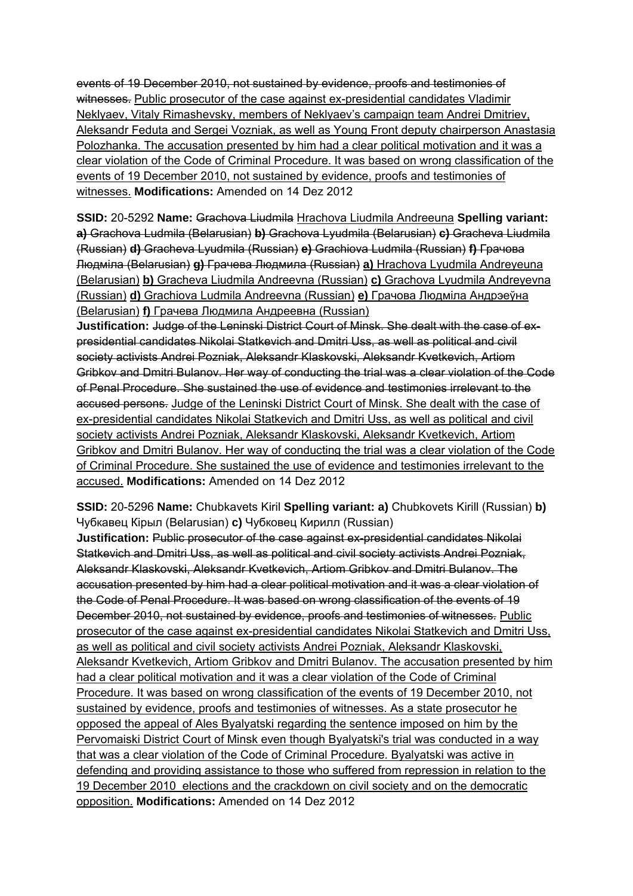events of 19 December 2010, not sustained by evidence, proofs and testimonies of witnesses. Public prosecutor of the case against ex-presidential candidates Vladimir Neklyaev, Vitaly Rimashevsky, members of Neklyaev's campaign team Andrei Dmitriev, Aleksandr Feduta and Sergei Vozniak, as well as Young Front deputy chairperson Anastasia Polozhanka. The accusation presented by him had a clear political motivation and it was a clear violation of the Code of Criminal Procedure. It was based on wrong classification of the events of 19 December 2010, not sustained by evidence, proofs and testimonies of witnesses. **Modifications:** Amended on 14 Dez 2012

**SSID:** 20-5292 **Name:** Grachova Liudmila Hrachova Liudmila Andreeuna **Spelling variant: a)** Grachova Ludmila (Belarusian) **b)** Grachova Lyudmila (Belarusian) **c)** Gracheva Liudmila (Russian) **d)** Gracheva Lyudmila (Russian) **e)** Grachiova Ludmila (Russian) **f)** Грачова Людміла (Belarusian) **g)** Грачева Людмила (Russian) **a)** Hrachova Lyudmila Andreyeuna (Belarusian) **b)** Gracheva Liudmila Andreevna (Russian) **c)** Grachova Lyudmila Andreyevna (Russian) **d)** Grachiova Ludmila Andreevna (Russian) **e)** Грачова Людміла Андрэеўна (Belarusian) **f)** Грачева Людмила Андреевна (Russian)

**Justification:** Judge of the Leninski District Court of Minsk. She dealt with the case of expresidential candidates Nikolai Statkevich and Dmitri Uss, as well as political and civil society activists Andrei Pozniak, Aleksandr Klaskovski, Aleksandr Kvetkevich, Artiom Gribkov and Dmitri Bulanov. Her way of conducting the trial was a clear violation of the Code of Penal Procedure. She sustained the use of evidence and testimonies irrelevant to the accused persons. Judge of the Leninski District Court of Minsk. She dealt with the case of ex-presidential candidates Nikolai Statkevich and Dmitri Uss, as well as political and civil society activists Andrei Pozniak, Aleksandr Klaskovski, Aleksandr Kvetkevich, Artiom Gribkov and Dmitri Bulanov. Her way of conducting the trial was a clear violation of the Code of Criminal Procedure. She sustained the use of evidence and testimonies irrelevant to the accused. **Modifications:** Amended on 14 Dez 2012

**SSID:** 20-5296 **Name:** Chubkavets Kiril **Spelling variant: a)** Chubkovets Kirill (Russian) **b)**  Чубкавец Кірыл (Belarusian) **c)** Чубковец Кирилл (Russian)

**Justification:** Public prosecutor of the case against ex-presidential candidates Nikolai Statkevich and Dmitri Uss, as well as political and civil society activists Andrei Pozniak, Aleksandr Klaskovski, Aleksandr Kvetkevich, Artiom Gribkov and Dmitri Bulanov. The accusation presented by him had a clear political motivation and it was a clear violation of the Code of Penal Procedure. It was based on wrong classification of the events of 19 December 2010, not sustained by evidence, proofs and testimonies of witnesses. Public prosecutor of the case against ex-presidential candidates Nikolai Statkevich and Dmitri Uss, as well as political and civil society activists Andrei Pozniak, Aleksandr Klaskovski, Aleksandr Kvetkevich, Artiom Gribkov and Dmitri Bulanov. The accusation presented by him had a clear political motivation and it was a clear violation of the Code of Criminal Procedure. It was based on wrong classification of the events of 19 December 2010, not sustained by evidence, proofs and testimonies of witnesses. As a state prosecutor he opposed the appeal of Ales Byalyatski regarding the sentence imposed on him by the Pervomaiski District Court of Minsk even though Byalyatski's trial was conducted in a way that was a clear violation of the Code of Criminal Procedure. Byalyatski was active in defending and providing assistance to those who suffered from repression in relation to the 19 December 2010 elections and the crackdown on civil society and on the democratic opposition. **Modifications:** Amended on 14 Dez 2012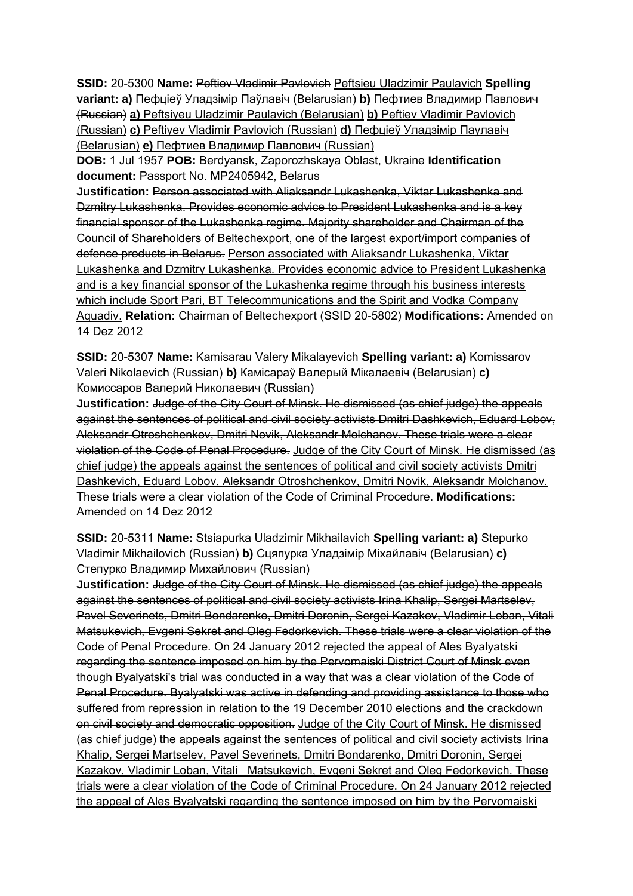**SSID:** 20-5300 **Name:** Peftiev Vladimir Pavlovich Peftsieu Uladzimir Paulavich **Spelling variant: a)** Пефціеў Уладзімір Паўлавіч (Belarusian) **b)** Пефтиев Владимир Павлович (Russian) **a)** Peftsiyeu Uladzimir Paulavich (Belarusian) **b)** Peftiev Vladimir Pavlovich (Russian) **c)** Peftiyev Vladimir Pavlovich (Russian) **d)** Пефціеў Уладзімір Паулавiч (Belarusian) **e)** Пефтиев Владимир Павлович (Russian)

**DOB:** 1 Jul 1957 **POB:** Berdyansk, Zaporozhskaya Oblast, Ukraine **Identification document:** Passport No. MP2405942, Belarus

**Justification:** Person associated with Aliaksandr Lukashenka, Viktar Lukashenka and Dzmitry Lukashenka. Provides economic advice to President Lukashenka and is a key financial sponsor of the Lukashenka regime. Majority shareholder and Chairman of the Council of Shareholders of Beltechexport, one of the largest export/import companies of defence products in Belarus. Person associated with Aliaksandr Lukashenka, Viktar Lukashenka and Dzmitry Lukashenka. Provides economic advice to President Lukashenka and is a key financial sponsor of the Lukashenka regime through his business interests which include Sport Pari, BT Telecommunications and the Spirit and Vodka Company Aquadiv. **Relation:** Chairman of Beltechexport (SSID 20-5802) **Modifications:** Amended on 14 Dez 2012

**SSID:** 20-5307 **Name:** Kamisarau Valery Mikalayevich **Spelling variant: a)** Komissarov Valeri Nikolaevich (Russian) **b)** Камісараў Валерый Мікалаевіч (Belarusian) **c)**  Комиссаров Валерий Николаевич (Russian)

**Justification:** Judge of the City Court of Minsk. He dismissed (as chief judge) the appeals against the sentences of political and civil society activists Dmitri Dashkevich, Eduard Lobov, Aleksandr Otroshchenkov, Dmitri Novik, Aleksandr Molchanov. These trials were a clear violation of the Code of Penal Procedure. Judge of the City Court of Minsk. He dismissed (as chief judge) the appeals against the sentences of political and civil society activists Dmitri Dashkevich, Eduard Lobov, Aleksandr Otroshchenkov, Dmitri Novik, Aleksandr Molchanov. These trials were a clear violation of the Code of Criminal Procedure. **Modifications:**  Amended on 14 Dez 2012

**SSID:** 20-5311 **Name:** Stsiapurka Uladzimir Mikhailavich **Spelling variant: a)** Stepurko Vladimir Mikhailovich (Russian) **b)** Сцяпурка Уладзімір Міхайлавіч (Belarusian) **c)**  Степурко Владимир Михайлович (Russian)

**Justification:** Judge of the City Court of Minsk. He dismissed (as chief judge) the appeals against the sentences of political and civil society activists Irina Khalip, Sergei Martselev, Pavel Severinets, Dmitri Bondarenko, Dmitri Doronin, Sergei Kazakov, Vladimir Loban, Vitali Matsukevich, Evgeni Sekret and Oleg Fedorkevich. These trials were a clear violation of the Code of Penal Procedure. On 24 January 2012 rejected the appeal of Ales Byalyatski regarding the sentence imposed on him by the Pervomaiski District Court of Minsk even though Byalyatski's trial was conducted in a way that was a clear violation of the Code of Penal Procedure. Byalyatski was active in defending and providing assistance to those who suffered from repression in relation to the 19 December 2010 elections and the crackdown on civil society and democratic opposition. Judge of the City Court of Minsk. He dismissed (as chief judge) the appeals against the sentences of political and civil society activists Irina Khalip, Sergei Martselev, Pavel Severinets, Dmitri Bondarenko, Dmitri Doronin, Sergei Kazakov, Vladimir Loban, Vitali Matsukevich, Evgeni Sekret and Oleg Fedorkevich. These trials were a clear violation of the Code of Criminal Procedure. On 24 January 2012 rejected the appeal of Ales Byalyatski regarding the sentence imposed on him by the Pervomaiski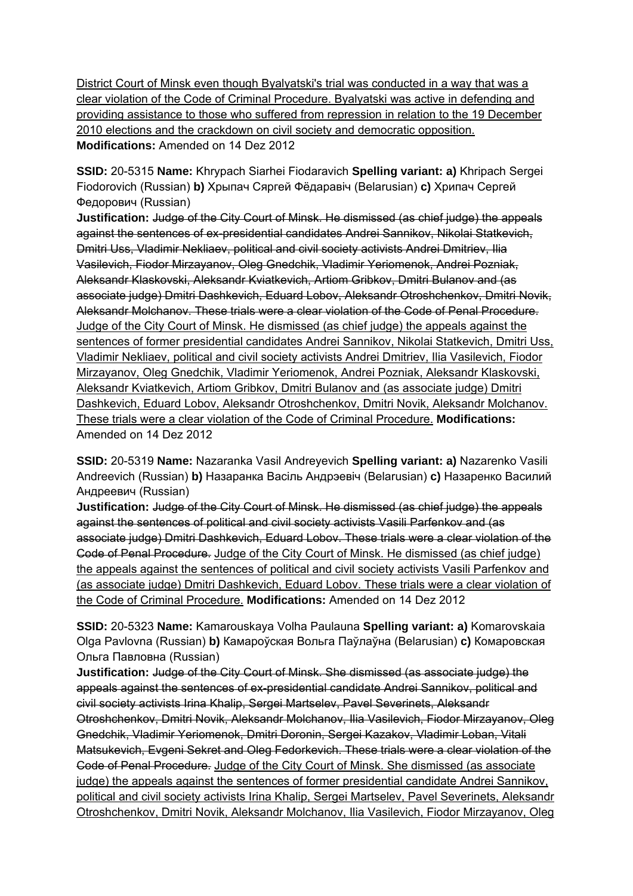District Court of Minsk even though Byalyatski's trial was conducted in a way that was a clear violation of the Code of Criminal Procedure. Byalyatski was active in defending and providing assistance to those who suffered from repression in relation to the 19 December 2010 elections and the crackdown on civil society and democratic opposition. **Modifications:** Amended on 14 Dez 2012

**SSID:** 20-5315 **Name:** Khrypach Siarhei Fiodaravich **Spelling variant: a)** Khripach Sergei Fiodorovich (Russian) **b)** Хрыпач Сяргей Фёдаравіч (Belarusian) **c)** Хрипач Сергей Федорович (Russian)

**Justification:** Judge of the City Court of Minsk. He dismissed (as chief judge) the appeals against the sentences of ex-presidential candidates Andrei Sannikov, Nikolai Statkevich, Dmitri Uss, Vladimir Nekliaev, political and civil society activists Andrei Dmitriev, Ilia Vasilevich, Fiodor Mirzayanov, Oleg Gnedchik, Vladimir Yeriomenok, Andrei Pozniak, Aleksandr Klaskovski, Aleksandr Kviatkevich, Artiom Gribkov, Dmitri Bulanov and (as associate judge) Dmitri Dashkevich, Eduard Lobov, Aleksandr Otroshchenkov, Dmitri Novik, Aleksandr Molchanov. These trials were a clear violation of the Code of Penal Procedure. Judge of the City Court of Minsk. He dismissed (as chief judge) the appeals against the sentences of former presidential candidates Andrei Sannikov, Nikolai Statkevich, Dmitri Uss, Vladimir Nekliaev, political and civil society activists Andrei Dmitriev, Ilia Vasilevich, Fiodor Mirzayanov, Oleg Gnedchik, Vladimir Yeriomenok, Andrei Pozniak, Aleksandr Klaskovski, Aleksandr Kviatkevich, Artiom Gribkov, Dmitri Bulanov and (as associate judge) Dmitri Dashkevich, Eduard Lobov, Aleksandr Otroshchenkov, Dmitri Novik, Aleksandr Molchanov. These trials were a clear violation of the Code of Criminal Procedure. **Modifications:**  Amended on 14 Dez 2012

**SSID:** 20-5319 **Name:** Nazaranka Vasil Andreyevich **Spelling variant: a)** Nazarenko Vasili Andreevich (Russian) **b)** Назаранка Васіль Андрэевіч (Belarusian) **c)** Назаренко Василий Андреевич (Russian)

**Justification:** Judge of the City Court of Minsk. He dismissed (as chief judge) the appeals against the sentences of political and civil society activists Vasili Parfenkov and (as associate judge) Dmitri Dashkevich, Eduard Lobov. These trials were a clear violation of the Code of Penal Procedure. Judge of the City Court of Minsk. He dismissed (as chief judge) the appeals against the sentences of political and civil society activists Vasili Parfenkov and (as associate judge) Dmitri Dashkevich, Eduard Lobov. These trials were a clear violation of the Code of Criminal Procedure. **Modifications:** Amended on 14 Dez 2012

**SSID:** 20-5323 **Name:** Kamarouskaya Volha Paulauna **Spelling variant: a)** Komarovskaia Olga Pavlovna (Russian) **b)** Камароўская Вольга Паўлаўна (Belarusian) **c)** Комаровская Ольга Павловна (Russian)

**Justification:** Judge of the City Court of Minsk. She dismissed (as associate judge) the appeals against the sentences of ex-presidential candidate Andrei Sannikov, political and civil society activists Irina Khalip, Sergei Martselev, Pavel Severinets, Aleksandr Otroshchenkov, Dmitri Novik, Aleksandr Molchanov, Ilia Vasilevich, Fiodor Mirzayanov, Oleg Gnedchik, Vladimir Yeriomenok, Dmitri Doronin, Sergei Kazakov, Vladimir Loban, Vitali Matsukevich, Evgeni Sekret and Oleg Fedorkevich. These trials were a clear violation of the Code of Penal Procedure. Judge of the City Court of Minsk. She dismissed (as associate judge) the appeals against the sentences of former presidential candidate Andrei Sannikov, political and civil society activists Irina Khalip, Sergei Martselev, Pavel Severinets, Aleksandr Otroshchenkov, Dmitri Novik, Aleksandr Molchanov, Ilia Vasilevich, Fiodor Mirzayanov, Oleg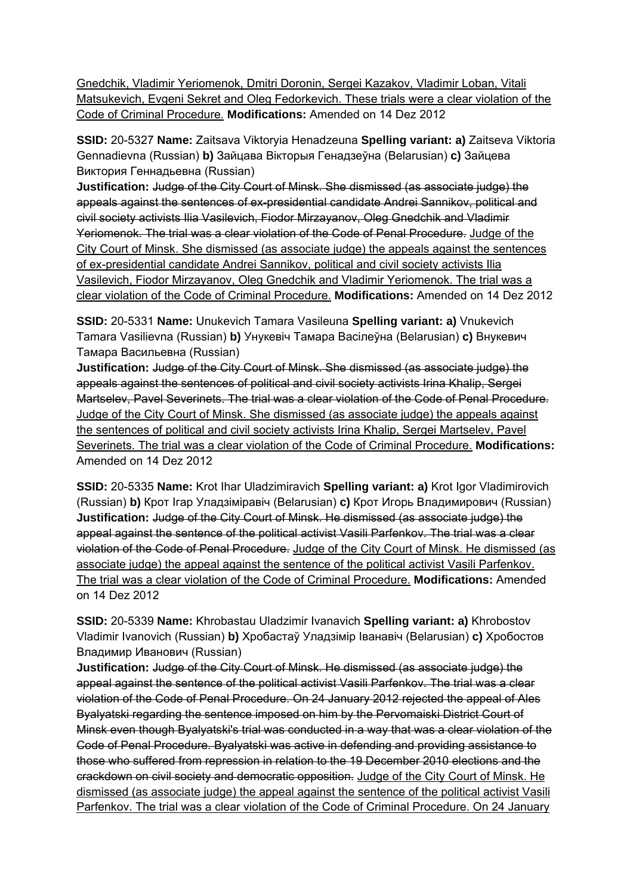Gnedchik, Vladimir Yeriomenok, Dmitri Doronin, Sergei Kazakov, Vladimir Loban, Vitali Matsukevich, Evgeni Sekret and Oleg Fedorkevich. These trials were a clear violation of the Code of Criminal Procedure. **Modifications:** Amended on 14 Dez 2012

**SSID:** 20-5327 **Name:** Zaitsava Viktoryia Henadzeuna **Spelling variant: a)** Zaitseva Viktoria Gennadievna (Russian) **b)** Зайцава Вікторыя Генадзеўна (Belarusian) **c)** Зайцева Виктория Геннадьевна (Russian)

**Justification:** Judge of the City Court of Minsk. She dismissed (as associate judge) the appeals against the sentences of ex-presidential candidate Andrei Sannikov, political and civil society activists Ilia Vasilevich, Fiodor Mirzayanov, Oleg Gnedchik and Vladimir Yeriomenok. The trial was a clear violation of the Code of Penal Procedure. Judge of the City Court of Minsk. She dismissed (as associate judge) the appeals against the sentences of ex-presidential candidate Andrei Sannikov, political and civil society activists Ilia Vasilevich, Fiodor Mirzayanov, Oleg Gnedchik and Vladimir Yeriomenok. The trial was a clear violation of the Code of Criminal Procedure. **Modifications:** Amended on 14 Dez 2012

**SSID:** 20-5331 **Name:** Unukevich Tamara Vasileuna **Spelling variant: a)** Vnukevich Tamara Vasilievna (Russian) **b)** Унукевіч Тамара Васілеўна (Belarusian) **c)** Внукевич Тамара Васильевна (Russian)

**Justification:** Judge of the City Court of Minsk. She dismissed (as associate judge) the appeals against the sentences of political and civil society activists Irina Khalip, Sergei Martselev, Pavel Severinets. The trial was a clear violation of the Code of Penal Procedure. Judge of the City Court of Minsk. She dismissed (as associate judge) the appeals against the sentences of political and civil society activists Irina Khalip, Sergei Martselev, Pavel Severinets. The trial was a clear violation of the Code of Criminal Procedure. **Modifications:**  Amended on 14 Dez 2012

**SSID:** 20-5335 **Name:** Krot Ihar Uladzimiravich **Spelling variant: a)** Krot Igor Vladimirovich (Russian) **b)** Крот Ігар Уладзіміравіч (Belarusian) **c)** Крот Игорь Владимирович (Russian) **Justification:** Judge of the City Court of Minsk. He dismissed (as associate judge) the appeal against the sentence of the political activist Vasili Parfenkov. The trial was a clear violation of the Code of Penal Procedure. Judge of the City Court of Minsk. He dismissed (as associate judge) the appeal against the sentence of the political activist Vasili Parfenkov. The trial was a clear violation of the Code of Criminal Procedure. **Modifications:** Amended on 14 Dez 2012

**SSID:** 20-5339 **Name:** Khrobastau Uladzimir Ivanavich **Spelling variant: a)** Khrobostov Vladimir Ivanovich (Russian) **b)** Хробастаў Уладзімір Іванавіч (Belarusian) **c)** Хробостов Владимир Иванович (Russian)

**Justification:** Judge of the City Court of Minsk. He dismissed (as associate judge) the appeal against the sentence of the political activist Vasili Parfenkov. The trial was a clear violation of the Code of Penal Procedure. On 24 January 2012 rejected the appeal of Ales Byalyatski regarding the sentence imposed on him by the Pervomaiski District Court of Minsk even though Byalyatski's trial was conducted in a way that was a clear violation of the Code of Penal Procedure. Byalyatski was active in defending and providing assistance to those who suffered from repression in relation to the 19 December 2010 elections and the crackdown on civil society and democratic opposition. Judge of the City Court of Minsk. He dismissed (as associate judge) the appeal against the sentence of the political activist Vasili Parfenkov. The trial was a clear violation of the Code of Criminal Procedure. On 24 January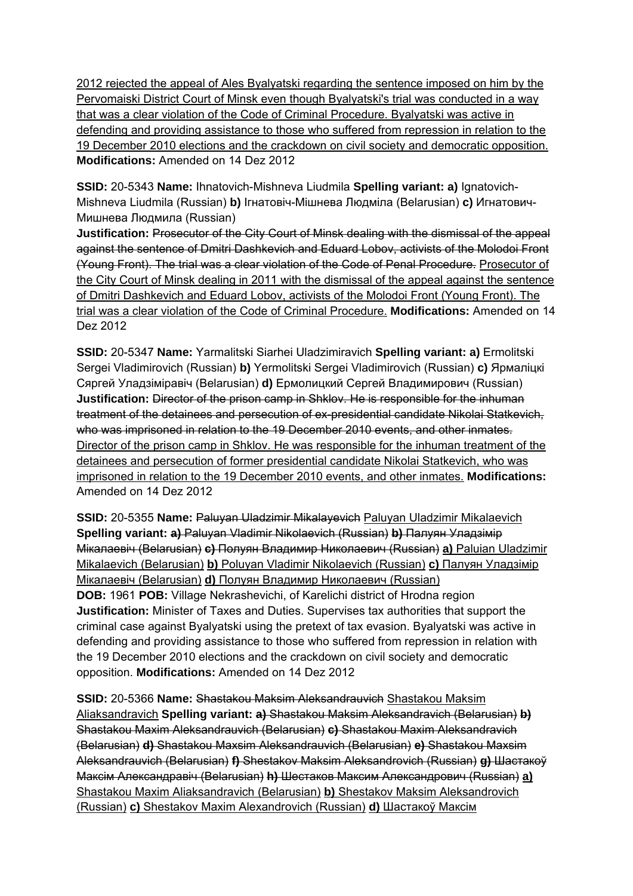2012 rejected the appeal of Ales Byalyatski regarding the sentence imposed on him by the Pervomaiski District Court of Minsk even though Byalyatski's trial was conducted in a way that was a clear violation of the Code of Criminal Procedure. Byalyatski was active in defending and providing assistance to those who suffered from repression in relation to the 19 December 2010 elections and the crackdown on civil society and democratic opposition. **Modifications:** Amended on 14 Dez 2012

**SSID:** 20-5343 **Name:** Ihnatovich-Mishneva Liudmila **Spelling variant: a)** Ignatovich-Mishneva Liudmila (Russian) **b)** Ігнатовіч-Мішнева Людміла (Belarusian) **c)** Игнатович-Мишнева Людмила (Russian)

**Justification:** Prosecutor of the City Court of Minsk dealing with the dismissal of the appeal against the sentence of Dmitri Dashkevich and Eduard Lobov, activists of the Molodoi Front (Young Front). The trial was a clear violation of the Code of Penal Procedure. Prosecutor of the City Court of Minsk dealing in 2011 with the dismissal of the appeal against the sentence of Dmitri Dashkevich and Eduard Lobov, activists of the Molodoi Front (Young Front). The trial was a clear violation of the Code of Criminal Procedure. **Modifications:** Amended on 14 Dez 2012

**SSID:** 20-5347 **Name:** Yarmalitski Siarhei Uladzimiravich **Spelling variant: a)** Ermolitski Sergei Vladimirovich (Russian) **b)** Yermolitski Sergei Vladimirovich (Russian) **c)** Ярмаліцкі Сяргей Уладзіміравіч (Belarusian) **d)** Ермолицкий Сергей Владимирович (Russian) **Justification:** Director of the prison camp in Shklov. He is responsible for the inhuman treatment of the detainees and persecution of ex-presidential candidate Nikolai Statkevich, who was imprisoned in relation to the 19 December 2010 events, and other inmates. Director of the prison camp in Shklov. He was responsible for the inhuman treatment of the detainees and persecution of former presidential candidate Nikolai Statkevich, who was imprisoned in relation to the 19 December 2010 events, and other inmates. **Modifications:**  Amended on 14 Dez 2012

**SSID:** 20-5355 **Name:** Paluyan Uladzimir Mikalayevich Paluyan Uladzimir Mikalaevich **Spelling variant: a)** Paluyan Vladimir Nikolaevich (Russian) **b)** Палуян Уладзімір Мікалаевіч (Belarusian) **c)** Полуян Владимир Николаевич (Russian) **a)** Paluian Uladzimir Mikalaevich (Belarusian) **b)** Poluyan Vladimir Nikolaevich (Russian) **c)** Палуян Уладзімір Мікалаевіч (Belarusian) **d)** Полуян Владимир Николаевич (Russian) **DOB:** 1961 **POB:** Village Nekrashevichi, of Karelichi district of Hrodna region **Justification:** Minister of Taxes and Duties. Supervises tax authorities that support the criminal case against Byalyatski using the pretext of tax evasion. Byalyatski was active in defending and providing assistance to those who suffered from repression in relation with the 19 December 2010 elections and the crackdown on civil society and democratic opposition. **Modifications:** Amended on 14 Dez 2012

**SSID:** 20-5366 **Name:** Shastakou Maksim Aleksandrauvich Shastakou Maksim Aliaksandravich **Spelling variant: a)** Shastakou Maksim Aleksandravich (Belarusian) **b)**  Shastakou Maxim Aleksandrauvich (Belarusian) **c)** Shastakou Maxim Aleksandravich (Belarusian) **d)** Shastakou Maxsim Aleksandrauvich (Belarusian) **e)** Shastakou Maxsim Aleksandrauvich (Belarusian) **f)** Shestakov Maksim Aleksandrovich (Russian) **g)** Шастакоў Максім Александравіч (Belarusian) **h)** Шестаков Максим Александрович (Russian) **a)**  Shastakou Maxim Aliaksandravich (Belarusian) **b)** Shestakov Maksim Aleksandrovich (Russian) **c)** Shestakov Maxim Alexandrovich (Russian) **d)** Шастакоў Максім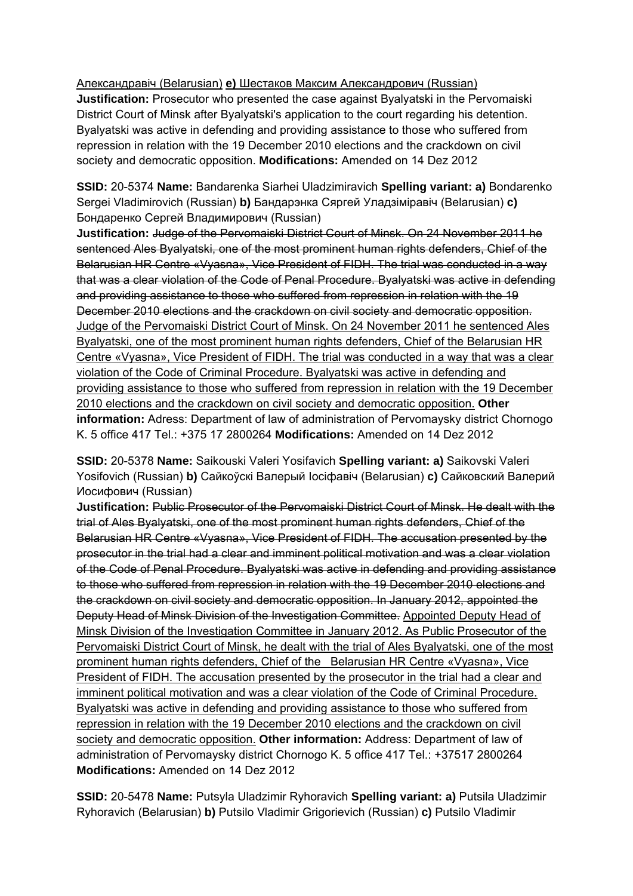Александравіч (Belarusian) **e)** Шестаков Максим Александрович (Russian) **Justification:** Prosecutor who presented the case against Byalyatski in the Pervomaiski District Court of Minsk after Byalyatski's application to the court regarding his detention. Byalyatski was active in defending and providing assistance to those who suffered from repression in relation with the 19 December 2010 elections and the crackdown on civil society and democratic opposition. **Modifications:** Amended on 14 Dez 2012

**SSID:** 20-5374 **Name:** Bandarenka Siarhei Uladzimiravich **Spelling variant: a)** Bondarenko Sergei Vladimirovich (Russian) **b)** Бандарэнка Сяргей Уладзіміравіч (Belarusian) **c)**  Бондаренко Сергей Владимирович (Russian)

**Justification:** Judge of the Pervomaiski District Court of Minsk. On 24 November 2011 he sentenced Ales Byalyatski, one of the most prominent human rights defenders, Chief of the Belarusian HR Centre «Vyasna», Vice President of FIDH. The trial was conducted in a way that was a clear violation of the Code of Penal Procedure. Byalyatski was active in defending and providing assistance to those who suffered from repression in relation with the 19 December 2010 elections and the crackdown on civil society and democratic opposition. Judge of the Pervomaiski District Court of Minsk. On 24 November 2011 he sentenced Ales Byalyatski, one of the most prominent human rights defenders, Chief of the Belarusian HR Centre «Vyasna», Vice President of FIDH. The trial was conducted in a way that was a clear violation of the Code of Criminal Procedure. Byalyatski was active in defending and providing assistance to those who suffered from repression in relation with the 19 December 2010 elections and the crackdown on civil society and democratic opposition. **Other information:** Adress: Department of law of administration of Pervomaysky district Chornogo K. 5 office 417 Tel.: +375 17 2800264 **Modifications:** Amended on 14 Dez 2012

**SSID:** 20-5378 **Name:** Saikouski Valeri Yosifavich **Spelling variant: a)** Saikovski Valeri Yosifovich (Russian) **b)** Сайкоўскі Валерый Іосіфавіч (Belarusian) **c)** Сайковский Валерий Иосифович (Russian)

**Justification:** Public Prosecutor of the Pervomaiski District Court of Minsk. He dealt with the trial of Ales Byalyatski, one of the most prominent human rights defenders, Chief of the Belarusian HR Centre «Vyasna», Vice President of FIDH. The accusation presented by the prosecutor in the trial had a clear and imminent political motivation and was a clear violation of the Code of Penal Procedure. Byalyatski was active in defending and providing assistance to those who suffered from repression in relation with the 19 December 2010 elections and the crackdown on civil society and democratic opposition. In January 2012, appointed the Deputy Head of Minsk Division of the Investigation Committee. Appointed Deputy Head of Minsk Division of the Investigation Committee in January 2012. As Public Prosecutor of the Pervomaiski District Court of Minsk, he dealt with the trial of Ales Byalyatski, one of the most prominent human rights defenders, Chief of the Belarusian HR Centre «Vyasna», Vice President of FIDH. The accusation presented by the prosecutor in the trial had a clear and imminent political motivation and was a clear violation of the Code of Criminal Procedure. Byalyatski was active in defending and providing assistance to those who suffered from repression in relation with the 19 December 2010 elections and the crackdown on civil society and democratic opposition. **Other information:** Address: Department of law of administration of Pervomaysky district Chornogo K. 5 office 417 Tel.: +37517 2800264 **Modifications:** Amended on 14 Dez 2012

**SSID:** 20-5478 **Name:** Putsyla Uladzimir Ryhoravich **Spelling variant: a)** Putsila Uladzimir Ryhoravich (Belarusian) **b)** Putsilo Vladimir Grigorievich (Russian) **c)** Putsilo Vladimir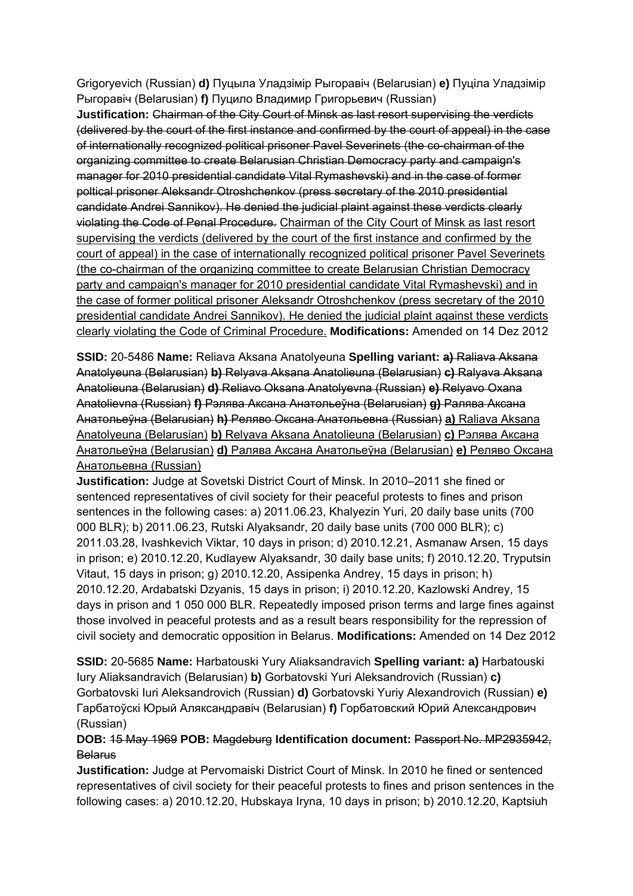Grigoryevich (Russian) **d)** Пуцыла Уладзімір Рыгоравіч (Belarusian) **e)** Пуціла Уладзімір Рыгоравіч (Belarusian) **f)** Пуцило Владимир Григорьевич (Russian)

**Justification:** Chairman of the City Court of Minsk as last resort supervising the verdicts (delivered by the court of the first instance and confirmed by the court of appeal) in the case of internationally recognized political prisoner Pavel Severinets (the co-chairman of the organizing committee to create Belarusian Christian Democracy party and campaign's manager for 2010 presidential candidate Vital Rymashevski) and in the case of former poltical prisoner Aleksandr Otroshchenkov (press secretary of the 2010 presidential candidate Andrei Sannikov). He denied the judicial plaint against these verdicts clearly violating the Code of Penal Procedure. Chairman of the City Court of Minsk as last resort supervising the verdicts (delivered by the court of the first instance and confirmed by the court of appeal) in the case of internationally recognized political prisoner Pavel Severinets (the co-chairman of the organizing committee to create Belarusian Christian Democracy party and campaign's manager for 2010 presidential candidate Vital Rymashevski) and in the case of former political prisoner Aleksandr Otroshchenkov (press secretary of the 2010 presidential candidate Andrei Sannikov). He denied the judicial plaint against these verdicts clearly violating the Code of Criminal Procedure. **Modifications:** Amended on 14 Dez 2012

**SSID:** 20-5486 **Name:** Reliava Aksana Anatolyeuna **Spelling variant: a)** Raliava Aksana Anatolyeuna (Belarusian) **b)** Relyava Aksana Anatolieuna (Belarusian) **c)** Ralyava Aksana Anatolieuna (Belarusian) **d)** Reliavo Oksana Anatolyevna (Russian) **e)** Relyavo Oxana Anatolievna (Russian) **f)** Рэлява Аксана Анатольеўна (Belarusian) **g)** Ралява Аксана Анатольеўна (Belarusian) **h)** Реляво Оксана Анатольевна (Russian) **a)** Raliava Aksana Anatolyeuna (Belarusian) **b)** Relyava Aksana Anatolieuna (Belarusian) **c)** Рэлява Аксана Анатольеўна (Belarusian) **d)** Ралява Аксана Анатольеўна (Belarusian) **e)** Реляво Оксана Анатольевна (Russian)

**Justification:** Judge at Sovetski District Court of Minsk. In 2010–2011 she fined or sentenced representatives of civil society for their peaceful protests to fines and prison sentences in the following cases: a) 2011.06.23, Khalyezin Yuri, 20 daily base units (700 000 BLR); b) 2011.06.23, Rutski Alyaksandr, 20 daily base units (700 000 BLR); c) 2011.03.28, Ivashkevich Viktar, 10 days in prison; d) 2010.12.21, Asmanaw Arsen, 15 days in prison; e) 2010.12.20, Kudlayew Alyaksandr, 30 daily base units; f) 2010.12.20, Tryputsin Vitaut, 15 days in prison; g) 2010.12.20, Assipenka Andrey, 15 days in prison; h) 2010.12.20, Ardabatski Dzyanis, 15 days in prison; i) 2010.12.20, Kazlowski Andrey, 15 days in prison and 1 050 000 BLR. Repeatedly imposed prison terms and large fines against those involved in peaceful protests and as a result bears responsibility for the repression of civil society and democratic opposition in Belarus. **Modifications:** Amended on 14 Dez 2012

**SSID:** 20-5685 **Name:** Harbatouski Yury Aliaksandravich **Spelling variant: a)** Harbatouski Iury Aliaksandravich (Belarusian) **b)** Gorbatovski Yuri Aleksandrovich (Russian) **c)**  Gorbatovski Iuri Aleksandrovich (Russian) **d)** Gorbatovski Yuriy Alexandrovich (Russian) **e)**  Гарбатоўскі Юрый Аляксандравіч (Belarusian) **f)** Горбатовский Юрий Александрович (Russian)

## **DOB:** 15 May 1969 **POB:** Magdeburg **Identification document:** Passport No. MP2935942, **Belarus**

**Justification:** Judge at Pervomaiski District Court of Minsk. In 2010 he fined or sentenced representatives of civil society for their peaceful protests to fines and prison sentences in the following cases: a) 2010.12.20, Hubskaya Iryna, 10 days in prison; b) 2010.12.20, Kaptsiuh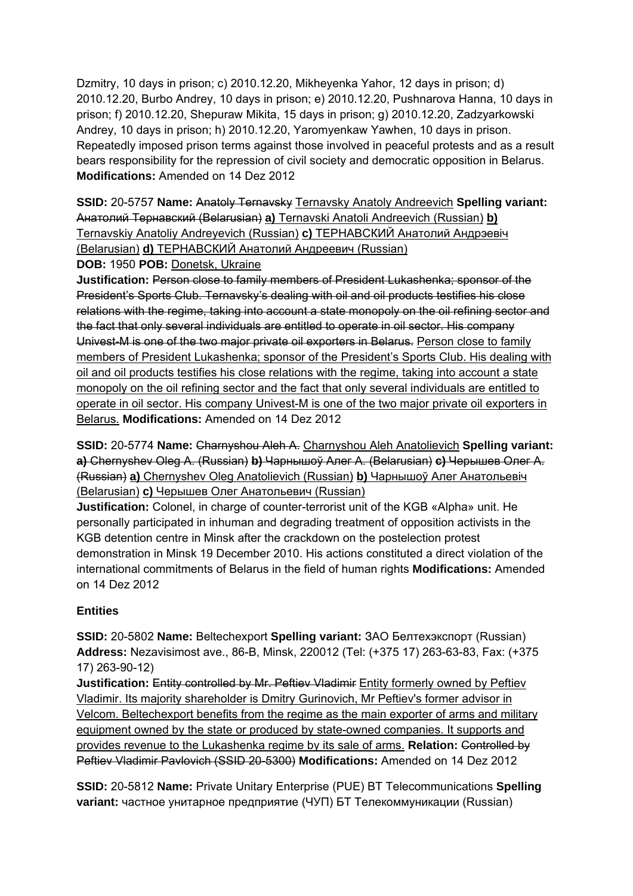Dzmitry, 10 days in prison; c) 2010.12.20, Mikheyenka Yahor, 12 days in prison; d) 2010.12.20, Burbo Andrey, 10 days in prison; e) 2010.12.20, Pushnarova Hanna, 10 days in prison; f) 2010.12.20, Shepuraw Mikita, 15 days in prison; g) 2010.12.20, Zadzyarkowski Andrey, 10 days in prison; h) 2010.12.20, Yaromyenkaw Yawhen, 10 days in prison. Repeatedly imposed prison terms against those involved in peaceful protests and as a result bears responsibility for the repression of civil society and democratic opposition in Belarus. **Modifications:** Amended on 14 Dez 2012

**SSID:** 20-5757 **Name:** Anatoly Ternavsky Ternavsky Anatoly Andreevich **Spelling variant:**  Анатолий Тернавский (Belarusian) **a)** Ternavski Anatoli Andreevich (Russian) **b)**  Ternavskiy Anatoliy Andreyevich (Russian) **c)** ТЕРНАВСКИЙ Анатолий Андрэевiч (Belarusian) **d)** ТЕРНАВСКИЙ Анатолий Андреевич (Russian)

**DOB:** 1950 **POB:** Donetsk, Ukraine

**Justification:** Person close to family members of President Lukashenka; sponsor of the President's Sports Club. Ternavsky's dealing with oil and oil products testifies his close relations with the regime, taking into account a state monopoly on the oil refining sector and the fact that only several individuals are entitled to operate in oil sector. His company Univest-M is one of the two major private oil exporters in Belarus. Person close to family members of President Lukashenka; sponsor of the President's Sports Club. His dealing with oil and oil products testifies his close relations with the regime, taking into account a state monopoly on the oil refining sector and the fact that only several individuals are entitled to operate in oil sector. His company Univest-M is one of the two major private oil exporters in Belarus. **Modifications:** Amended on 14 Dez 2012

**SSID:** 20-5774 **Name:** Charnyshou Aleh A. Charnyshou Aleh Anatolievich **Spelling variant: a)** Chernyshev Oleg A. (Russian) **b)** Чарнышоў Алег А. (Belarusian) **c)** Черышев Олег A. (Russian) **a)** Chernyshev Oleg Anatolievich (Russian) **b)** Чарнышоў Алег Анатольевiч (Belarusian) **c)** Черышев Олег Анатольевич (Russian)

**Justification:** Colonel, in charge of counter-terrorist unit of the KGB «Alpha» unit. He personally participated in inhuman and degrading treatment of opposition activists in the KGB detention centre in Minsk after the crackdown on the postelection protest demonstration in Minsk 19 December 2010. His actions constituted a direct violation of the international commitments of Belarus in the field of human rights **Modifications:** Amended on 14 Dez 2012

### **Entities**

**SSID:** 20-5802 **Name:** Beltechexport **Spelling variant:** ЗАО Белтехэкспорт (Russian) **Address:** Nezavisimost ave., 86-B, Minsk, 220012 (Tel: (+375 17) 263-63-83, Fax: (+375 17) 263-90-12)

**Justification:** Entity controlled by Mr. Peftiey Vladimir Entity formerly owned by Peftiey Vladimir. Its majority shareholder is Dmitry Gurinovich, Mr Peftiev's former advisor in Velcom. Beltechexport benefits from the regime as the main exporter of arms and military equipment owned by the state or produced by state-owned companies. It supports and provides revenue to the Lukashenka regime by its sale of arms. **Relation:** Controlled by Peftiev Vladimir Pavlovich (SSID 20-5300) **Modifications:** Amended on 14 Dez 2012

**SSID:** 20-5812 **Name:** Private Unitary Enterprise (PUE) BT Telecommunications **Spelling variant:** частное унитарное предприятие (ЧУП) БТ Телекоммуникации (Russian)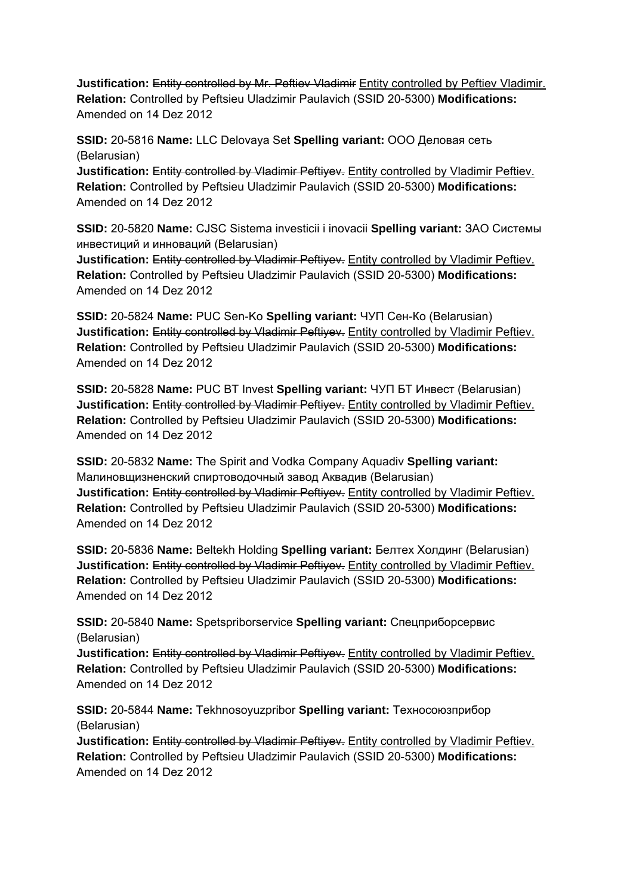**Justification: Entity controlled by Mr. Peftiev Vladimir** Entity controlled by Peftiev Vladimir. **Relation:** Controlled by Peftsieu Uladzimir Paulavich (SSID 20-5300) **Modifications:**  Amended on 14 Dez 2012

**SSID:** 20-5816 **Name:** LLC Delovaya Set **Spelling variant:** ООО Деловая сеть (Belarusian)

**Justification:** Entity controlled by Vladimir Peftiyev. Entity controlled by Vladimir Peftiev. **Relation:** Controlled by Peftsieu Uladzimir Paulavich (SSID 20-5300) **Modifications:**  Amended on 14 Dez 2012

**SSID:** 20-5820 **Name:** CJSC Sistema investicii i inovacii **Spelling variant:** ЗАО Системы инвестиций и инноваций (Belarusian)

**Justification: Entity controlled by Vladimir Peftivey.** Entity controlled by Vladimir Peftiev. **Relation:** Controlled by Peftsieu Uladzimir Paulavich (SSID 20-5300) **Modifications:**  Amended on 14 Dez 2012

**SSID:** 20-5824 **Name:** PUC Sen-Ko **Spelling variant:** ЧУП Сен-Ко (Belarusian) **Justification:** Entity controlled by Vladimir Peftiyey. Entity controlled by Vladimir Peftiev. **Relation:** Controlled by Peftsieu Uladzimir Paulavich (SSID 20-5300) **Modifications:**  Amended on 14 Dez 2012

**SSID:** 20-5828 **Name:** PUC BT Invest **Spelling variant:** ЧУП БТ Инвест (Belarusian) **Justification:** Entity controlled by Vladimir Peftiyey. Entity controlled by Vladimir Peftiev. **Relation:** Controlled by Peftsieu Uladzimir Paulavich (SSID 20-5300) **Modifications:**  Amended on 14 Dez 2012

**SSID:** 20-5832 **Name:** The Spirit and Vodka Company Aquadiv **Spelling variant:**  Малиновщизненский спиртоводочный завод Аквадив (Belarusian) Justification: Entity controlled by Vladimir Peftiyev. Entity controlled by Vladimir Peftiev. **Relation:** Controlled by Peftsieu Uladzimir Paulavich (SSID 20-5300) **Modifications:**  Amended on 14 Dez 2012

**SSID:** 20-5836 **Name:** Beltekh Holding **Spelling variant:** Белтех Холдинг (Belarusian) **Justification:** Entity controlled by Vladimir Peftivey. Entity controlled by Vladimir Peftiey. **Relation:** Controlled by Peftsieu Uladzimir Paulavich (SSID 20-5300) **Modifications:**  Amended on 14 Dez 2012

**SSID:** 20-5840 **Name:** Spetspriborservice **Spelling variant:** Спецприборсервис (Belarusian)

**Justification: Entity controlled by Vladimir Peftiyev.** Entity controlled by Vladimir Peftiev. **Relation:** Controlled by Peftsieu Uladzimir Paulavich (SSID 20-5300) **Modifications:**  Amended on 14 Dez 2012

**SSID:** 20-5844 **Name:** Tekhnosoyuzpribor **Spelling variant:** Техносоюзприбор (Belarusian)

**Justification: Entity controlled by Vladimir Peftiyey.** Entity controlled by Vladimir Peftiev. **Relation:** Controlled by Peftsieu Uladzimir Paulavich (SSID 20-5300) **Modifications:**  Amended on 14 Dez 2012